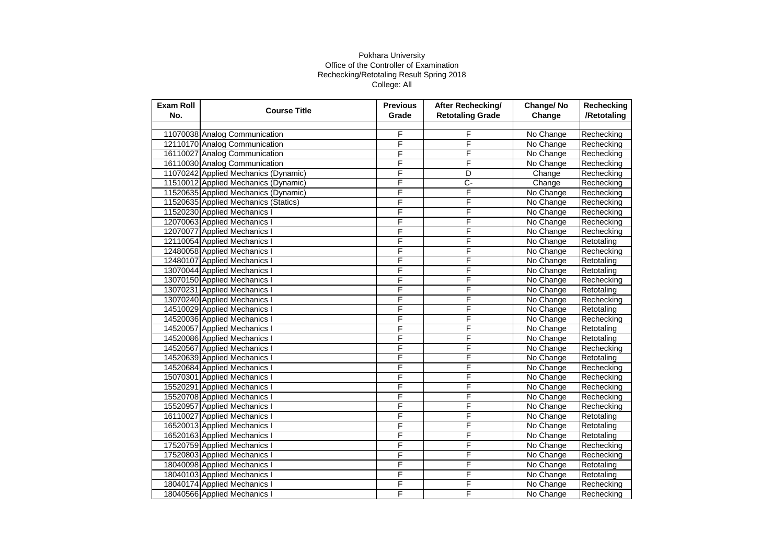| <b>Exam Roll</b><br>No. | <b>Course Title</b>                  | <b>Previous</b><br>Grade | After Rechecking/<br><b>Retotaling Grade</b> | Change/No<br>Change | Rechecking<br>/Retotaling |
|-------------------------|--------------------------------------|--------------------------|----------------------------------------------|---------------------|---------------------------|
|                         |                                      |                          |                                              |                     |                           |
|                         | 11070038 Analog Communication        | F                        | F                                            | No Change           | Rechecking                |
|                         | 12110170 Analog Communication        | F                        | F                                            | No Change           | Rechecking                |
|                         | 16110027 Analog Communication        | F                        | F                                            | No Change           | Rechecking                |
|                         | 16110030 Analog Communication        | F                        | F                                            | No Change           | Rechecking                |
|                         | 11070242 Applied Mechanics (Dynamic) | F                        | D                                            | Change              | Rechecking                |
|                         | 11510012 Applied Mechanics (Dynamic) | F                        | $\overline{C}$                               | Change              | Rechecking                |
|                         | 11520635 Applied Mechanics (Dynamic) | F                        | F                                            | No Change           | Rechecking                |
|                         | 11520635 Applied Mechanics (Statics) | F                        | F                                            | No Change           | Rechecking                |
|                         | 11520230 Applied Mechanics I         | F                        | F                                            | No Change           | Rechecking                |
|                         | 12070063 Applied Mechanics I         | F                        | F                                            | No Change           | Rechecking                |
|                         | 12070077 Applied Mechanics I         | F                        | F                                            | No Change           | Rechecking                |
|                         | 12110054 Applied Mechanics I         | F                        | F                                            | No Change           | Retotaling                |
|                         | 12480058 Applied Mechanics I         | F                        | F                                            | No Change           | Rechecking                |
|                         | 12480107 Applied Mechanics I         | F                        | F                                            | No Change           | Retotaling                |
|                         | 13070044 Applied Mechanics I         | F                        | F                                            | No Change           | Retotaling                |
|                         | 13070150 Applied Mechanics I         | F                        | F                                            | No Change           | Rechecking                |
|                         | 13070231 Applied Mechanics I         | F                        | F                                            | No Change           | Retotaling                |
|                         | 13070240 Applied Mechanics I         | F                        | F                                            | No Change           | Rechecking                |
|                         | 14510029 Applied Mechanics I         | F                        | F                                            | No Change           | Retotaling                |
|                         | 14520036 Applied Mechanics I         | F                        | F                                            | No Change           | Rechecking                |
|                         | 14520057 Applied Mechanics I         | F                        | F                                            | No Change           | Retotaling                |
|                         | 14520086 Applied Mechanics I         | F                        | F                                            | No Change           | Retotaling                |
|                         | 14520567 Applied Mechanics I         | F                        | F                                            | No Change           | Rechecking                |
|                         | 14520639 Applied Mechanics I         | F                        | F                                            | No Change           | Retotaling                |
|                         | 14520684 Applied Mechanics I         | F                        | F                                            | No Change           | Rechecking                |
|                         | 15070301 Applied Mechanics I         | F                        | F                                            | No Change           | Rechecking                |
|                         | 15520291 Applied Mechanics I         | F                        | F                                            | No Change           | Rechecking                |
|                         | 15520708 Applied Mechanics I         | F                        | F                                            | No Change           | Rechecking                |
|                         | 15520957 Applied Mechanics I         | F                        | F                                            | No Change           | Rechecking                |
|                         | 16110027 Applied Mechanics I         | F                        | F                                            | No Change           | Retotaling                |
|                         | 16520013 Applied Mechanics I         | F                        | F                                            | No Change           | Retotaling                |
|                         | 16520163 Applied Mechanics I         | F                        | F                                            | No Change           | Retotaling                |
|                         | 17520759 Applied Mechanics I         | F                        | F                                            | No Change           | Rechecking                |
|                         | 17520803 Applied Mechanics I         | F                        | F                                            | No Change           | Rechecking                |
|                         | 18040098 Applied Mechanics I         | F                        | F                                            | No Change           | Retotaling                |
|                         | 18040103 Applied Mechanics I         | F                        | F                                            | No Change           | Retotaling                |
|                         | 18040174 Applied Mechanics I         | F                        | F                                            | No Change           | Rechecking                |
|                         | 18040566 Applied Mechanics I         | F                        | F                                            | No Change           | Rechecking                |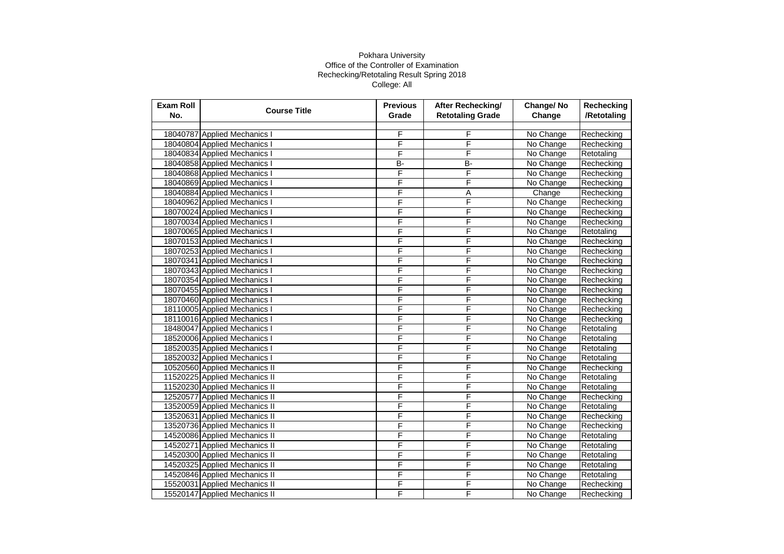| <b>Exam Roll</b><br>No. | <b>Course Title</b>           | <b>Previous</b><br>Grade | After Rechecking/<br><b>Retotaling Grade</b> | Change/No<br>Change | <b>Rechecking</b><br>/Retotaling |
|-------------------------|-------------------------------|--------------------------|----------------------------------------------|---------------------|----------------------------------|
|                         |                               |                          |                                              |                     |                                  |
|                         | 18040787 Applied Mechanics I  | F                        | F                                            | No Change           | Rechecking                       |
|                         | 18040804 Applied Mechanics I  | F                        | F                                            | No Change           | Rechecking                       |
|                         | 18040834 Applied Mechanics I  | F                        | F                                            | No Change           | Retotaling                       |
|                         | 18040858 Applied Mechanics I  | B-                       | <b>B-</b>                                    | No Change           | Rechecking                       |
|                         | 18040868 Applied Mechanics I  | F                        | F                                            | No Change           | Rechecking                       |
|                         | 18040869 Applied Mechanics I  | F                        | F                                            | No Change           | Rechecking                       |
|                         | 18040884 Applied Mechanics I  | F                        | Α                                            | Change              | Rechecking                       |
|                         | 18040962 Applied Mechanics I  | F                        | F                                            | No Change           | Rechecking                       |
|                         | 18070024 Applied Mechanics I  | F                        | F                                            | No Change           | Rechecking                       |
|                         | 18070034 Applied Mechanics I  | F                        | F                                            | No Change           | Rechecking                       |
|                         | 18070065 Applied Mechanics I  | F                        | F                                            | No Change           | Retotaling                       |
|                         | 18070153 Applied Mechanics I  | F                        | F                                            | No Change           | Rechecking                       |
|                         | 18070253 Applied Mechanics I  | F                        | F                                            | No Change           | Rechecking                       |
|                         | 18070341 Applied Mechanics I  | F                        | F                                            | No Change           | Rechecking                       |
|                         | 18070343 Applied Mechanics I  | F                        | F                                            | No Change           | Rechecking                       |
|                         | 18070354 Applied Mechanics I  | F                        | F                                            | No Change           | Rechecking                       |
|                         | 18070455 Applied Mechanics I  | F                        | F                                            | No Change           | Rechecking                       |
|                         | 18070460 Applied Mechanics I  | F                        | F                                            | No Change           | Rechecking                       |
|                         | 18110005 Applied Mechanics I  | F                        | F                                            | No Change           | Rechecking                       |
|                         | 18110016 Applied Mechanics I  | F                        | F                                            | No Change           | Rechecking                       |
|                         | 18480047 Applied Mechanics I  | F                        | F                                            | No Change           | Retotaling                       |
|                         | 18520006 Applied Mechanics I  | F                        | F                                            | No Change           | Retotaling                       |
|                         | 18520035 Applied Mechanics I  | F                        | F                                            | No Change           | Retotaling                       |
|                         | 18520032 Applied Mechanics I  | F                        | F                                            | No Change           | Retotaling                       |
|                         | 10520560 Applied Mechanics II | F                        | F                                            | No Change           | Rechecking                       |
|                         | 11520225 Applied Mechanics II | F                        | F                                            | No Change           | Retotaling                       |
|                         | 11520230 Applied Mechanics II | F                        | F                                            | No Change           | Retotaling                       |
|                         | 12520577 Applied Mechanics II | F                        | F                                            | No Change           | Rechecking                       |
|                         | 13520059 Applied Mechanics II | F                        | F                                            | No Change           | Retotaling                       |
|                         | 13520631 Applied Mechanics II | F                        | F                                            | No Change           | Rechecking                       |
|                         | 13520736 Applied Mechanics II | F                        | F                                            | No Change           | Rechecking                       |
|                         | 14520086 Applied Mechanics II | F                        | F                                            | No Change           | Retotaling                       |
|                         | 14520271 Applied Mechanics II | F                        | F                                            | No Change           | Retotaling                       |
|                         | 14520300 Applied Mechanics II | F                        | F                                            | No Change           | Retotaling                       |
|                         | 14520325 Applied Mechanics II | F                        | F                                            | No Change           | Retotaling                       |
|                         | 14520846 Applied Mechanics II | F                        | F                                            | No Change           | Retotaling                       |
|                         | 15520031 Applied Mechanics II | F                        | F                                            | No Change           | Rechecking                       |
|                         | 15520147 Applied Mechanics II | F                        | F                                            | No Change           | Rechecking                       |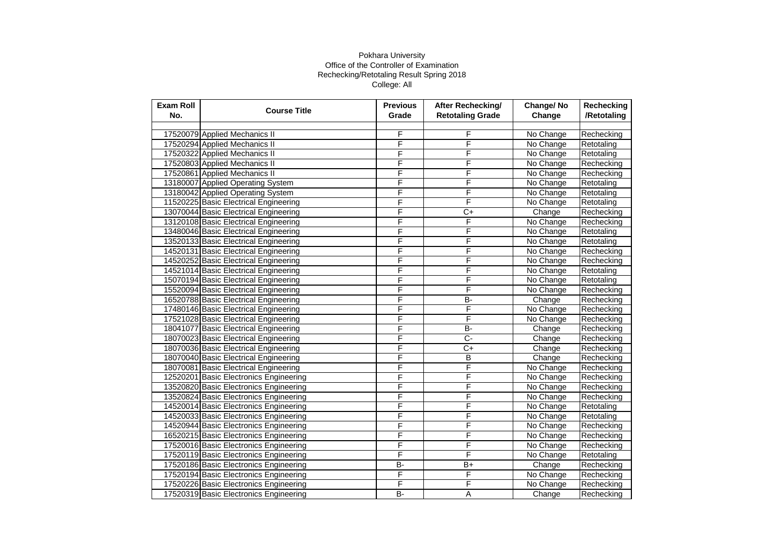| Exam Roll<br>No. | <b>Course Title</b>                    | <b>Previous</b><br>Grade | <b>After Rechecking/</b><br><b>Retotaling Grade</b> | Change/No<br>Change | Rechecking<br>/Retotaling |
|------------------|----------------------------------------|--------------------------|-----------------------------------------------------|---------------------|---------------------------|
|                  |                                        |                          |                                                     |                     |                           |
|                  | 17520079 Applied Mechanics II          | F                        | F                                                   | No Change           | Rechecking                |
|                  | 17520294 Applied Mechanics II          | F                        | F                                                   | No Change           | Retotaling                |
|                  | 17520322 Applied Mechanics II          | F                        | F                                                   | No Change           | Retotaling                |
|                  | 17520803 Applied Mechanics II          | F                        | F                                                   | No Change           | Rechecking                |
|                  | 17520861 Applied Mechanics II          | F                        | F                                                   | No Change           | Rechecking                |
|                  | 13180007 Applied Operating System      | F                        | F                                                   | No Change           | Retotaling                |
|                  | 13180042 Applied Operating System      | F                        | F                                                   | No Change           | Retotaling                |
|                  | 11520225 Basic Electrical Engineering  | F                        | F                                                   | No Change           | Retotaling                |
|                  | 13070044 Basic Electrical Engineering  | F                        | $\overline{C+}$                                     | Change              | Rechecking                |
|                  | 13120108 Basic Electrical Engineering  | F                        | F                                                   | No Change           | Rechecking                |
|                  | 13480046 Basic Electrical Engineering  | F                        | F                                                   | No Change           | Retotaling                |
|                  | 13520133 Basic Electrical Engineering  | F                        | F                                                   | No Change           | Retotaling                |
|                  | 14520131 Basic Electrical Engineering  | F                        | F                                                   | No Change           | Rechecking                |
|                  | 14520252 Basic Electrical Engineering  | F                        | F                                                   | No Change           | Rechecking                |
|                  | 14521014 Basic Electrical Engineering  | F                        | F                                                   | No Change           | Retotaling                |
|                  | 15070194 Basic Electrical Engineering  | F                        | F                                                   | No Change           | Retotaling                |
|                  | 15520094 Basic Electrical Engineering  | F                        | F                                                   | No Change           | Rechecking                |
|                  | 16520788 Basic Electrical Engineering  | F                        | B-                                                  | Change              | Rechecking                |
|                  | 17480146 Basic Electrical Engineering  | F                        | F                                                   | No Change           | Rechecking                |
|                  | 17521028 Basic Electrical Engineering  | F                        | F                                                   | No Change           | Rechecking                |
|                  | 18041077 Basic Electrical Engineering  | F                        | B-                                                  | Change              | Rechecking                |
|                  | 18070023 Basic Electrical Engineering  | F                        | C-                                                  | Change              | Rechecking                |
|                  | 18070036 Basic Electrical Engineering  | F                        | C+                                                  | Change              | Rechecking                |
|                  | 18070040 Basic Electrical Engineering  | F                        | B                                                   | Change              | Rechecking                |
|                  | 18070081 Basic Electrical Engineering  | F                        | F                                                   | No Change           | Rechecking                |
|                  | 12520201 Basic Electronics Engineering | F                        | F                                                   | No Change           | Rechecking                |
|                  | 13520820 Basic Electronics Engineering | F                        | F                                                   | No Change           | Rechecking                |
|                  | 13520824 Basic Electronics Engineering | F                        | F                                                   | No Change           | Rechecking                |
|                  | 14520014 Basic Electronics Engineering | F                        | F                                                   | No Change           | Retotaling                |
|                  | 14520033 Basic Electronics Engineering | F                        | F                                                   | No Change           | Retotaling                |
|                  | 14520944 Basic Electronics Engineering | F                        | F                                                   | No Change           | Rechecking                |
|                  | 16520215 Basic Electronics Engineering | F                        | F                                                   | No Change           | Rechecking                |
|                  | 17520016 Basic Electronics Engineering | F                        | F                                                   | No Change           | Rechecking                |
|                  | 17520119 Basic Electronics Engineering | F                        | F                                                   | No Change           | Retotaling                |
|                  | 17520186 Basic Electronics Engineering | <b>B-</b>                | $B+$                                                | Change              | Rechecking                |
|                  | 17520194 Basic Electronics Engineering | F                        | F                                                   | No Change           | Rechecking                |
|                  | 17520226 Basic Electronics Engineering | F                        | F                                                   | No Change           | Rechecking                |
|                  | 17520319 Basic Electronics Engineering | <b>B-</b>                | Α                                                   | Change              | Rechecking                |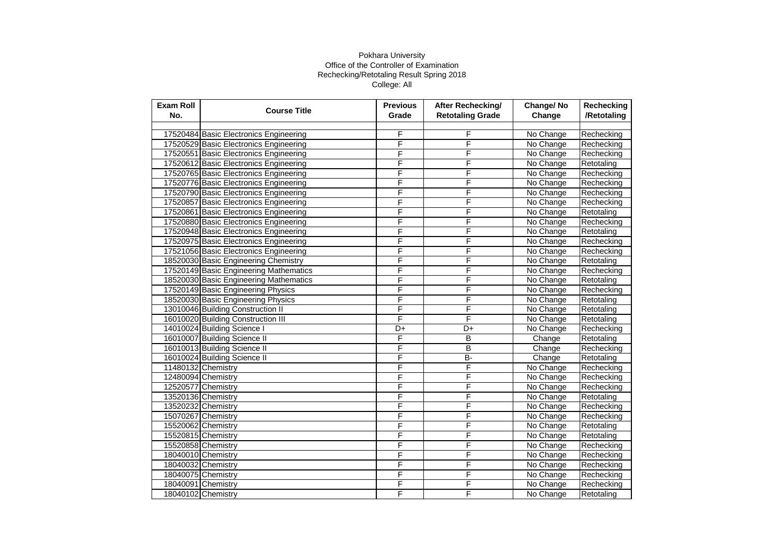| <b>Exam Roll</b><br>No. | <b>Course Title</b>                    | <b>Previous</b><br>Grade | After Rechecking/<br><b>Retotaling Grade</b> | Change/No<br>Change | Rechecking<br>/Retotaling |
|-------------------------|----------------------------------------|--------------------------|----------------------------------------------|---------------------|---------------------------|
|                         |                                        |                          |                                              |                     |                           |
|                         | 17520484 Basic Electronics Engineering | F                        | F                                            | No Change           | Rechecking                |
|                         | 17520529 Basic Electronics Engineering | F                        | F                                            | No Change           | Rechecking                |
|                         | 17520551 Basic Electronics Engineering | F                        | F                                            | No Change           | Rechecking                |
|                         | 17520612 Basic Electronics Engineering | F                        | F                                            | No Change           | Retotaling                |
|                         | 17520765 Basic Electronics Engineering | F                        | F                                            | No Change           | Rechecking                |
|                         | 17520776 Basic Electronics Engineering | F                        | F                                            | No Change           | Rechecking                |
|                         | 17520790 Basic Electronics Engineering | F                        | F                                            | No Change           | Rechecking                |
|                         | 17520857 Basic Electronics Engineering | F                        | F                                            | No Change           | Rechecking                |
|                         | 17520861 Basic Electronics Engineering | F                        | F                                            | No Change           | Retotaling                |
|                         | 17520880 Basic Electronics Engineering | F                        | F                                            | No Change           | Rechecking                |
|                         | 17520948 Basic Electronics Engineering | F                        | F                                            | No Change           | Retotaling                |
|                         | 17520975 Basic Electronics Engineering | F                        | F                                            | No Change           | Rechecking                |
|                         | 17521056 Basic Electronics Engineering | F                        | F                                            | No Change           | Rechecking                |
|                         | 18520030 Basic Engineering Chemistry   | F                        | F                                            | No Change           | Retotaling                |
|                         | 17520149 Basic Engineering Mathematics | F                        | F                                            | No Change           | Rechecking                |
|                         | 18520030 Basic Engineering Mathematics | F                        | F                                            | No Change           | Retotaling                |
|                         | 17520149 Basic Engineering Physics     | F                        | F                                            | No Change           | Rechecking                |
|                         | 18520030 Basic Engineering Physics     | F                        | F                                            | No Change           | Retotaling                |
|                         | 13010046 Building Construction II      | F                        | F                                            | No Change           | Retotaling                |
|                         | 16010020 Building Construction III     | F                        | F                                            | No Change           | Retotaling                |
|                         | 14010024 Building Science I            | D+                       | $\overline{D+}$                              | No Change           | Rechecking                |
|                         | 16010007 Building Science II           | F                        | B                                            | Change              | Retotaling                |
|                         | 16010013 Building Science II           | F                        | B                                            | Change              | Rechecking                |
|                         | 16010024 Building Science II           | F                        | <b>B-</b>                                    | Change              | Retotaling                |
|                         | 11480132 Chemistry                     | F                        | F                                            | No Change           | Rechecking                |
|                         | 12480094 Chemistry                     | F                        | F                                            | No Change           | Rechecking                |
|                         | 12520577 Chemistry                     | F                        | F                                            | No Change           | Rechecking                |
|                         | 13520136 Chemistry                     | F                        | F                                            | No Change           | Retotaling                |
|                         | 13520232 Chemistry                     | F                        | F                                            | No Change           | Rechecking                |
|                         | 15070267 Chemistry                     | F                        | F                                            | No Change           | Rechecking                |
|                         | 15520062 Chemistry                     | F                        | F                                            | No Change           | Retotaling                |
|                         | 15520815 Chemistry                     | F                        | F                                            | No Change           | Retotaling                |
|                         | 15520858 Chemistry                     | F                        | F                                            | No Change           | Rechecking                |
|                         | 18040010 Chemistry                     | F                        | F                                            | No Change           | Rechecking                |
|                         | 18040032 Chemistry                     | F                        | F                                            | No Change           | Rechecking                |
|                         | 18040075 Chemistry                     | F                        | F                                            | No Change           | Rechecking                |
|                         | 18040091 Chemistry                     | F                        | F                                            | No Change           | Rechecking                |
|                         | 18040102 Chemistry                     | F                        | F                                            | No Change           | Retotaling                |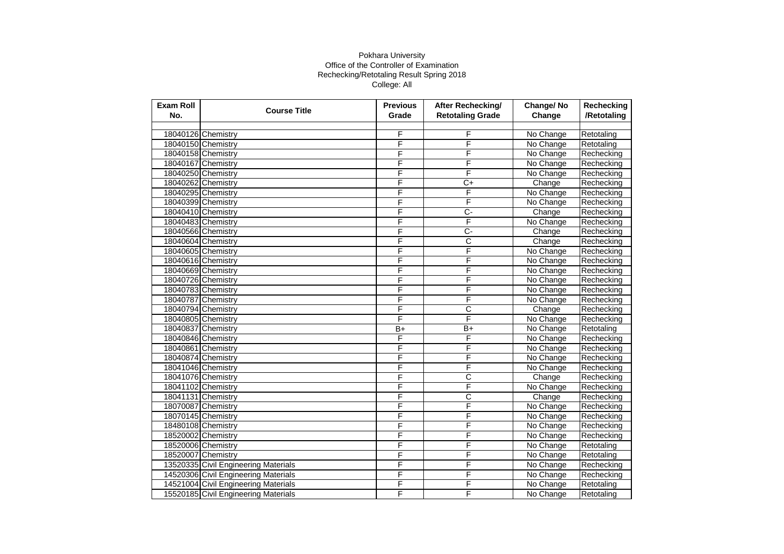| <b>Exam Roll</b><br>No. | <b>Course Title</b>                  | <b>Previous</b><br>Grade | After Rechecking/<br><b>Retotaling Grade</b> | Change/No<br>Change | <b>Rechecking</b><br>/Retotaling |
|-------------------------|--------------------------------------|--------------------------|----------------------------------------------|---------------------|----------------------------------|
|                         |                                      |                          |                                              |                     |                                  |
|                         | 18040126 Chemistry                   | F                        | F                                            | No Change           | Retotaling                       |
|                         | 18040150 Chemistry                   | F                        | F                                            | No Change           | Retotaling                       |
|                         | 18040158 Chemistry                   | F                        | F                                            | No Change           | Rechecking                       |
|                         | 18040167 Chemistry                   | F                        | F                                            | No Change           | Rechecking                       |
|                         | 18040250 Chemistry                   | F                        | F                                            | No Change           | Rechecking                       |
|                         | 18040262 Chemistry                   | F                        | C+                                           | Change              | Rechecking                       |
|                         | 18040295 Chemistry                   | F                        | F                                            | No Change           | Rechecking                       |
|                         | 18040399 Chemistry                   | F                        | F                                            | No Change           | Rechecking                       |
|                         | 18040410 Chemistry                   | F                        | $\overline{C}$                               | Change              | Rechecking                       |
|                         | 18040483 Chemistry                   | F                        | F                                            | No Change           | Rechecking                       |
|                         | 18040566 Chemistry                   | F                        | Ç-                                           | Change              | Rechecking                       |
|                         | 18040604 Chemistry                   | F                        | С                                            | Change              | Rechecking                       |
|                         | 18040605 Chemistry                   | F                        | F                                            | No Change           | Rechecking                       |
|                         | 18040616 Chemistry                   | F                        | F                                            | No Change           | Rechecking                       |
|                         | 18040669 Chemistry                   | F                        | F                                            | No Change           | Rechecking                       |
|                         | 18040726 Chemistry                   | F                        | F                                            | No Change           | Rechecking                       |
|                         | 18040783 Chemistry                   | F                        | F                                            | No Change           | Rechecking                       |
|                         | 18040787 Chemistry                   | F                        | F                                            | No Change           | Rechecking                       |
|                         | 18040794 Chemistry                   | F                        | С                                            | Change              | Rechecking                       |
|                         | 18040805 Chemistry                   | F                        | F                                            | No Change           | Rechecking                       |
|                         | 18040837 Chemistry                   | $B+$                     | $\overline{B+}$                              | No Change           | Retotaling                       |
|                         | 18040846 Chemistry                   | F                        | F                                            | No Change           | Rechecking                       |
|                         | 18040861 Chemistry                   | F                        | F                                            | No Change           | Rechecking                       |
|                         | 18040874 Chemistry                   | F                        | F                                            | No Change           | Rechecking                       |
|                         | 18041046 Chemistry                   | F                        | F                                            | No Change           | Rechecking                       |
|                         | 18041076 Chemistry                   | F                        | С                                            | Change              | Rechecking                       |
|                         | 18041102 Chemistry                   | F                        | F                                            | No Change           | Rechecking                       |
|                         | 18041131 Chemistry                   | F                        | C                                            | Change              | Rechecking                       |
|                         | 18070087 Chemistry                   | F                        | F                                            | No Change           | Rechecking                       |
|                         | 18070145 Chemistry                   | F                        | F                                            | No Change           | Rechecking                       |
|                         | 18480108 Chemistry                   | F                        | F                                            | No Change           | Rechecking                       |
|                         | 18520002 Chemistry                   | F                        | F                                            | No Change           | Rechecking                       |
|                         | 18520006 Chemistry                   | F                        | F                                            | No Change           | Retotaling                       |
|                         | 18520007 Chemistry                   | F                        | F                                            | No Change           | Retotaling                       |
|                         | 13520335 Civil Engineering Materials | F                        | F                                            | No Change           | Rechecking                       |
|                         | 14520306 Civil Engineering Materials | F                        | F                                            | No Change           | Rechecking                       |
|                         | 14521004 Civil Engineering Materials | F                        | F                                            | No Change           | Retotaling                       |
|                         | 15520185 Civil Engineering Materials | F                        | F                                            | No Change           | Retotaling                       |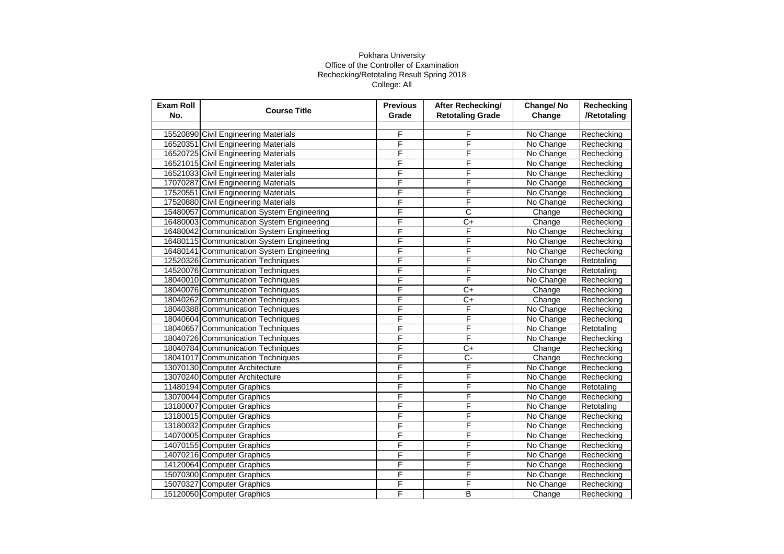| <b>Exam Roll</b><br>No. | <b>Course Title</b>                       | <b>Previous</b><br>Grade | After Rechecking/<br><b>Retotaling Grade</b> | Change/No<br>Change | Rechecking<br>/Retotaling |
|-------------------------|-------------------------------------------|--------------------------|----------------------------------------------|---------------------|---------------------------|
|                         |                                           |                          |                                              |                     |                           |
|                         | 15520890 Civil Engineering Materials      | F                        | F                                            | No Change           | Rechecking                |
|                         | 16520351 Civil Engineering Materials      | F                        | F                                            | No Change           | Rechecking                |
|                         | 16520725 Civil Engineering Materials      | F                        | F                                            | No Change           | Rechecking                |
|                         | 16521015 Civil Engineering Materials      | F                        | F                                            | No Change           | Rechecking                |
|                         | 16521033 Civil Engineering Materials      | F                        | F                                            | No Change           | Rechecking                |
|                         | 17070287 Civil Engineering Materials      | F                        | F                                            | No Change           | Rechecking                |
|                         | 17520551 Civil Engineering Materials      | F                        | F                                            | No Change           | Rechecking                |
|                         | 17520880 Civil Engineering Materials      | F                        | F                                            | No Change           | Rechecking                |
|                         | 15480057 Communication System Engineering | F                        | C                                            | Change              | Rechecking                |
|                         | 16480003 Communication System Engineering | F                        | $\overline{C}$                               | Change              | Rechecking                |
|                         | 16480042 Communication System Engineering | F                        | F                                            | No Change           | Rechecking                |
|                         | 16480115 Communication System Engineering | F                        | F                                            | No Change           | Rechecking                |
|                         | 16480141 Communication System Engineering | F                        | F                                            | No Change           | Rechecking                |
|                         | 12520326 Communication Techniques         | F                        | F                                            | No Change           | Retotaling                |
|                         | 14520076 Communication Techniques         | F                        | F                                            | No Change           | Retotaling                |
|                         | 18040010 Communication Techniques         | F                        | F                                            | No Change           | Rechecking                |
|                         | 18040076 Communication Techniques         | F                        | $C+$                                         | Change              | Rechecking                |
|                         | 18040262 Communication Techniques         | F                        | C+                                           | Change              | Rechecking                |
|                         | 18040388 Communication Techniques         | F                        | F                                            | No Change           | Rechecking                |
|                         | 18040604 Communication Techniques         | F                        | F                                            | No Change           | Rechecking                |
|                         | 18040657 Communication Techniques         | F                        | F                                            | No Change           | Retotaling                |
|                         | 18040726 Communication Techniques         | F                        | F                                            | No Change           | Rechecking                |
|                         | 18040784 Communication Techniques         | F                        | C+                                           | Change              | Rechecking                |
|                         | 18041017 Communication Techniques         | F                        | $\overline{C}$ -                             | Change              | Rechecking                |
|                         | 13070130 Computer Architecture            | F                        | F                                            | No Change           | Rechecking                |
|                         | 13070240 Computer Architecture            | F                        | F                                            | No Change           | Rechecking                |
|                         | 11480194 Computer Graphics                | F                        | F                                            | No Change           | Retotaling                |
|                         | 13070044 Computer Graphics                | F                        | F                                            | No Change           | Rechecking                |
|                         | 13180007 Computer Graphics                | F                        | F                                            | No Change           | Retotaling                |
|                         | 13180015 Computer Graphics                | F                        | F                                            | No Change           | Rechecking                |
|                         | 13180032 Computer Graphics                | F                        | F                                            | No Change           | Rechecking                |
|                         | 14070005 Computer Graphics                | F                        | F                                            | No Change           | Rechecking                |
|                         | 14070155 Computer Graphics                | F                        | F                                            | No Change           | Rechecking                |
|                         | 14070216 Computer Graphics                | F                        | F                                            | No Change           | Rechecking                |
|                         | 14120064 Computer Graphics                | F                        | F                                            | No Change           | Rechecking                |
|                         | 15070300 Computer Graphics                | F                        | F                                            | No Change           | Rechecking                |
|                         | 15070327 Computer Graphics                | F                        | F                                            | No Change           | Rechecking                |
|                         | 15120050 Computer Graphics                | F                        | B                                            | Change              | Rechecking                |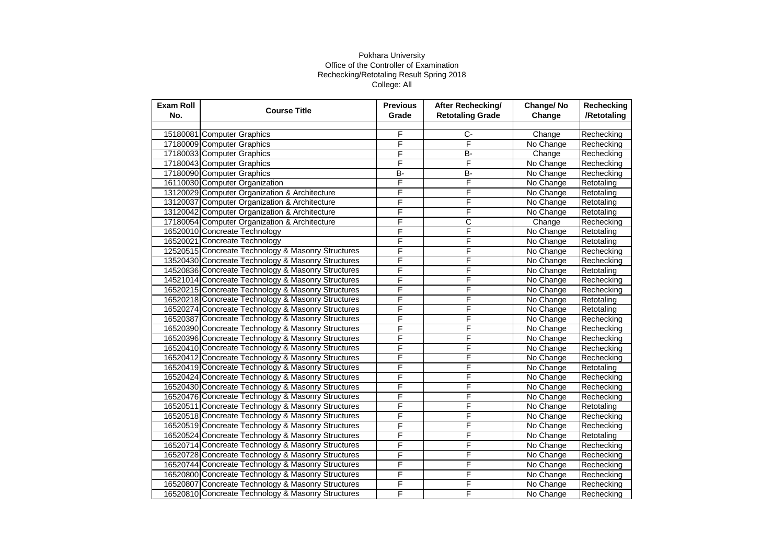| F<br>Ċ-<br>15180081 Computer Graphics<br>Change<br>Rechecking<br>F<br>F<br>17180009 Computer Graphics<br>No Change<br>Rechecking<br>F<br><b>B-</b><br>17180033 Computer Graphics<br>Change<br>Rechecking<br>F<br>F<br>17180043 Computer Graphics<br>No Change<br>Rechecking<br>$B -$<br>17180090 Computer Graphics<br><b>B-</b><br>No Change<br>Rechecking<br>F<br>F<br>16110030 Computer Organization<br>No Change<br>Retotaling<br>F<br>F<br>13120029 Computer Organization & Architecture<br>No Change<br>Retotaling<br>F |
|------------------------------------------------------------------------------------------------------------------------------------------------------------------------------------------------------------------------------------------------------------------------------------------------------------------------------------------------------------------------------------------------------------------------------------------------------------------------------------------------------------------------------|
|                                                                                                                                                                                                                                                                                                                                                                                                                                                                                                                              |
|                                                                                                                                                                                                                                                                                                                                                                                                                                                                                                                              |
|                                                                                                                                                                                                                                                                                                                                                                                                                                                                                                                              |
|                                                                                                                                                                                                                                                                                                                                                                                                                                                                                                                              |
|                                                                                                                                                                                                                                                                                                                                                                                                                                                                                                                              |
|                                                                                                                                                                                                                                                                                                                                                                                                                                                                                                                              |
|                                                                                                                                                                                                                                                                                                                                                                                                                                                                                                                              |
|                                                                                                                                                                                                                                                                                                                                                                                                                                                                                                                              |
| F<br>13120037 Computer Organization & Architecture<br>No Change<br>Retotaling                                                                                                                                                                                                                                                                                                                                                                                                                                                |
| F<br>F<br>13120042 Computer Organization & Architecture<br>No Change<br>Retotaling                                                                                                                                                                                                                                                                                                                                                                                                                                           |
| F<br>С<br>17180054 Computer Organization & Architecture<br>Change<br>Rechecking                                                                                                                                                                                                                                                                                                                                                                                                                                              |
| F<br>F<br>16520010 Concreate Technology<br>No Change<br>Retotaling                                                                                                                                                                                                                                                                                                                                                                                                                                                           |
| F<br>F<br>16520021 Concreate Technology<br>No Change<br>Retotaling                                                                                                                                                                                                                                                                                                                                                                                                                                                           |
| F<br>F<br>12520515 Concreate Technology & Masonry Structures<br>No Change<br>Rechecking                                                                                                                                                                                                                                                                                                                                                                                                                                      |
| F<br>F<br>13520430 Concreate Technology & Masonry Structures<br>No Change<br>Rechecking                                                                                                                                                                                                                                                                                                                                                                                                                                      |
| F<br>F<br>14520836 Concreate Technology & Masonry Structures<br>No Change<br>Retotaling                                                                                                                                                                                                                                                                                                                                                                                                                                      |
| F<br>F<br>14521014 Concreate Technology & Masonry Structures<br>No Change<br>Rechecking                                                                                                                                                                                                                                                                                                                                                                                                                                      |
| F<br>16520215 Concreate Technology & Masonry Structures<br>F<br>No Change<br>Rechecking                                                                                                                                                                                                                                                                                                                                                                                                                                      |
| F<br>F<br>16520218 Concreate Technology & Masonry Structures<br>No Change<br>Retotaling                                                                                                                                                                                                                                                                                                                                                                                                                                      |
| F<br>F<br>16520274 Concreate Technology & Masonry Structures<br>No Change<br>Retotaling                                                                                                                                                                                                                                                                                                                                                                                                                                      |
| F<br>F<br>16520387 Concreate Technology & Masonry Structures<br>No Change<br>Rechecking                                                                                                                                                                                                                                                                                                                                                                                                                                      |
| F<br>F<br>16520390 Concreate Technology & Masonry Structures<br>No Change<br>Rechecking                                                                                                                                                                                                                                                                                                                                                                                                                                      |
| F<br>F<br>16520396 Concreate Technology & Masonry Structures<br>No Change<br>Rechecking                                                                                                                                                                                                                                                                                                                                                                                                                                      |
| F<br>F<br>16520410 Concreate Technology & Masonry Structures<br>No Change<br>Rechecking                                                                                                                                                                                                                                                                                                                                                                                                                                      |
| F<br>F<br>16520412 Concreate Technology & Masonry Structures<br>No Change<br>Rechecking                                                                                                                                                                                                                                                                                                                                                                                                                                      |
| F<br>F<br>16520419 Concreate Technology & Masonry Structures<br>No Change<br>Retotaling                                                                                                                                                                                                                                                                                                                                                                                                                                      |
| F<br>F<br>16520424 Concreate Technology & Masonry Structures<br>No Change<br>Rechecking                                                                                                                                                                                                                                                                                                                                                                                                                                      |
| F<br>F<br>16520430 Concreate Technology & Masonry Structures<br>No Change<br>Rechecking                                                                                                                                                                                                                                                                                                                                                                                                                                      |
| F<br>F<br>16520476 Concreate Technology & Masonry Structures<br>No Change<br>Rechecking                                                                                                                                                                                                                                                                                                                                                                                                                                      |
| F<br>F<br>16520511 Concreate Technology & Masonry Structures<br>No Change<br>Retotaling                                                                                                                                                                                                                                                                                                                                                                                                                                      |
| F<br>F<br>16520518 Concreate Technology & Masonry Structures<br>No Change<br>Rechecking                                                                                                                                                                                                                                                                                                                                                                                                                                      |
| F<br>F<br>16520519 Concreate Technology & Masonry Structures<br>No Change<br>Rechecking                                                                                                                                                                                                                                                                                                                                                                                                                                      |
| F<br>F<br>16520524 Concreate Technology & Masonry Structures<br>No Change<br>Retotaling                                                                                                                                                                                                                                                                                                                                                                                                                                      |
| F<br>F<br>16520714 Concreate Technology & Masonry Structures<br>No Change<br>Rechecking                                                                                                                                                                                                                                                                                                                                                                                                                                      |
| F<br>16520728 Concreate Technology & Masonry Structures<br>F<br>No Change<br>Rechecking                                                                                                                                                                                                                                                                                                                                                                                                                                      |
| F<br>F<br>16520744 Concreate Technology & Masonry Structures<br>No Change<br>Rechecking                                                                                                                                                                                                                                                                                                                                                                                                                                      |
| F<br>F<br>16520800 Concreate Technology & Masonry Structures<br>No Change<br>Rechecking                                                                                                                                                                                                                                                                                                                                                                                                                                      |
| F<br>F<br>16520807 Concreate Technology & Masonry Structures<br>No Change<br>Rechecking                                                                                                                                                                                                                                                                                                                                                                                                                                      |
| F<br>F<br>16520810 Concreate Technology & Masonry Structures<br>No Change<br>Rechecking                                                                                                                                                                                                                                                                                                                                                                                                                                      |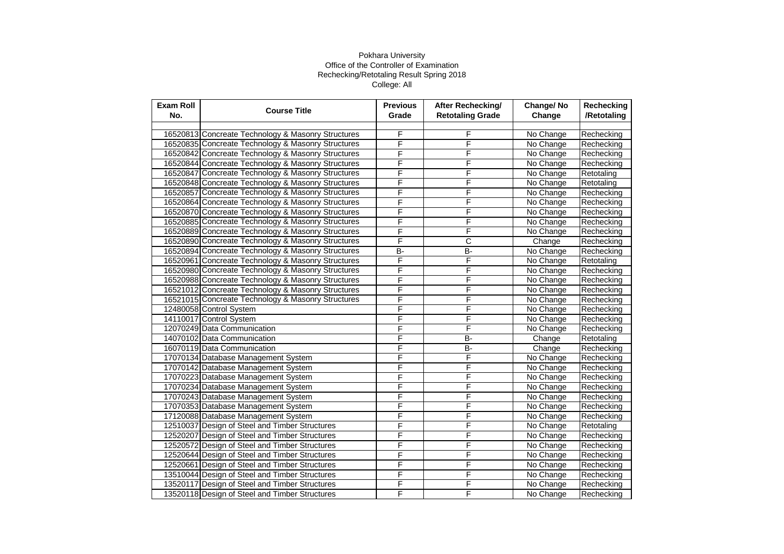| <b>Exam Roll</b><br>No. | <b>Course Title</b>                                | <b>Previous</b><br>Grade | After Rechecking/<br><b>Retotaling Grade</b> | Change/No<br>Change | Rechecking<br>/Retotaling |
|-------------------------|----------------------------------------------------|--------------------------|----------------------------------------------|---------------------|---------------------------|
|                         |                                                    |                          |                                              |                     |                           |
|                         | 16520813 Concreate Technology & Masonry Structures | F                        | F                                            | No Change           | Rechecking                |
|                         | 16520835 Concreate Technology & Masonry Structures | F                        | F                                            | No Change           | Rechecking                |
|                         | 16520842 Concreate Technology & Masonry Structures | F                        | F                                            | No Change           | Rechecking                |
|                         | 16520844 Concreate Technology & Masonry Structures | F                        | F                                            | No Change           | Rechecking                |
|                         | 16520847 Concreate Technology & Masonry Structures | F                        | F                                            | No Change           | Retotaling                |
|                         | 16520848 Concreate Technology & Masonry Structures | F                        | F                                            | No Change           | Retotaling                |
|                         | 16520857 Concreate Technology & Masonry Structures | F                        | F                                            | No Change           | Rechecking                |
|                         | 16520864 Concreate Technology & Masonry Structures | F                        | F                                            | No Change           | Rechecking                |
|                         | 16520870 Concreate Technology & Masonry Structures | F                        | F                                            | No Change           | Rechecking                |
|                         | 16520885 Concreate Technology & Masonry Structures | F                        | F                                            | No Change           | Rechecking                |
|                         | 16520889 Concreate Technology & Masonry Structures | F                        | F                                            | No Change           | Rechecking                |
|                         | 16520890 Concreate Technology & Masonry Structures | F                        | С                                            | Change              | Rechecking                |
|                         | 16520894 Concreate Technology & Masonry Structures | B-                       | $B -$                                        | No Change           | Rechecking                |
|                         | 16520961 Concreate Technology & Masonry Structures | F                        | F                                            | No Change           | Retotaling                |
|                         | 16520980 Concreate Technology & Masonry Structures | F                        | F                                            | No Change           | Rechecking                |
|                         | 16520988 Concreate Technology & Masonry Structures | F                        | F                                            | No Change           | Rechecking                |
|                         | 16521012 Concreate Technology & Masonry Structures | F                        | F                                            | No Change           | Rechecking                |
|                         | 16521015 Concreate Technology & Masonry Structures | F                        | F                                            | No Change           | Rechecking                |
|                         | 12480058 Control System                            | F                        | F                                            | No Change           | Rechecking                |
|                         | 14110017 Control System                            | F                        | F                                            | No Change           | Rechecking                |
|                         | 12070249 Data Communication                        | F                        | F                                            | No Change           | Rechecking                |
|                         | 14070102 Data Communication                        | F                        | B-                                           | Change              | Retotaling                |
|                         | 16070119 Data Communication                        | F                        | <b>B-</b>                                    | Change              | Rechecking                |
|                         | 17070134 Database Management System                | F                        | F                                            | No Change           | Rechecking                |
|                         | 17070142 Database Management System                | F                        | F                                            | No Change           | Rechecking                |
|                         | 17070223 Database Management System                | F                        | F                                            | No Change           | Rechecking                |
|                         | 17070234 Database Management System                | F                        | F                                            | No Change           | Rechecking                |
|                         | 17070243 Database Management System                | F                        | F                                            | No Change           | Rechecking                |
|                         | 17070353 Database Management System                | F                        | F                                            | No Change           | Rechecking                |
|                         | 17120088 Database Management System                | F                        | F                                            | No Change           | Rechecking                |
|                         | 12510037 Design of Steel and Timber Structures     | F                        | F                                            | No Change           | Retotaling                |
|                         | 12520207 Design of Steel and Timber Structures     | F                        | F                                            | No Change           | Rechecking                |
|                         | 12520572 Design of Steel and Timber Structures     | F                        | F                                            | No Change           | Rechecking                |
|                         | 12520644 Design of Steel and Timber Structures     | F                        | F                                            | No Change           | Rechecking                |
|                         | 12520661 Design of Steel and Timber Structures     | F                        | F                                            | No Change           | Rechecking                |
|                         | 13510044 Design of Steel and Timber Structures     | F                        | F                                            | No Change           | Rechecking                |
|                         | 13520117 Design of Steel and Timber Structures     | F                        | F                                            | No Change           | Rechecking                |
|                         | 13520118 Design of Steel and Timber Structures     | F                        | F                                            | No Change           | Rechecking                |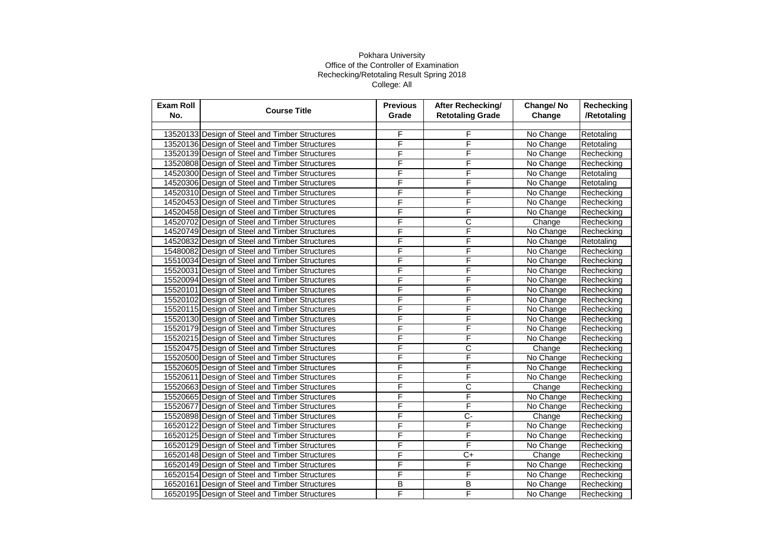| <b>Exam Roll</b><br>No. | <b>Course Title</b>                            | <b>Previous</b><br>Grade | <b>After Rechecking/</b><br><b>Retotaling Grade</b> | Change/No<br>Change | Rechecking<br>/Retotaling |
|-------------------------|------------------------------------------------|--------------------------|-----------------------------------------------------|---------------------|---------------------------|
|                         |                                                |                          |                                                     |                     |                           |
|                         | 13520133 Design of Steel and Timber Structures | F                        | F                                                   | No Change           | Retotaling                |
|                         | 13520136 Design of Steel and Timber Structures | F                        | F                                                   | No Change           | Retotaling                |
|                         | 13520139 Design of Steel and Timber Structures | F                        | F                                                   | No Change           | Rechecking                |
|                         | 13520808 Design of Steel and Timber Structures | F                        | F                                                   | No Change           | Rechecking                |
|                         | 14520300 Design of Steel and Timber Structures | F                        | F                                                   | No Change           | Retotaling                |
|                         | 14520306 Design of Steel and Timber Structures | F                        | F                                                   | No Change           | Retotaling                |
|                         | 14520310 Design of Steel and Timber Structures | F                        | F                                                   | No Change           | Rechecking                |
|                         | 14520453 Design of Steel and Timber Structures | F                        | F                                                   | No Change           | Rechecking                |
|                         | 14520458 Design of Steel and Timber Structures | F                        | F                                                   | No Change           | Rechecking                |
|                         | 14520702 Design of Steel and Timber Structures | F                        | С                                                   | Change              | Rechecking                |
|                         | 14520749 Design of Steel and Timber Structures | F                        | F                                                   | No Change           | Rechecking                |
|                         | 14520832 Design of Steel and Timber Structures | F                        | F                                                   | No Change           | Retotaling                |
|                         | 15480082 Design of Steel and Timber Structures | F                        | F                                                   | No Change           | Rechecking                |
|                         | 15510034 Design of Steel and Timber Structures | F                        | F                                                   | No Change           | Rechecking                |
|                         | 15520031 Design of Steel and Timber Structures | F                        | F                                                   | No Change           | Rechecking                |
|                         | 15520094 Design of Steel and Timber Structures | F                        | F                                                   | No Change           | Rechecking                |
|                         | 15520101 Design of Steel and Timber Structures | F                        | F                                                   | No Change           | Rechecking                |
|                         | 15520102 Design of Steel and Timber Structures | F                        | F                                                   | No Change           | Rechecking                |
|                         | 15520115 Design of Steel and Timber Structures | F                        | F                                                   | No Change           | Rechecking                |
|                         | 15520130 Design of Steel and Timber Structures | F                        | F                                                   | No Change           | Rechecking                |
|                         | 15520179 Design of Steel and Timber Structures | F                        | F                                                   | No Change           | Rechecking                |
|                         | 15520215 Design of Steel and Timber Structures | F                        | F                                                   | No Change           | Rechecking                |
|                         | 15520475 Design of Steel and Timber Structures | F                        | С                                                   | Change              | Rechecking                |
|                         | 15520500 Design of Steel and Timber Structures | F                        | F                                                   | No Change           | Rechecking                |
|                         | 15520605 Design of Steel and Timber Structures | F                        | F                                                   | No Change           | Rechecking                |
|                         | 15520611 Design of Steel and Timber Structures | F                        | F                                                   | No Change           | Rechecking                |
|                         | 15520663 Design of Steel and Timber Structures | F                        | C                                                   | Change              | Rechecking                |
|                         | 15520665 Design of Steel and Timber Structures | F                        | F                                                   | No Change           | Rechecking                |
|                         | 15520677 Design of Steel and Timber Structures | F                        | F                                                   | No Change           | Rechecking                |
|                         | 15520898 Design of Steel and Timber Structures | F                        | $\overline{C}$                                      | Change              | Rechecking                |
|                         | 16520122 Design of Steel and Timber Structures | F                        | F                                                   | No Change           | Rechecking                |
|                         | 16520125 Design of Steel and Timber Structures | F                        | F                                                   | No Change           | Rechecking                |
|                         | 16520129 Design of Steel and Timber Structures | F                        | F                                                   | No Change           | Rechecking                |
|                         | 16520148 Design of Steel and Timber Structures | F                        | C+                                                  | Change              | Rechecking                |
|                         | 16520149 Design of Steel and Timber Structures | F                        | F                                                   | No Change           | Rechecking                |
|                         | 16520154 Design of Steel and Timber Structures | F                        | F                                                   | No Change           | Rechecking                |
|                         | 16520161 Design of Steel and Timber Structures | $\overline{B}$           | B                                                   | No Change           | Rechecking                |
|                         | 16520195 Design of Steel and Timber Structures | F                        | F                                                   | No Change           | Rechecking                |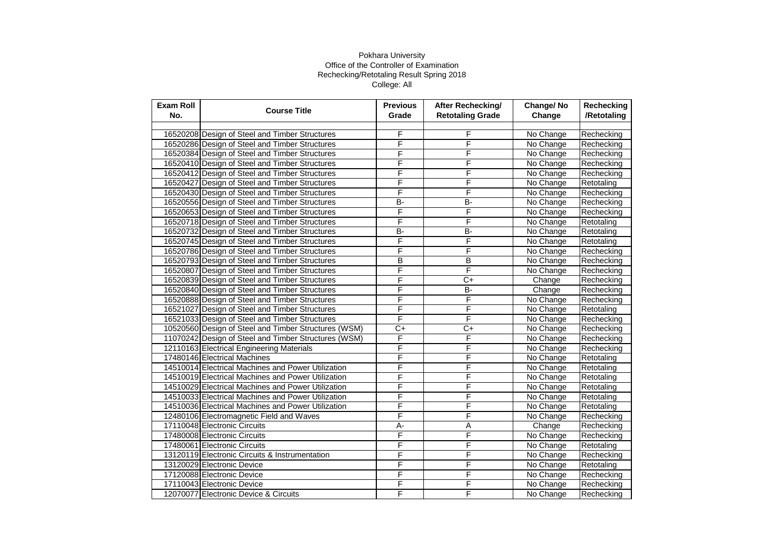| <b>Exam Roll</b><br>No. | <b>Course Title</b>                                  | <b>Previous</b><br>Grade | <b>After Rechecking/</b><br><b>Retotaling Grade</b> | Change/No<br>Change | Rechecking<br>/Retotaling |
|-------------------------|------------------------------------------------------|--------------------------|-----------------------------------------------------|---------------------|---------------------------|
|                         |                                                      |                          |                                                     |                     |                           |
|                         | 16520208 Design of Steel and Timber Structures       | F                        | F                                                   | No Change           | Rechecking                |
|                         | 16520286 Design of Steel and Timber Structures       | F                        | F                                                   | No Change           | Rechecking                |
|                         | 16520384 Design of Steel and Timber Structures       | F                        | F                                                   | No Change           | Rechecking                |
|                         | 16520410 Design of Steel and Timber Structures       | F                        | F                                                   | No Change           | Rechecking                |
|                         | 16520412 Design of Steel and Timber Structures       | F                        | F                                                   | No Change           | Rechecking                |
|                         | 16520427 Design of Steel and Timber Structures       | F                        | F                                                   | No Change           | Retotaling                |
|                         | 16520430 Design of Steel and Timber Structures       | F                        | F                                                   | No Change           | Rechecking                |
|                         | 16520556 Design of Steel and Timber Structures       | B-                       | B-                                                  | No Change           | Rechecking                |
|                         | 16520653 Design of Steel and Timber Structures       | F                        | F                                                   | No Change           | Rechecking                |
|                         | 16520718 Design of Steel and Timber Structures       | F                        | F                                                   | No Change           | Retotaling                |
|                         | 16520732 Design of Steel and Timber Structures       | $B -$                    | <b>B-</b>                                           | No Change           | Retotaling                |
|                         | 16520745 Design of Steel and Timber Structures       | F                        | F                                                   | No Change           | Retotaling                |
|                         | 16520786 Design of Steel and Timber Structures       | F                        | F                                                   | No Change           | Rechecking                |
|                         | 16520793 Design of Steel and Timber Structures       | B                        | B                                                   | No Change           | Rechecking                |
|                         | 16520807 Design of Steel and Timber Structures       | F                        | F                                                   | No Change           | Rechecking                |
|                         | 16520839 Design of Steel and Timber Structures       | F                        | $C+$                                                | Change              | Rechecking                |
|                         | 16520840 Design of Steel and Timber Structures       | F                        | <b>B-</b>                                           | Change              | Rechecking                |
|                         | 16520888 Design of Steel and Timber Structures       | F                        | F                                                   | No Change           | Rechecking                |
|                         | 16521027 Design of Steel and Timber Structures       | F                        | F                                                   | No Change           | Retotaling                |
|                         | 16521033 Design of Steel and Timber Structures       | F                        | F                                                   | No Change           | Rechecking                |
|                         | 10520560 Design of Steel and Timber Structures (WSM) | $\overline{C+}$          | $\overline{C}$                                      | No Change           | Rechecking                |
|                         | 11070242 Design of Steel and Timber Structures (WSM) | F                        | F                                                   | No Change           | Rechecking                |
|                         | 12110163 Electrical Engineering Materials            | F                        | F                                                   | No Change           | Rechecking                |
|                         | 17480146 Electrical Machines                         | F                        | F                                                   | No Change           | Retotaling                |
|                         | 14510014 Electrical Machines and Power Utilization   | F                        | F                                                   | No Change           | Retotaling                |
|                         | 14510019 Electrical Machines and Power Utilization   | F                        | F                                                   | No Change           | Retotaling                |
|                         | 14510029 Electrical Machines and Power Utilization   | F                        | F                                                   | No Change           | Retotaling                |
|                         | 14510033 Electrical Machines and Power Utilization   | F                        | F                                                   | No Change           | Retotaling                |
|                         | 14510036 Electrical Machines and Power Utilization   | F                        | F                                                   | No Change           | Retotaling                |
|                         | 12480106 Electromagnetic Field and Waves             | F                        | F                                                   | No Change           | Rechecking                |
|                         | 17110048 Electronic Circuits                         | $\overline{A}$ -         | Α                                                   | Change              | Rechecking                |
|                         | 17480008 Electronic Circuits                         | F                        | F                                                   | No Change           | Rechecking                |
|                         | 17480061 Electronic Circuits                         | F                        | F                                                   | No Change           | Retotaling                |
|                         | 13120119 Electronic Circuits & Instrumentation       | F                        | F                                                   | No Change           | Rechecking                |
|                         | 13120029 Electronic Device                           | F                        | F                                                   | No Change           | Retotaling                |
|                         | 17120088 Electronic Device                           | F                        | F                                                   | No Change           | Rechecking                |
|                         | 17110043 Electronic Device                           | F                        | F                                                   | No Change           | Rechecking                |
|                         | 12070077 Electronic Device & Circuits                | F                        | F                                                   | No Change           | Rechecking                |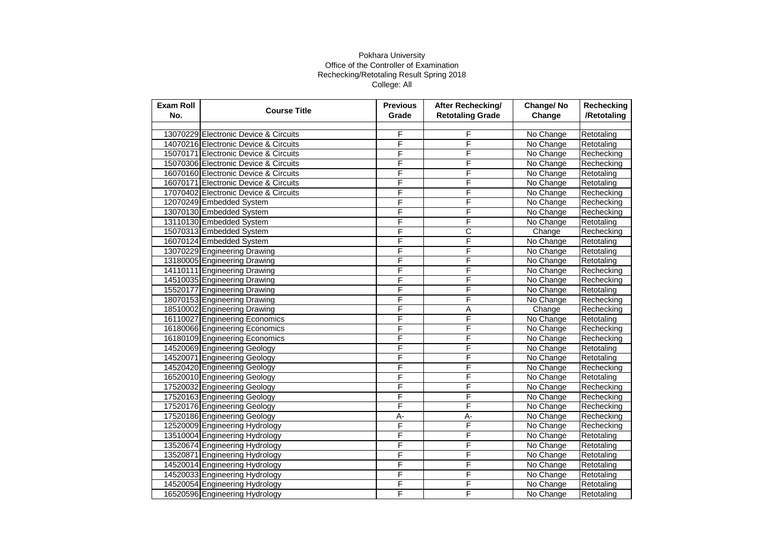| <b>Exam Roll</b><br>No. | <b>Course Title</b>                   | <b>Previous</b><br>Grade | After Rechecking/<br><b>Retotaling Grade</b> | Change/No<br>Change | Rechecking<br>/Retotaling |
|-------------------------|---------------------------------------|--------------------------|----------------------------------------------|---------------------|---------------------------|
|                         |                                       |                          |                                              |                     |                           |
|                         | 13070229 Electronic Device & Circuits | F                        | F                                            | No Change           | Retotaling                |
|                         | 14070216 Electronic Device & Circuits | F                        | F                                            | No Change           | Retotaling                |
|                         | 15070171 Electronic Device & Circuits | F                        | F                                            | No Change           | Rechecking                |
|                         | 15070306 Electronic Device & Circuits | F                        | F                                            | No Change           | Rechecking                |
|                         | 16070160 Electronic Device & Circuits | F                        | F                                            | No Change           | Retotaling                |
|                         | 16070171 Electronic Device & Circuits | F                        | F                                            | No Change           | Retotaling                |
|                         | 17070402 Electronic Device & Circuits | F                        | F                                            | No Change           | Rechecking                |
|                         | 12070249 Embedded System              | F                        | F                                            | No Change           | Rechecking                |
|                         | 13070130 Embedded System              | F                        | F                                            | No Change           | Rechecking                |
|                         | 13110130 Embedded System              | F                        | F                                            | No Change           | Retotaling                |
|                         | 15070313 Embedded System              | F                        | С                                            | Change              | Rechecking                |
|                         | 16070124 Embedded System              | F                        | F                                            | No Change           | Retotaling                |
|                         | 13070229 Engineering Drawing          | F                        | F                                            | No Change           | Retotaling                |
|                         | 13180005 Engineering Drawing          | F                        | F                                            | No Change           | Retotaling                |
|                         | 14110111 Engineering Drawing          | F                        | F                                            | No Change           | Rechecking                |
|                         | 14510035 Engineering Drawing          | F                        | F                                            | No Change           | Rechecking                |
|                         | 15520177 Engineering Drawing          | F                        | F                                            | No Change           | Retotaling                |
|                         | 18070153 Engineering Drawing          | F                        | F                                            | No Change           | Rechecking                |
|                         | 18510002 Engineering Drawing          | F                        | Α                                            | Change              | Rechecking                |
|                         | 16110027 Engineering Economics        | F                        | F                                            | No Change           | Retotaling                |
|                         | 16180066 Engineering Economics        | F                        | F                                            | No Change           | Rechecking                |
|                         | 16180109 Engineering Economics        | F                        | F                                            | No Change           | Rechecking                |
|                         | 14520069 Engineering Geology          | F                        | F                                            | No Change           | Retotaling                |
|                         | 14520071 Engineering Geology          | F                        | F                                            | No Change           | Retotaling                |
|                         | 14520420 Engineering Geology          | F                        | F                                            | No Change           | Rechecking                |
|                         | 16520010 Engineering Geology          | F                        | F                                            | No Change           | Retotaling                |
|                         | 17520032 Engineering Geology          | F                        | F                                            | No Change           | Rechecking                |
|                         | 17520163 Engineering Geology          | F                        | F                                            | No Change           | Rechecking                |
|                         | 17520176 Engineering Geology          | F                        | F                                            | No Change           | Rechecking                |
|                         | 17520186 Engineering Geology          | $\overline{A}$           | А-                                           | No Change           | Rechecking                |
|                         | 12520009 Engineering Hydrology        | F                        | F                                            | No Change           | Rechecking                |
|                         | 13510004 Engineering Hydrology        | F                        | F                                            | No Change           | Retotaling                |
|                         | 13520674 Engineering Hydrology        | F                        | F                                            | No Change           | Retotaling                |
|                         | 13520871 Engineering Hydrology        | F                        | F                                            | No Change           | Retotaling                |
|                         | 14520014 Engineering Hydrology        | F                        | F                                            | No Change           | Retotaling                |
|                         | 14520033 Engineering Hydrology        | F                        | F                                            | No Change           | Retotaling                |
|                         | 14520054 Engineering Hydrology        | F                        | F                                            | No Change           | Retotaling                |
|                         | 16520596 Engineering Hydrology        | F                        | F                                            | No Change           | Retotaling                |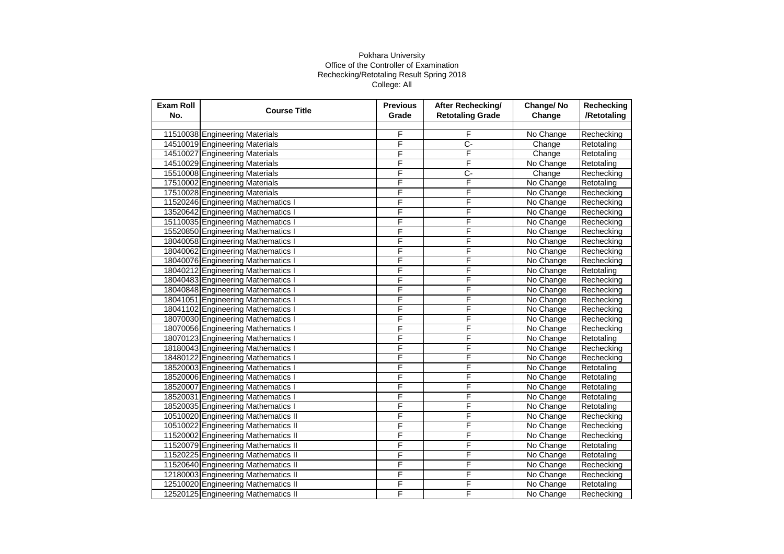| <b>Exam Roll</b><br>No. | <b>Course Title</b>                 | <b>Previous</b><br>Grade | <b>After Rechecking/</b><br><b>Retotaling Grade</b> | Change/No<br>Change | Rechecking<br>/Retotaling |
|-------------------------|-------------------------------------|--------------------------|-----------------------------------------------------|---------------------|---------------------------|
|                         |                                     |                          |                                                     |                     |                           |
|                         | 11510038 Engineering Materials      | F                        | F                                                   | No Change           | Rechecking                |
|                         | 14510019 Engineering Materials      | F                        | Ç-                                                  | Change              | Retotaling                |
|                         | 14510027 Engineering Materials      | F                        | F                                                   | Change              | Retotaling                |
|                         | 14510029 Engineering Materials      | F                        | F                                                   | No Change           | Retotaling                |
|                         | 15510008 Engineering Materials      | F                        | C-                                                  | Change              | Rechecking                |
|                         | 17510002 Engineering Materials      | F                        | F                                                   | No Change           | Retotaling                |
|                         | 17510028 Engineering Materials      | F                        | F                                                   | No Change           | Rechecking                |
|                         | 11520246 Engineering Mathematics I  | F                        | F                                                   | No Change           | Rechecking                |
|                         | 13520642 Engineering Mathematics I  | F                        | F                                                   | No Change           | Rechecking                |
|                         | 15110035 Engineering Mathematics I  | F                        | F                                                   | No Change           | Rechecking                |
|                         | 15520850 Engineering Mathematics I  | F                        | F                                                   | No Change           | Rechecking                |
|                         | 18040058 Engineering Mathematics I  | F                        | F                                                   | No Change           | Rechecking                |
|                         | 18040062 Engineering Mathematics I  | F                        | F                                                   | No Change           | Rechecking                |
|                         | 18040076 Engineering Mathematics I  | F                        | F                                                   | No Change           | Rechecking                |
|                         | 18040212 Engineering Mathematics I  | F                        | F                                                   | No Change           | Retotaling                |
|                         | 18040483 Engineering Mathematics I  | F                        | F                                                   | No Change           | Rechecking                |
|                         | 18040848 Engineering Mathematics I  | F                        | F                                                   | No Change           | Rechecking                |
|                         | 18041051 Engineering Mathematics I  | F                        | F                                                   | No Change           | Rechecking                |
|                         | 18041102 Engineering Mathematics I  | F                        | F                                                   | No Change           | Rechecking                |
|                         | 18070030 Engineering Mathematics I  | F                        | F                                                   | No Change           | Rechecking                |
|                         | 18070056 Engineering Mathematics I  | F                        | F                                                   | No Change           | Rechecking                |
|                         | 18070123 Engineering Mathematics I  | F                        | F                                                   | No Change           | Retotaling                |
|                         | 18180043 Engineering Mathematics I  | F                        | F                                                   | No Change           | Rechecking                |
|                         | 18480122 Engineering Mathematics I  | F                        | F                                                   | No Change           | Rechecking                |
|                         | 18520003 Engineering Mathematics I  | F                        | F                                                   | No Change           | Retotaling                |
|                         | 18520006 Engineering Mathematics I  | F                        | F                                                   | No Change           | Retotaling                |
|                         | 18520007 Engineering Mathematics I  | F                        | F                                                   | No Change           | Retotaling                |
|                         | 18520031 Engineering Mathematics I  | F                        | F                                                   | No Change           | Retotaling                |
|                         | 18520035 Engineering Mathematics I  | F                        | F                                                   | No Change           | Retotaling                |
|                         | 10510020 Engineering Mathematics II | F                        | F                                                   | No Change           | Rechecking                |
|                         | 10510022 Engineering Mathematics II | F                        | F                                                   | No Change           | Rechecking                |
|                         | 11520002 Engineering Mathematics II | F                        | F                                                   | No Change           | Rechecking                |
|                         | 11520079 Engineering Mathematics II | F                        | F                                                   | No Change           | Retotaling                |
|                         | 11520225 Engineering Mathematics II | F                        | F                                                   | No Change           | Retotaling                |
|                         | 11520640 Engineering Mathematics II | F                        | F                                                   | No Change           | Rechecking                |
|                         | 12180003 Engineering Mathematics II | F                        | F                                                   | No Change           | Rechecking                |
|                         | 12510020 Engineering Mathematics II | F                        | F                                                   | No Change           | Retotaling                |
|                         | 12520125 Engineering Mathematics II | F                        | F                                                   | No Change           | Rechecking                |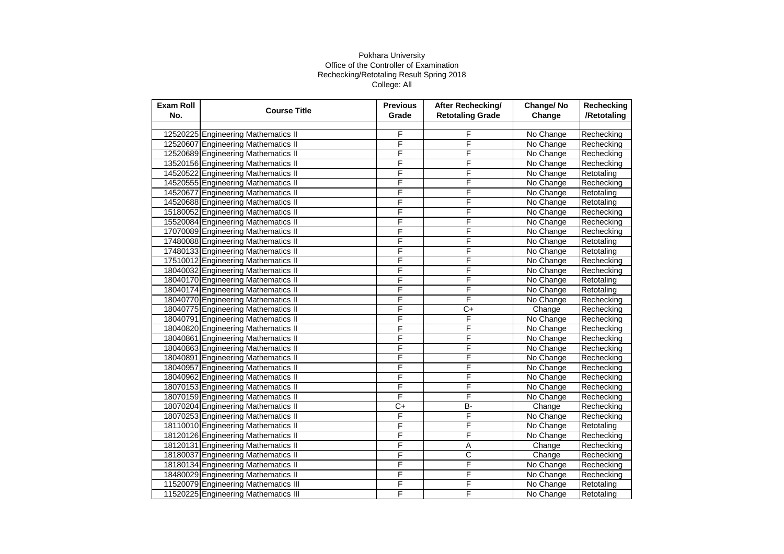| <b>Exam Roll</b><br>No. | <b>Course Title</b>                  | <b>Previous</b><br>Grade | After Rechecking/<br><b>Retotaling Grade</b> | Change/No<br>Change | Rechecking<br>/Retotaling |
|-------------------------|--------------------------------------|--------------------------|----------------------------------------------|---------------------|---------------------------|
|                         |                                      |                          |                                              |                     |                           |
|                         | 12520225 Engineering Mathematics II  | F                        | F                                            | No Change           | Rechecking                |
|                         | 12520607 Engineering Mathematics II  | F                        | F                                            | No Change           | Rechecking                |
|                         | 12520689 Engineering Mathematics II  | F                        | F                                            | No Change           | Rechecking                |
|                         | 13520156 Engineering Mathematics II  | F                        | F                                            | No Change           | Rechecking                |
|                         | 14520522 Engineering Mathematics II  | Ē                        | F                                            | No Change           | Retotaling                |
|                         | 14520555 Engineering Mathematics II  | F                        | F                                            | No Change           | Rechecking                |
|                         | 14520677 Engineering Mathematics II  | F                        | F                                            | No Change           | Retotaling                |
|                         | 14520688 Engineering Mathematics II  | F                        | F                                            | No Change           | Retotaling                |
|                         | 15180052 Engineering Mathematics II  | F                        | F                                            | No Change           | Rechecking                |
|                         | 15520084 Engineering Mathematics II  | F                        | F                                            | No Change           | Rechecking                |
|                         | 17070089 Engineering Mathematics II  | F                        | F                                            | No Change           | Rechecking                |
|                         | 17480088 Engineering Mathematics II  | F                        | F                                            | No Change           | Retotaling                |
|                         | 17480133 Engineering Mathematics II  | F                        | F                                            | No Change           | Retotaling                |
|                         | 17510012 Engineering Mathematics II  | F                        | F                                            | No Change           | Rechecking                |
|                         | 18040032 Engineering Mathematics II  | F                        | F                                            | No Change           | Rechecking                |
|                         | 18040170 Engineering Mathematics II  | F                        | F                                            | No Change           | Retotaling                |
|                         | 18040174 Engineering Mathematics II  | F                        | F                                            | No Change           | Retotaling                |
|                         | 18040770 Engineering Mathematics II  | F                        | F                                            | No Change           | Rechecking                |
|                         | 18040775 Engineering Mathematics II  | F                        | $C+$                                         | Change              | Rechecking                |
|                         | 18040791 Engineering Mathematics II  | F                        | F                                            | No Change           | Rechecking                |
|                         | 18040820 Engineering Mathematics II  | F                        | F                                            | No Change           | Rechecking                |
|                         | 18040861 Engineering Mathematics II  | F                        | F                                            | No Change           | Rechecking                |
|                         | 18040863 Engineering Mathematics II  | F                        | F                                            | No Change           | Rechecking                |
|                         | 18040891 Engineering Mathematics II  | F                        | F                                            | No Change           | Rechecking                |
|                         | 18040957 Engineering Mathematics II  | F                        | F                                            | No Change           | Rechecking                |
|                         | 18040962 Engineering Mathematics II  | F                        | F                                            | No Change           | Rechecking                |
|                         | 18070153 Engineering Mathematics II  | F                        | F                                            | No Change           | Rechecking                |
|                         | 18070159 Engineering Mathematics II  | F                        | F                                            | No Change           | Rechecking                |
|                         | 18070204 Engineering Mathematics II  | C+                       | B-                                           | Change              | Rechecking                |
|                         | 18070253 Engineering Mathematics II  | F                        | F                                            | No Change           | Rechecking                |
|                         | 18110010 Engineering Mathematics II  | F                        | F                                            | No Change           | Retotaling                |
|                         | 18120126 Engineering Mathematics II  | F                        | F                                            | No Change           | Rechecking                |
|                         | 18120131 Engineering Mathematics II  | F                        | Α                                            | Change              | Rechecking                |
|                         | 18180037 Engineering Mathematics II  | F                        | $\overline{\text{c}}$                        | Change              | Rechecking                |
|                         | 18180134 Engineering Mathematics II  | F                        | F                                            | No Change           | Rechecking                |
|                         | 18480029 Engineering Mathematics II  | F                        | F                                            | No Change           | Rechecking                |
|                         | 11520079 Engineering Mathematics III | F                        | F                                            | No Change           | Retotaling                |
|                         | 11520225 Engineering Mathematics III | F                        | F                                            | No Change           | Retotaling                |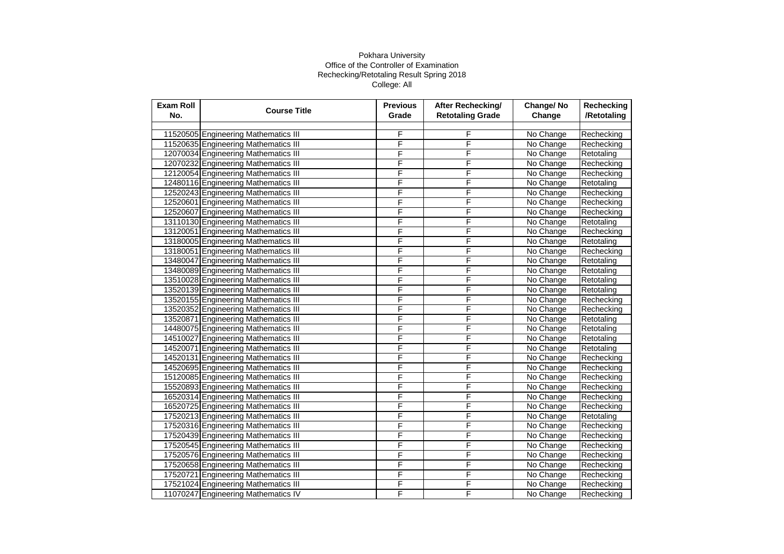| <b>Exam Roll</b><br>No. | <b>Course Title</b>                  | <b>Previous</b><br>Grade | After Rechecking/<br><b>Retotaling Grade</b> | Change/No<br>Change | Rechecking<br>/Retotaling |
|-------------------------|--------------------------------------|--------------------------|----------------------------------------------|---------------------|---------------------------|
|                         |                                      |                          |                                              |                     |                           |
|                         | 11520505 Engineering Mathematics III | F                        | F                                            | No Change           | Rechecking                |
|                         | 11520635 Engineering Mathematics III | F                        | F                                            | No Change           | Rechecking                |
|                         | 12070034 Engineering Mathematics III | F                        | F                                            | No Change           | Retotaling                |
|                         | 12070232 Engineering Mathematics III | F                        | F                                            | No Change           | Rechecking                |
|                         | 12120054 Engineering Mathematics III | F                        | F                                            | No Change           | Rechecking                |
|                         | 12480116 Engineering Mathematics III | F                        | F                                            | No Change           | Retotaling                |
|                         | 12520243 Engineering Mathematics III | F                        | F                                            | No Change           | Rechecking                |
|                         | 12520601 Engineering Mathematics III | F                        | F                                            | No Change           | Rechecking                |
|                         | 12520607 Engineering Mathematics III | F                        | F                                            | No Change           | Rechecking                |
|                         | 13110130 Engineering Mathematics III | F                        | F                                            | No Change           | Retotaling                |
|                         | 13120051 Engineering Mathematics III | F                        | F                                            | No Change           | Rechecking                |
|                         | 13180005 Engineering Mathematics III | F                        | F                                            | No Change           | Retotaling                |
|                         | 13180051 Engineering Mathematics III | F                        | F                                            | No Change           | Rechecking                |
|                         | 13480047 Engineering Mathematics III | F                        | F                                            | No Change           | Retotaling                |
|                         | 13480089 Engineering Mathematics III | F                        | F                                            | No Change           | Retotaling                |
|                         | 13510028 Engineering Mathematics III | F                        | F                                            | No Change           | Retotaling                |
|                         | 13520139 Engineering Mathematics III | F                        | F                                            | No Change           | Retotaling                |
|                         | 13520155 Engineering Mathematics III | F                        | F                                            | No Change           | Rechecking                |
|                         | 13520352 Engineering Mathematics III | F                        | F                                            | No Change           | Rechecking                |
|                         | 13520871 Engineering Mathematics III | F                        | F                                            | No Change           | Retotaling                |
|                         | 14480075 Engineering Mathematics III | F                        | F                                            | No Change           | Retotaling                |
|                         | 14510027 Engineering Mathematics III | F                        | F                                            | No Change           | Retotaling                |
|                         | 14520071 Engineering Mathematics III | F                        | F                                            | No Change           | Retotaling                |
|                         | 14520131 Engineering Mathematics III | F                        | F                                            | No Change           | Rechecking                |
|                         | 14520695 Engineering Mathematics III | F                        | F                                            | No Change           | Rechecking                |
|                         | 15120085 Engineering Mathematics III | F                        | F                                            | No Change           | Rechecking                |
|                         | 15520893 Engineering Mathematics III | F                        | F                                            | No Change           | Rechecking                |
|                         | 16520314 Engineering Mathematics III | F                        | F                                            | No Change           | Rechecking                |
|                         | 16520725 Engineering Mathematics III | F                        | F                                            | No Change           | Rechecking                |
|                         | 17520213 Engineering Mathematics III | F                        | F                                            | No Change           | Retotaling                |
|                         | 17520316 Engineering Mathematics III | F                        | F                                            | No Change           | Rechecking                |
|                         | 17520439 Engineering Mathematics III | F                        | F                                            | No Change           | Rechecking                |
|                         | 17520545 Engineering Mathematics III | F                        | F                                            | No Change           | Rechecking                |
|                         | 17520576 Engineering Mathematics III | F                        | F                                            | No Change           | Rechecking                |
|                         | 17520658 Engineering Mathematics III | F                        | F                                            | No Change           | Rechecking                |
|                         | 17520721 Engineering Mathematics III | F                        | F                                            | No Change           | Rechecking                |
|                         | 17521024 Engineering Mathematics III | F                        | F                                            | No Change           | Rechecking                |
|                         | 11070247 Engineering Mathematics IV  | F                        | F                                            | No Change           | Rechecking                |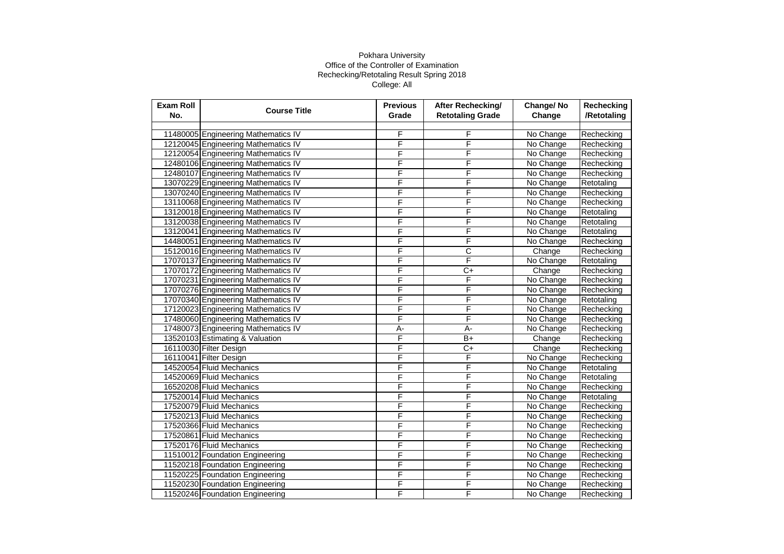| <b>Exam Roll</b><br>No. | <b>Course Title</b>                 | <b>Previous</b><br>Grade | After Rechecking/<br><b>Retotaling Grade</b> | Change/No<br>Change | Rechecking<br>/Retotaling |
|-------------------------|-------------------------------------|--------------------------|----------------------------------------------|---------------------|---------------------------|
|                         |                                     |                          |                                              |                     |                           |
|                         | 11480005 Engineering Mathematics IV | F                        | F                                            | No Change           | Rechecking                |
|                         | 12120045 Engineering Mathematics IV | F                        | F                                            | No Change           | Rechecking                |
|                         | 12120054 Engineering Mathematics IV | F                        | F                                            | No Change           | Rechecking                |
|                         | 12480106 Engineering Mathematics IV | F                        | F                                            | No Change           | Rechecking                |
|                         | 12480107 Engineering Mathematics IV | F                        | F                                            | No Change           | Rechecking                |
|                         | 13070229 Engineering Mathematics IV | F                        | F                                            | No Change           | Retotaling                |
|                         | 13070240 Engineering Mathematics IV | F                        | F                                            | No Change           | Rechecking                |
|                         | 13110068 Engineering Mathematics IV | F                        | F                                            | No Change           | Rechecking                |
|                         | 13120018 Engineering Mathematics IV | F                        | F                                            | No Change           | Retotaling                |
|                         | 13120038 Engineering Mathematics IV | F                        | F                                            | No Change           | Retotaling                |
|                         | 13120041 Engineering Mathematics IV | F                        | F                                            | No Change           | Retotaling                |
|                         | 14480051 Engineering Mathematics IV | F                        | F                                            | No Change           | Rechecking                |
|                         | 15120016 Engineering Mathematics IV | F                        | С                                            | Change              | Rechecking                |
|                         | 17070137 Engineering Mathematics IV | F                        | F                                            | No Change           | Retotaling                |
|                         | 17070172 Engineering Mathematics IV | F                        | $\overline{C}$                               | Change              | Rechecking                |
|                         | 17070231 Engineering Mathematics IV | F                        | F                                            | No Change           | Rechecking                |
|                         | 17070276 Engineering Mathematics IV | F                        | F                                            | No Change           | Rechecking                |
|                         | 17070340 Engineering Mathematics IV | F                        | F                                            | No Change           | Retotaling                |
|                         | 17120023 Engineering Mathematics IV | F                        | F                                            | No Change           | Rechecking                |
|                         | 17480060 Engineering Mathematics IV | F                        | F                                            | No Change           | Rechecking                |
|                         | 17480073 Engineering Mathematics IV | $A -$                    | $A -$                                        | No Change           | Rechecking                |
|                         | 13520103 Estimating & Valuation     | F                        | $B+$                                         | Change              | Rechecking                |
|                         | 16110030 Filter Design              | F                        | $C+$                                         | Change              | Rechecking                |
|                         | 16110041 Filter Design              | F                        | F                                            | No Change           | Rechecking                |
|                         | 14520054 Fluid Mechanics            | F                        | F                                            | No Change           | Retotaling                |
|                         | 14520069 Fluid Mechanics            | F                        | F                                            | No Change           | Retotaling                |
|                         | 16520208 Fluid Mechanics            | F                        | F                                            | No Change           | Rechecking                |
|                         | 17520014 Fluid Mechanics            | F                        | F                                            | No Change           | Retotaling                |
|                         | 17520079 Fluid Mechanics            | F                        | F                                            | No Change           | Rechecking                |
|                         | 17520213 Fluid Mechanics            | F                        | F                                            | No Change           | Rechecking                |
|                         | 17520366 Fluid Mechanics            | F                        | F                                            | No Change           | Rechecking                |
|                         | 17520861 Fluid Mechanics            | F                        | F                                            | No Change           | Rechecking                |
|                         | 17520176 Fluid Mechanics            | F                        | F                                            | No Change           | Rechecking                |
|                         | 11510012 Foundation Engineering     | F                        | F                                            | No Change           | Rechecking                |
|                         | 11520218 Foundation Engineering     | F                        | F                                            | No Change           | Rechecking                |
|                         | 11520225 Foundation Engineering     | F                        | F                                            | No Change           | Rechecking                |
|                         | 11520230 Foundation Engineering     | F                        | F                                            | No Change           | Rechecking                |
|                         | 11520246 Foundation Engineering     | F                        | F                                            | No Change           | Rechecking                |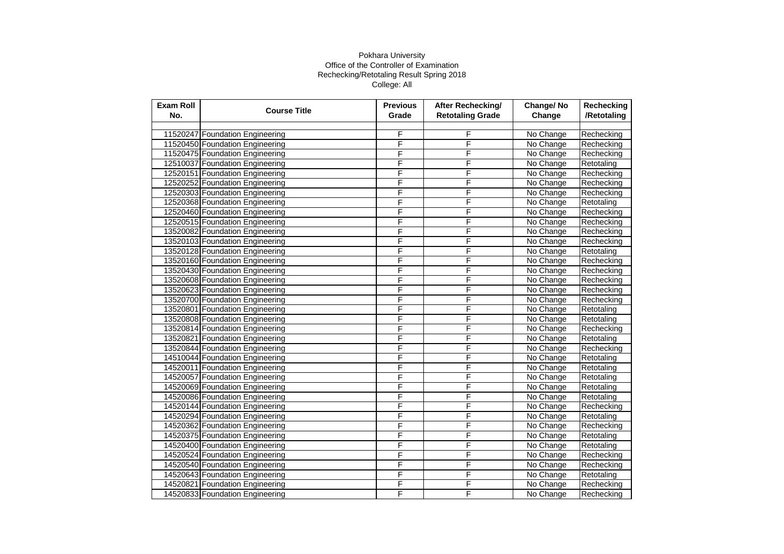| <b>Exam Roll</b><br>No. | <b>Course Title</b>             | <b>Previous</b><br>Grade | After Rechecking/<br><b>Retotaling Grade</b> | Change/No<br>Change | <b>Rechecking</b><br>/Retotaling |
|-------------------------|---------------------------------|--------------------------|----------------------------------------------|---------------------|----------------------------------|
|                         |                                 |                          |                                              |                     |                                  |
|                         | 11520247 Foundation Engineering | F                        | F                                            | No Change           | Rechecking                       |
|                         | 11520450 Foundation Engineering | F                        | F                                            | No Change           | Rechecking                       |
|                         | 11520475 Foundation Engineering | F                        | F                                            | No Change           | Rechecking                       |
|                         | 12510037 Foundation Engineering | F                        | F                                            | No Change           | Retotaling                       |
|                         | 12520151 Foundation Engineering | F                        | F                                            | No Change           | Rechecking                       |
|                         | 12520252 Foundation Engineering | F                        | F                                            | No Change           | Rechecking                       |
|                         | 12520303 Foundation Engineering | F                        | F                                            | No Change           | Rechecking                       |
|                         | 12520368 Foundation Engineering | F                        | F                                            | No Change           | Retotaling                       |
|                         | 12520460 Foundation Engineering | F                        | F                                            | No Change           | Rechecking                       |
|                         | 12520515 Foundation Engineering | F                        | F                                            | No Change           | Rechecking                       |
|                         | 13520082 Foundation Engineering | F                        | F                                            | No Change           | Rechecking                       |
|                         | 13520103 Foundation Engineering | F                        | F                                            | No Change           | Rechecking                       |
|                         | 13520128 Foundation Engineering | F                        | F                                            | No Change           | Retotaling                       |
|                         | 13520160 Foundation Engineering | F                        | F                                            | No Change           | Rechecking                       |
|                         | 13520430 Foundation Engineering | F                        | F                                            | No Change           | Rechecking                       |
|                         | 13520608 Foundation Engineering | F                        | F                                            | No Change           | Rechecking                       |
|                         | 13520623 Foundation Engineering | F                        | F                                            | No Change           | Rechecking                       |
|                         | 13520700 Foundation Engineering | F                        | F                                            | No Change           | Rechecking                       |
|                         | 13520801 Foundation Engineering | F                        | F                                            | No Change           | Retotaling                       |
|                         | 13520808 Foundation Engineering | F                        | F                                            | No Change           | Retotaling                       |
|                         | 13520814 Foundation Engineering | F                        | F                                            | No Change           | Rechecking                       |
|                         | 13520821 Foundation Engineering | F                        | F                                            | No Change           | Retotaling                       |
|                         | 13520844 Foundation Engineering | F                        | F                                            | No Change           | Rechecking                       |
|                         | 14510044 Foundation Engineering | F                        | F                                            | No Change           | Retotaling                       |
|                         | 14520011 Foundation Engineering | F                        | F                                            | No Change           | Retotaling                       |
|                         | 14520057 Foundation Engineering | F                        | F                                            | No Change           | Retotaling                       |
|                         | 14520069 Foundation Engineering | F                        | F                                            | No Change           | Retotaling                       |
|                         | 14520086 Foundation Engineering | F                        | F                                            | No Change           | Retotaling                       |
|                         | 14520144 Foundation Engineering | F                        | F                                            | No Change           | Rechecking                       |
|                         | 14520294 Foundation Engineering | F                        | F                                            | No Change           | Retotaling                       |
|                         | 14520362 Foundation Engineering | F                        | F                                            | No Change           | Rechecking                       |
|                         | 14520375 Foundation Engineering | F                        | F                                            | No Change           | Retotaling                       |
|                         | 14520400 Foundation Engineering | F                        | F                                            | No Change           | Retotaling                       |
|                         | 14520524 Foundation Engineering | F                        | F                                            | No Change           | Rechecking                       |
|                         | 14520540 Foundation Engineering | F                        | F                                            | No Change           | Rechecking                       |
|                         | 14520643 Foundation Engineering | F                        | F                                            | No Change           | Retotaling                       |
|                         | 14520821 Foundation Engineering | F                        | F                                            | No Change           | Rechecking                       |
|                         | 14520833 Foundation Engineering | F                        | F                                            | No Change           | Rechecking                       |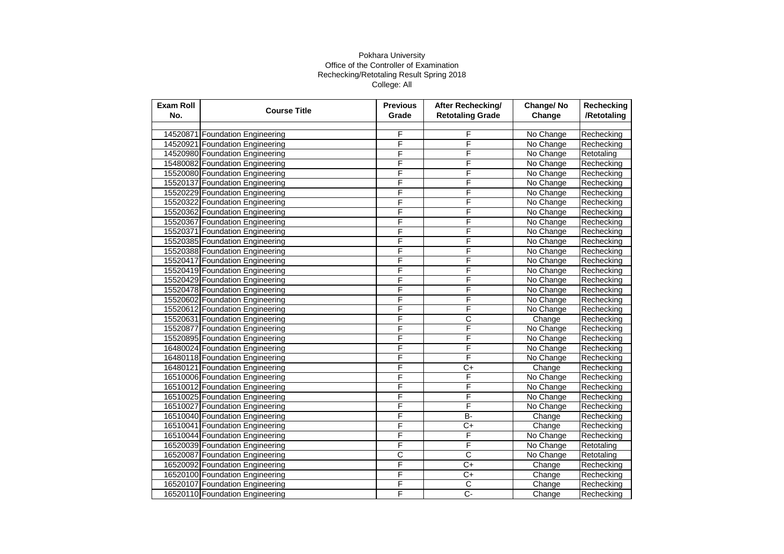| <b>Exam Roll</b><br>No. | <b>Course Title</b>             | <b>Previous</b><br>Grade | After Rechecking/<br><b>Retotaling Grade</b> | Change/No<br>Change | Rechecking<br>/Retotaling |
|-------------------------|---------------------------------|--------------------------|----------------------------------------------|---------------------|---------------------------|
|                         |                                 |                          |                                              |                     |                           |
|                         | 14520871 Foundation Engineering | F                        | F                                            | No Change           | Rechecking                |
|                         | 14520921 Foundation Engineering | F                        | F                                            | No Change           | Rechecking                |
|                         | 14520980 Foundation Engineering | F                        | F                                            | No Change           | Retotaling                |
|                         | 15480082 Foundation Engineering | F                        | F                                            | No Change           | Rechecking                |
|                         | 15520080 Foundation Engineering | F                        | F                                            | No Change           | Rechecking                |
|                         | 15520137 Foundation Engineering | F                        | F                                            | No Change           | Rechecking                |
|                         | 15520229 Foundation Engineering | F                        | F                                            | No Change           | Rechecking                |
|                         | 15520322 Foundation Engineering | F                        | F                                            | No Change           | Rechecking                |
|                         | 15520362 Foundation Engineering | F                        | F                                            | No Change           | Rechecking                |
|                         | 15520367 Foundation Engineering | F                        | F                                            | No Change           | Rechecking                |
|                         | 15520371 Foundation Engineering | F                        | F                                            | No Change           | Rechecking                |
|                         | 15520385 Foundation Engineering | F                        | F                                            | No Change           | Rechecking                |
|                         | 15520388 Foundation Engineering | F                        | F                                            | No Change           | Rechecking                |
|                         | 15520417 Foundation Engineering | F                        | F                                            | No Change           | Rechecking                |
|                         | 15520419 Foundation Engineering | F                        | F                                            | No Change           | Rechecking                |
|                         | 15520429 Foundation Engineering | F                        | F                                            | No Change           | Rechecking                |
|                         | 15520478 Foundation Engineering | F                        | F                                            | No Change           | Rechecking                |
|                         | 15520602 Foundation Engineering | F                        | F                                            | No Change           | Rechecking                |
|                         | 15520612 Foundation Engineering | F                        | F                                            | No Change           | Rechecking                |
|                         | 15520631 Foundation Engineering | F                        | $\overline{\text{c}}$                        | Change              | Rechecking                |
|                         | 15520877 Foundation Engineering | F                        | F                                            | No Change           | Rechecking                |
|                         | 15520895 Foundation Engineering | F                        | F                                            | No Change           | Rechecking                |
|                         | 16480024 Foundation Engineering | F                        | F                                            | No Change           | Rechecking                |
|                         | 16480118 Foundation Engineering | F                        | F                                            | No Change           | Rechecking                |
|                         | 16480121 Foundation Engineering | F                        | $\overline{C+}$                              | Change              | Rechecking                |
|                         | 16510006 Foundation Engineering | F                        | F                                            | No Change           | Rechecking                |
|                         | 16510012 Foundation Engineering | F                        | F                                            | No Change           | Rechecking                |
|                         | 16510025 Foundation Engineering | F                        | F                                            | No Change           | Rechecking                |
|                         | 16510027 Foundation Engineering | F                        | F                                            | No Change           | Rechecking                |
|                         | 16510040 Foundation Engineering | F                        | B-                                           | Change              | Rechecking                |
|                         | 16510041 Foundation Engineering | F                        | $\overline{C+}$                              | Change              | Rechecking                |
|                         | 16510044 Foundation Engineering | F                        | F                                            | No Change           | Rechecking                |
|                         | 16520039 Foundation Engineering | F                        | F                                            | No Change           | Retotaling                |
|                         | 16520087 Foundation Engineering | $\overline{\text{c}}$    | C                                            | No Change           | Retotaling                |
|                         | 16520092 Foundation Engineering | F                        | $C+$                                         | Change              | Rechecking                |
|                         | 16520100 Foundation Engineering | F                        | $\overline{C}$                               | Change              | Rechecking                |
|                         | 16520107 Foundation Engineering | F                        | $\overline{\mathsf{c}}$                      | Change              | Rechecking                |
|                         | 16520110 Foundation Engineering | F                        | Ç-                                           | Change              | Rechecking                |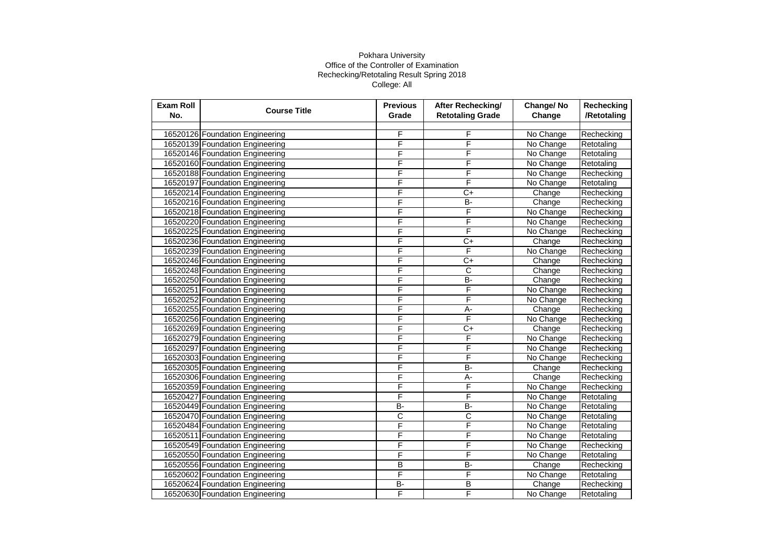| <b>Exam Roll</b><br>No. | <b>Course Title</b>             | <b>Previous</b><br>Grade | <b>After Rechecking/</b><br><b>Retotaling Grade</b> | Change/No<br>Change | <b>Rechecking</b><br>/Retotaling |
|-------------------------|---------------------------------|--------------------------|-----------------------------------------------------|---------------------|----------------------------------|
|                         |                                 |                          |                                                     |                     |                                  |
|                         | 16520126 Foundation Engineering | F                        | F                                                   | No Change           | Rechecking                       |
|                         | 16520139 Foundation Engineering | F                        | F                                                   | No Change           | Retotaling                       |
|                         | 16520146 Foundation Engineering | F                        | F                                                   | No Change           | Retotaling                       |
|                         | 16520160 Foundation Engineering | F                        | F                                                   | No Change           | Retotaling                       |
|                         | 16520188 Foundation Engineering | F                        | F                                                   | No Change           | Rechecking                       |
|                         | 16520197 Foundation Engineering | F                        | F                                                   | No Change           | Retotaling                       |
|                         | 16520214 Foundation Engineering | F                        | C+                                                  | Change              | Rechecking                       |
|                         | 16520216 Foundation Engineering | F                        | <b>B-</b>                                           | Change              | Rechecking                       |
|                         | 16520218 Foundation Engineering | F                        | F                                                   | No Change           | Rechecking                       |
|                         | 16520220 Foundation Engineering | F                        | F                                                   | No Change           | Rechecking                       |
|                         | 16520225 Foundation Engineering | F                        | F                                                   | No Change           | Rechecking                       |
|                         | 16520236 Foundation Engineering | F                        | C+                                                  | Change              | Rechecking                       |
|                         | 16520239 Foundation Engineering | F                        | F                                                   | No Change           | Rechecking                       |
|                         | 16520246 Foundation Engineering | F                        | $\overline{C}$                                      | Change              | Rechecking                       |
|                         | 16520248 Foundation Engineering | F                        | C                                                   | Change              | Rechecking                       |
|                         | 16520250 Foundation Engineering | F                        | <b>B-</b>                                           | Change              | Rechecking                       |
|                         | 16520251 Foundation Engineering | F                        | F                                                   | No Change           | Rechecking                       |
|                         | 16520252 Foundation Engineering | F                        | F                                                   | No Change           | Rechecking                       |
|                         | 16520255 Foundation Engineering | F                        | А-                                                  | Change              | Rechecking                       |
|                         | 16520256 Foundation Engineering | F                        | F                                                   | No Change           | Rechecking                       |
|                         | 16520269 Foundation Engineering | F                        | $\overline{C}$                                      | Change              | Rechecking                       |
|                         | 16520279 Foundation Engineering | F                        | F                                                   | No Change           | Rechecking                       |
|                         | 16520297 Foundation Engineering | F                        | F                                                   | No Change           | Rechecking                       |
|                         | 16520303 Foundation Engineering | F                        | F                                                   | No Change           | Rechecking                       |
|                         | 16520305 Foundation Engineering | F                        | B-                                                  | Change              | Rechecking                       |
|                         | 16520306 Foundation Engineering | F                        | $\overline{A}$ -                                    | Change              | Rechecking                       |
|                         | 16520359 Foundation Engineering | F                        | F                                                   | No Change           | Rechecking                       |
|                         | 16520427 Foundation Engineering | F                        | F                                                   | No Change           | Retotaling                       |
|                         | 16520449 Foundation Engineering | B-                       | B-                                                  | No Change           | Retotaling                       |
|                         | 16520470 Foundation Engineering | C                        | C                                                   | No Change           | Retotaling                       |
|                         | 16520484 Foundation Engineering | F                        | F                                                   | No Change           | Retotaling                       |
|                         | 16520511 Foundation Engineering | F                        | F                                                   | No Change           | Retotaling                       |
|                         | 16520549 Foundation Engineering | F                        | F                                                   | No Change           | Rechecking                       |
|                         | 16520550 Foundation Engineering | F                        | F                                                   | No Change           | Retotaling                       |
|                         | 16520556 Foundation Engineering | B                        | <b>B-</b>                                           | Change              | Rechecking                       |
|                         | 16520602 Foundation Engineering | F                        | F                                                   | No Change           | Retotaling                       |
|                         | 16520624 Foundation Engineering | $\overline{B}$           | B                                                   | Change              | Rechecking                       |
|                         | 16520630 Foundation Engineering | F                        | F                                                   | No Change           | Retotaling                       |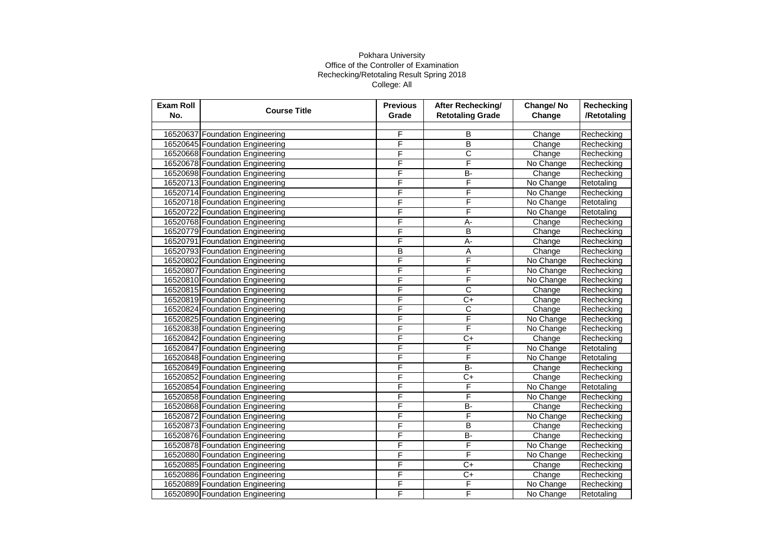| <b>Exam Roll</b><br>No. | <b>Course Title</b>             | <b>Previous</b><br>Grade | <b>After Rechecking/</b><br><b>Retotaling Grade</b> | Change/No<br>Change | <b>Rechecking</b><br>/Retotaling |
|-------------------------|---------------------------------|--------------------------|-----------------------------------------------------|---------------------|----------------------------------|
|                         |                                 |                          |                                                     |                     |                                  |
|                         | 16520637 Foundation Engineering | F                        | В                                                   | Change              | Rechecking                       |
|                         | 16520645 Foundation Engineering | F                        | $\overline{B}$                                      | Change              | Rechecking                       |
|                         | 16520668 Foundation Engineering | F                        | $\overline{\text{c}}$                               | Change              | Rechecking                       |
|                         | 16520678 Foundation Engineering | F                        | F                                                   | No Change           | Rechecking                       |
|                         | 16520698 Foundation Engineering | F                        | <b>B-</b>                                           | Change              | Rechecking                       |
|                         | 16520713 Foundation Engineering | F                        | F                                                   | No Change           | Retotaling                       |
|                         | 16520714 Foundation Engineering | F                        | F                                                   | No Change           | Rechecking                       |
|                         | 16520718 Foundation Engineering | F                        | F                                                   | No Change           | Retotaling                       |
|                         | 16520722 Foundation Engineering | F                        | F                                                   | No Change           | Retotaling                       |
|                         | 16520768 Foundation Engineering | F                        | A-                                                  | Change              | Rechecking                       |
|                         | 16520779 Foundation Engineering | F                        | B                                                   | Change              | Rechecking                       |
|                         | 16520791 Foundation Engineering | F                        | $\overline{A}$ -                                    | Change              | Rechecking                       |
|                         | 16520793 Foundation Engineering | B                        | Α                                                   | Change              | Rechecking                       |
|                         | 16520802 Foundation Engineering | F                        | F                                                   | No Change           | Rechecking                       |
|                         | 16520807 Foundation Engineering | F                        | F                                                   | No Change           | Rechecking                       |
|                         | 16520810 Foundation Engineering | F                        | F                                                   | No Change           | Rechecking                       |
|                         | 16520815 Foundation Engineering | F                        | C                                                   | Change              | Rechecking                       |
|                         | 16520819 Foundation Engineering | F                        | C+                                                  | Change              | Rechecking                       |
|                         | 16520824 Foundation Engineering | F                        | C                                                   | Change              | Rechecking                       |
|                         | 16520825 Foundation Engineering | F                        | F                                                   | No Change           | Rechecking                       |
|                         | 16520838 Foundation Engineering | F                        | F                                                   | No Change           | Rechecking                       |
|                         | 16520842 Foundation Engineering | F                        | C+                                                  | Change              | Rechecking                       |
|                         | 16520847 Foundation Engineering | F                        | F                                                   | No Change           | Retotaling                       |
|                         | 16520848 Foundation Engineering | F                        | F                                                   | No Change           | Retotaling                       |
|                         | 16520849 Foundation Engineering | F                        | B-                                                  | Change              | Rechecking                       |
|                         | 16520852 Foundation Engineering | F                        | $C+$                                                | Change              | Rechecking                       |
|                         | 16520854 Foundation Engineering | F                        | F                                                   | No Change           | Retotaling                       |
|                         | 16520858 Foundation Engineering | F                        | F                                                   | No Change           | Rechecking                       |
|                         | 16520868 Foundation Engineering | F                        | B-                                                  | Change              | Rechecking                       |
|                         | 16520872 Foundation Engineering | F                        | F                                                   | No Change           | Rechecking                       |
|                         | 16520873 Foundation Engineering | F                        | $\overline{B}$                                      | Change              | Rechecking                       |
|                         | 16520876 Foundation Engineering | F                        | B-                                                  | Change              | Rechecking                       |
|                         | 16520878 Foundation Engineering | F                        | F                                                   | No Change           | Rechecking                       |
|                         | 16520880 Foundation Engineering | F                        | F                                                   | No Change           | Rechecking                       |
|                         | 16520885 Foundation Engineering | F                        | C+                                                  | Change              | Rechecking                       |
|                         | 16520886 Foundation Engineering | F                        | $\overline{C}$                                      | Change              | Rechecking                       |
|                         | 16520889 Foundation Engineering | F                        | F                                                   | No Change           | Rechecking                       |
|                         | 16520890 Foundation Engineering | F                        | F                                                   | No Change           | Retotaling                       |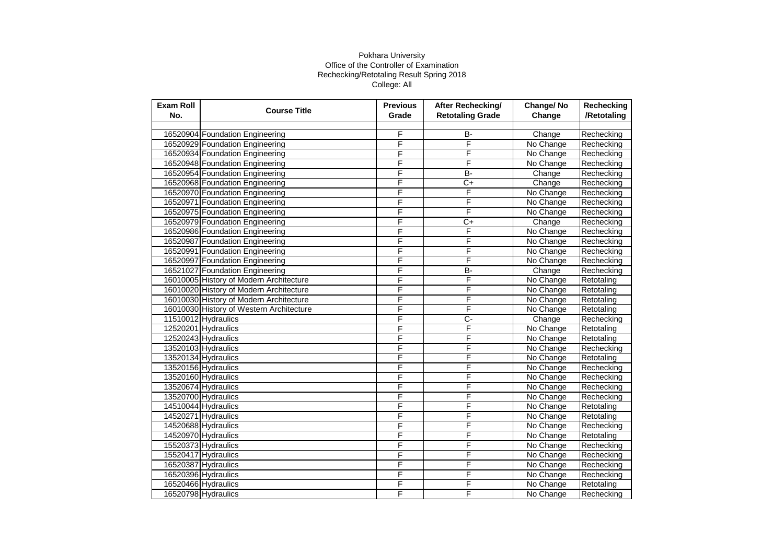| <b>Exam Roll</b><br>No. | <b>Course Title</b>                      | <b>Previous</b><br>Grade | After Rechecking/<br><b>Retotaling Grade</b> | Change/No<br>Change | <b>Rechecking</b><br>/Retotaling |
|-------------------------|------------------------------------------|--------------------------|----------------------------------------------|---------------------|----------------------------------|
|                         |                                          |                          |                                              |                     |                                  |
|                         | 16520904 Foundation Engineering          | F                        | B-                                           | Change              | Rechecking                       |
|                         | 16520929 Foundation Engineering          | F                        | F                                            | No Change           | Rechecking                       |
|                         | 16520934 Foundation Engineering          | F                        | F                                            | No Change           | Rechecking                       |
|                         | 16520948 Foundation Engineering          | F                        | F                                            | No Change           | Rechecking                       |
|                         | 16520954 Foundation Engineering          | F                        | B-                                           | Change              | Rechecking                       |
|                         | 16520968 Foundation Engineering          | F                        | $C+$                                         | Change              | Rechecking                       |
|                         | 16520970 Foundation Engineering          | F                        | F                                            | No Change           | Rechecking                       |
|                         | 16520971 Foundation Engineering          | F                        | F                                            | No Change           | Rechecking                       |
|                         | 16520975 Foundation Engineering          | F                        | F                                            | No Change           | Rechecking                       |
|                         | 16520979 Foundation Engineering          | F                        | $\overline{C}$                               | Change              | Rechecking                       |
|                         | 16520986 Foundation Engineering          | F                        | F                                            | No Change           | Rechecking                       |
|                         | 16520987 Foundation Engineering          | F                        | F                                            | No Change           | Rechecking                       |
|                         | 16520991 Foundation Engineering          | F                        | F                                            | No Change           | Rechecking                       |
|                         | 16520997 Foundation Engineering          | F                        | F                                            | No Change           | Rechecking                       |
|                         | 16521027 Foundation Engineering          | F                        | B-                                           | Change              | Rechecking                       |
|                         | 16010005 History of Modern Architecture  | F                        | F                                            | No Change           | Retotaling                       |
|                         | 16010020 History of Modern Architecture  | F                        | F                                            | No Change           | Retotaling                       |
|                         | 16010030 History of Modern Architecture  | F                        | F                                            | No Change           | Retotaling                       |
|                         | 16010030 History of Western Architecture | F                        | F                                            | No Change           | Retotaling                       |
|                         | 11510012 Hydraulics                      | F                        | $\overline{C}$                               | Change              | Rechecking                       |
|                         | 12520201 Hydraulics                      | F                        | F                                            | No Change           | Retotaling                       |
|                         | 12520243 Hydraulics                      | F                        | F                                            | No Change           | Retotaling                       |
|                         | 13520103 Hydraulics                      | F                        | F                                            | No Change           | Rechecking                       |
|                         | 13520134 Hydraulics                      | F                        | F                                            | No Change           | Retotaling                       |
|                         | 13520156 Hydraulics                      | F                        | F                                            | No Change           | Rechecking                       |
|                         | 13520160 Hydraulics                      | F                        | F                                            | No Change           | Rechecking                       |
|                         | 13520674 Hydraulics                      | F                        | F                                            | No Change           | Rechecking                       |
|                         | 13520700 Hydraulics                      | F                        | F                                            | No Change           | Rechecking                       |
|                         | 14510044 Hydraulics                      | F                        | F                                            | No Change           | Retotaling                       |
|                         | 14520271 Hydraulics                      | F                        | F                                            | No Change           | Retotaling                       |
|                         | 14520688 Hydraulics                      | F                        | F                                            | No Change           | Rechecking                       |
|                         | 14520970 Hydraulics                      | F                        | F                                            | No Change           | Retotaling                       |
|                         | 15520373 Hydraulics                      | F                        | F                                            | No Change           | Rechecking                       |
|                         | 15520417 Hydraulics                      | F                        | F                                            | No Change           | Rechecking                       |
|                         | 16520387 Hydraulics                      | F                        | F                                            | No Change           | Rechecking                       |
|                         | 16520396 Hydraulics                      | F                        | F                                            | No Change           | Rechecking                       |
|                         | 16520466 Hydraulics                      | F                        | F                                            | No Change           | Retotaling                       |
|                         | 16520798 Hydraulics                      | F                        | F                                            | No Change           | Rechecking                       |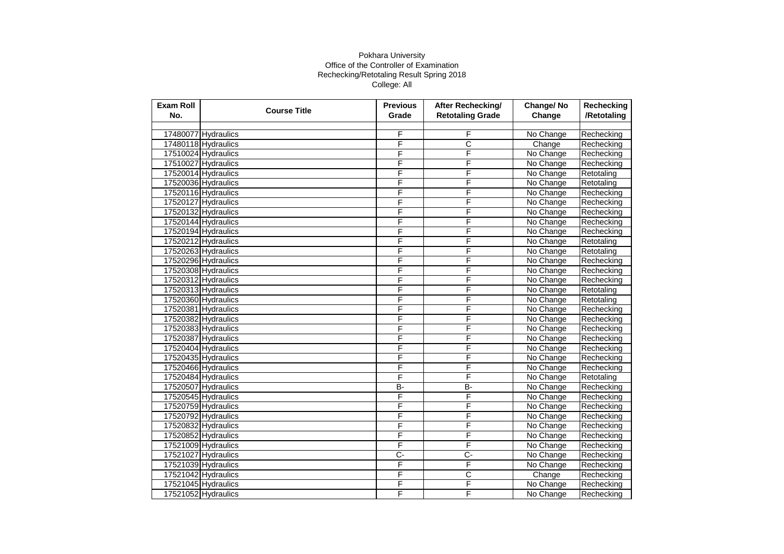| <b>Exam Roll</b><br>No. | <b>Course Title</b> | <b>Previous</b><br>Grade | After Rechecking/<br><b>Retotaling Grade</b> | Change/No<br>Change | <b>Rechecking</b><br>/Retotaling |
|-------------------------|---------------------|--------------------------|----------------------------------------------|---------------------|----------------------------------|
|                         |                     |                          |                                              |                     |                                  |
|                         | 17480077 Hydraulics | F                        | F                                            | No Change           | Rechecking                       |
|                         | 17480118 Hydraulics | F                        | С                                            | Change              | Rechecking                       |
|                         | 17510024 Hydraulics | F                        | F                                            | No Change           | Rechecking                       |
|                         | 17510027 Hydraulics | F                        | F                                            | No Change           | Rechecking                       |
|                         | 17520014 Hydraulics | F                        | F                                            | No Change           | Retotaling                       |
|                         | 17520036 Hydraulics | F                        | F                                            | No Change           | Retotaling                       |
|                         | 17520116 Hydraulics | F                        | F                                            | No Change           | Rechecking                       |
|                         | 17520127 Hydraulics | F                        | F                                            | No Change           | Rechecking                       |
|                         | 17520132 Hydraulics | F                        | F                                            | No Change           | Rechecking                       |
|                         | 17520144 Hydraulics | F                        | F                                            | No Change           | Rechecking                       |
|                         | 17520194 Hydraulics | F                        | F                                            | No Change           | Rechecking                       |
|                         | 17520212 Hydraulics | F                        | F                                            | No Change           | Retotaling                       |
|                         | 17520263 Hydraulics | F                        | F                                            | No Change           | Retotaling                       |
|                         | 17520296 Hydraulics | F                        | F                                            | No Change           | Rechecking                       |
|                         | 17520308 Hydraulics | F                        | F                                            | No Change           | Rechecking                       |
|                         | 17520312 Hydraulics | F                        | F                                            | No Change           | Rechecking                       |
|                         | 17520313 Hydraulics | F                        | F                                            | No Change           | Retotaling                       |
|                         | 17520360 Hydraulics | F                        | F                                            | No Change           | Retotaling                       |
|                         | 17520381 Hydraulics | F                        | F                                            | No Change           | Rechecking                       |
|                         | 17520382 Hydraulics | F                        | F                                            | No Change           | Rechecking                       |
|                         | 17520383 Hydraulics | F                        | F                                            | No Change           | Rechecking                       |
|                         | 17520387 Hydraulics | F                        | F                                            | No Change           | Rechecking                       |
|                         | 17520404 Hydraulics | F                        | F                                            | No Change           | Rechecking                       |
|                         | 17520435 Hydraulics | F                        | F                                            | No Change           | Rechecking                       |
|                         | 17520466 Hydraulics | F                        | F                                            | No Change           | Rechecking                       |
|                         | 17520484 Hydraulics | F                        | F                                            | No Change           | Retotaling                       |
|                         | 17520507 Hydraulics | B-                       | $B -$                                        | No Change           | Rechecking                       |
|                         | 17520545 Hydraulics | F                        | F                                            | No Change           | Rechecking                       |
|                         | 17520759 Hydraulics | F                        | F                                            | No Change           | Rechecking                       |
|                         | 17520792 Hydraulics | F                        | F                                            | No Change           | Rechecking                       |
|                         | 17520832 Hydraulics | F                        | F                                            | No Change           | Rechecking                       |
|                         | 17520852 Hydraulics | F                        | F                                            | No Change           | Rechecking                       |
|                         | 17521009 Hydraulics | F                        | F                                            | No Change           | Rechecking                       |
|                         | 17521027 Hydraulics | $\overline{C}$           | $\overline{C}$ -                             | No Change           | Rechecking                       |
|                         | 17521039 Hydraulics | F                        | F                                            | No Change           | Rechecking                       |
|                         | 17521042 Hydraulics | F                        | C                                            | Change              | Rechecking                       |
|                         | 17521045 Hydraulics | F                        | F                                            | No Change           | Rechecking                       |
|                         | 17521052 Hydraulics | F                        | F                                            | No Change           | Rechecking                       |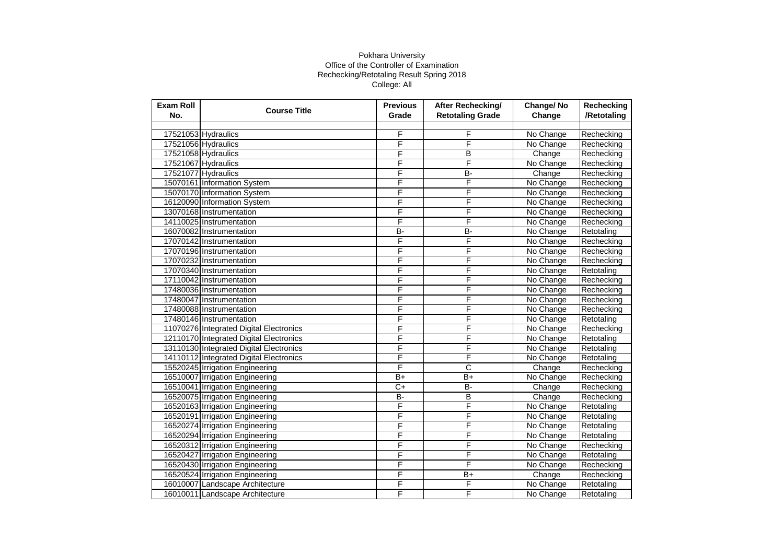| <b>Exam Roll</b><br>No. | <b>Course Title</b>                     | <b>Previous</b><br>Grade | After Rechecking/<br><b>Retotaling Grade</b> | Change/No<br>Change | <b>Rechecking</b><br>/Retotaling |
|-------------------------|-----------------------------------------|--------------------------|----------------------------------------------|---------------------|----------------------------------|
|                         |                                         |                          |                                              |                     |                                  |
|                         | 17521053 Hydraulics                     | F                        | F                                            | No Change           | Rechecking                       |
|                         | 17521056 Hydraulics                     | F                        | F                                            | No Change           | Rechecking                       |
|                         | 17521058 Hydraulics                     | F                        | B                                            | Change              | Rechecking                       |
|                         | 17521067 Hydraulics                     | F                        | F                                            | No Change           | Rechecking                       |
|                         | 17521077 Hydraulics                     | F                        | <b>B-</b>                                    | Change              | Rechecking                       |
|                         | 15070161 Information System             | F                        | F                                            | No Change           | Rechecking                       |
|                         | 15070170 Information System             | F                        | F                                            | No Change           | Rechecking                       |
|                         | 16120090 Information System             | F                        | F                                            | No Change           | Rechecking                       |
|                         | 13070168 Instrumentation                | F                        | F                                            | No Change           | Rechecking                       |
|                         | 14110025 Instrumentation                | F                        | F                                            | No Change           | Rechecking                       |
|                         | 16070082 Instrumentation                | B-                       | $B -$                                        | No Change           | Retotaling                       |
|                         | 17070142 Instrumentation                | F                        | F                                            | No Change           | Rechecking                       |
|                         | 17070196 Instrumentation                | F                        | F                                            | No Change           | Rechecking                       |
|                         | 17070232 Instrumentation                | F                        | F                                            | No Change           | Rechecking                       |
|                         | 17070340 Instrumentation                | F                        | F                                            | No Change           | Retotaling                       |
|                         | 17110042 Instrumentation                | F                        | F                                            | No Change           | Rechecking                       |
|                         | 17480036 Instrumentation                | F                        | F                                            | No Change           | Rechecking                       |
|                         | 17480047 Instrumentation                | F                        | F                                            | No Change           | Rechecking                       |
|                         | 17480088 Instrumentation                | F                        | F                                            | No Change           | Rechecking                       |
|                         | 17480146 Instrumentation                | F                        | F                                            | No Change           | Retotaling                       |
|                         | 11070276 Integrated Digital Electronics | F                        | F                                            | No Change           | Rechecking                       |
|                         | 12110170 Integrated Digital Electronics | F                        | F                                            | No Change           | Retotaling                       |
|                         | 13110130 Integrated Digital Electronics | F                        | F                                            | No Change           | Retotaling                       |
|                         | 14110112 Integrated Digital Electronics | F                        | F                                            | No Change           | Retotaling                       |
|                         | 15520245 Irrigation Engineering         | F                        | C                                            | Change              | Rechecking                       |
|                         | 16510007 Irrigation Engineering         | $B+$                     | $B+$                                         | No Change           | Rechecking                       |
|                         | 16510041 Irrigation Engineering         | $C+$                     | B-                                           | Change              | Rechecking                       |
|                         | 16520075 Irrigation Engineering         | B-                       | B                                            | Change              | Rechecking                       |
|                         | 16520163 Irrigation Engineering         | F                        | F                                            | No Change           | Retotaling                       |
|                         | 16520191 Irrigation Engineering         | F                        | F                                            | No Change           | Retotaling                       |
|                         | 16520274 Irrigation Engineering         | F                        | F                                            | No Change           | Retotaling                       |
|                         | 16520294 Irrigation Engineering         | F                        | F                                            | No Change           | Retotaling                       |
|                         | 16520312 Irrigation Engineering         | F                        | F                                            | No Change           | Rechecking                       |
|                         | 16520427 Irrigation Engineering         | F                        | F                                            | No Change           | Retotaling                       |
|                         | 16520430 Irrigation Engineering         | F                        | F                                            | No Change           | Rechecking                       |
|                         | 16520524 Irrigation Engineering         | F                        | $\overline{B}$                               | Change              | Rechecking                       |
|                         | 16010007 Landscape Architecture         | F                        | F                                            | No Change           | Retotaling                       |
|                         | 16010011 Landscape Architecture         | F                        | F                                            | No Change           | Retotaling                       |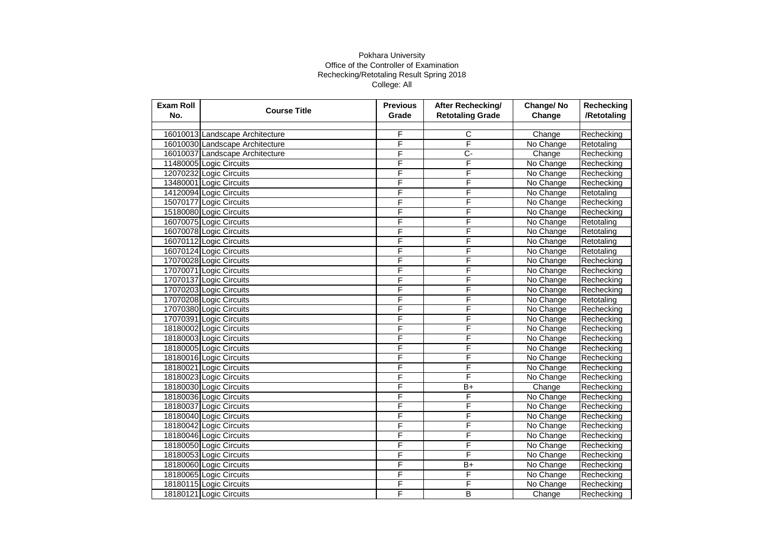| <b>Exam Roll</b><br>No. | <b>Course Title</b>             | <b>Previous</b><br>Grade | After Rechecking/<br><b>Retotaling Grade</b> | Change/No<br>Change | Rechecking<br>/Retotaling |
|-------------------------|---------------------------------|--------------------------|----------------------------------------------|---------------------|---------------------------|
|                         |                                 |                          |                                              |                     |                           |
|                         | 16010013 Landscape Architecture | F                        | С                                            | Change              | Rechecking                |
|                         | 16010030 Landscape Architecture | F                        | F                                            | No Change           | Retotaling                |
|                         | 16010037 Landscape Architecture | F                        | Ç-                                           | Change              | Rechecking                |
|                         | 11480005 Logic Circuits         | F                        | F                                            | No Change           | Rechecking                |
|                         | 12070232 Logic Circuits         | F                        | F                                            | No Change           | Rechecking                |
|                         | 13480001 Logic Circuits         | F                        | F                                            | No Change           | Rechecking                |
|                         | 14120094 Logic Circuits         | F                        | F                                            | No Change           | Retotaling                |
|                         | 15070177 Logic Circuits         | F                        | F                                            | No Change           | Rechecking                |
|                         | 15180080 Logic Circuits         | F                        | F                                            | No Change           | Rechecking                |
|                         | 16070075 Logic Circuits         | F                        | F                                            | No Change           | Retotaling                |
|                         | 16070078 Logic Circuits         | F                        | F                                            | No Change           | Retotaling                |
|                         | 16070112 Logic Circuits         | F                        | F                                            | No Change           | Retotaling                |
|                         | 16070124 Logic Circuits         | F                        | F                                            | No Change           | Retotaling                |
|                         | 17070028 Logic Circuits         | F                        | F                                            | No Change           | Rechecking                |
|                         | 17070071 Logic Circuits         | F                        | F                                            | No Change           | Rechecking                |
|                         | 17070137 Logic Circuits         | F                        | F                                            | No Change           | Rechecking                |
|                         | 17070203 Logic Circuits         | F                        | F                                            | No Change           | Rechecking                |
|                         | 17070208 Logic Circuits         | F                        | F                                            | No Change           | Retotaling                |
|                         | 17070380 Logic Circuits         | F                        | F                                            | No Change           | Rechecking                |
|                         | 17070391 Logic Circuits         | F                        | F                                            | No Change           | Rechecking                |
|                         | 18180002 Logic Circuits         | F                        | F                                            | No Change           | Rechecking                |
|                         | 18180003 Logic Circuits         | F                        | F                                            | No Change           | Rechecking                |
|                         | 18180005 Logic Circuits         | F                        | F                                            | No Change           | Rechecking                |
|                         | 18180016 Logic Circuits         | F                        | F                                            | No Change           | Rechecking                |
|                         | 18180021 Logic Circuits         | F                        | F                                            | No Change           | Rechecking                |
|                         | 18180023 Logic Circuits         | F                        | F                                            | No Change           | Rechecking                |
|                         | 18180030 Logic Circuits         | F                        | $\overline{B+}$                              | Change              | Rechecking                |
|                         | 18180036 Logic Circuits         | F                        | F                                            | No Change           | Rechecking                |
|                         | 18180037 Logic Circuits         | F                        | F                                            | No Change           | Rechecking                |
|                         | 18180040 Logic Circuits         | F                        | F                                            | No Change           | Rechecking                |
|                         | 18180042 Logic Circuits         | F                        | F                                            | No Change           | Rechecking                |
|                         | 18180046 Logic Circuits         | F                        | F                                            | No Change           | Rechecking                |
|                         | 18180050 Logic Circuits         | F                        | F                                            | No Change           | Rechecking                |
|                         | 18180053 Logic Circuits         | F                        | F                                            | No Change           | Rechecking                |
|                         | 18180060 Logic Circuits         | F                        | $B+$                                         | No Change           | Rechecking                |
|                         | 18180065 Logic Circuits         | F                        | F                                            | No Change           | Rechecking                |
|                         | 18180115 Logic Circuits         | F                        | F                                            | No Change           | Rechecking                |
|                         | 18180121 Logic Circuits         | F                        | B                                            | Change              | Rechecking                |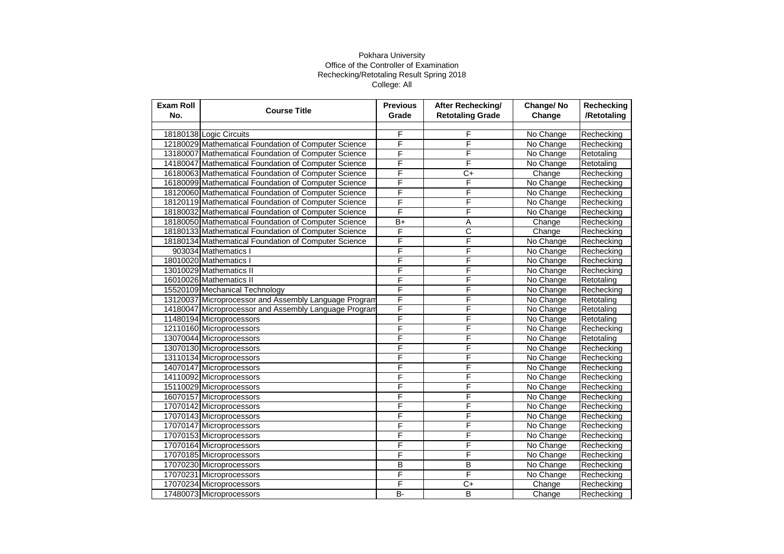| <b>Exam Roll</b><br>No. | <b>Course Title</b>                                   | <b>Previous</b><br>Grade | After Rechecking/<br><b>Retotaling Grade</b> | Change/No<br>Change | Rechecking<br>/Retotaling |
|-------------------------|-------------------------------------------------------|--------------------------|----------------------------------------------|---------------------|---------------------------|
|                         |                                                       |                          |                                              |                     |                           |
|                         | 18180138 Logic Circuits                               | F                        | F                                            | No Change           | Rechecking                |
|                         | 12180029 Mathematical Foundation of Computer Science  | F                        | F                                            | No Change           | Rechecking                |
|                         | 13180007 Mathematical Foundation of Computer Science  | F                        | F                                            | No Change           | Retotaling                |
|                         | 14180047 Mathematical Foundation of Computer Science  | F                        | F                                            | No Change           | Retotaling                |
|                         | 16180063 Mathematical Foundation of Computer Science  | F                        | $C+$                                         | Change              | Rechecking                |
|                         | 16180099 Mathematical Foundation of Computer Science  | F                        | F                                            | No Change           | Rechecking                |
|                         | 18120060 Mathematical Foundation of Computer Science  | F                        | F                                            | No Change           | Rechecking                |
|                         | 18120119 Mathematical Foundation of Computer Science  | F                        | F                                            | No Change           | Rechecking                |
|                         | 18180032 Mathematical Foundation of Computer Science  | F                        | F                                            | No Change           | Rechecking                |
|                         | 18180050 Mathematical Foundation of Computer Science  | $\overline{B+}$          | Α                                            | Change              | Rechecking                |
|                         | 18180133 Mathematical Foundation of Computer Science  | F                        | C                                            | Change              | Rechecking                |
|                         | 18180134 Mathematical Foundation of Computer Science  | F                        | F                                            | No Change           | Rechecking                |
|                         | 903034 Mathematics I                                  | F                        | F                                            | No Change           | Rechecking                |
|                         | 18010020 Mathematics I                                | F                        | F                                            | No Change           | Rechecking                |
|                         | 13010029 Mathematics II                               | F                        | F                                            | No Change           | Rechecking                |
|                         | 16010026 Mathematics II                               | F                        | F                                            | No Change           | Retotaling                |
|                         | 15520109 Mechanical Technology                        | F                        | F                                            | No Change           | Rechecking                |
|                         | 13120037 Microprocessor and Assembly Language Program | F                        | F                                            | No Change           | Retotaling                |
|                         | 14180047 Microprocessor and Assembly Language Program | F                        | F                                            | No Change           | Retotaling                |
|                         | 11480194 Microprocessors                              | F                        | F                                            | No Change           | Retotaling                |
|                         | 12110160 Microprocessors                              | F                        | F                                            | No Change           | Rechecking                |
|                         | 13070044 Microprocessors                              | F                        | F                                            | No Change           | Retotaling                |
|                         | 13070130 Microprocessors                              | F                        | F                                            | No Change           | Rechecking                |
|                         | 13110134 Microprocessors                              | F                        | F                                            | No Change           | Rechecking                |
|                         | 14070147 Microprocessors                              | F                        | F                                            | No Change           | Rechecking                |
|                         | 14110092 Microprocessors                              | F                        | F                                            | No Change           | Rechecking                |
|                         | 15110029 Microprocessors                              | F                        | F                                            | No Change           | Rechecking                |
|                         | 16070157 Microprocessors                              | F                        | F                                            | No Change           | Rechecking                |
|                         | 17070142 Microprocessors                              | F                        | F                                            | No Change           | Rechecking                |
|                         | 17070143 Microprocessors                              | F                        | F                                            | No Change           | Rechecking                |
|                         | 17070147 Microprocessors                              | F                        | F                                            | No Change           | Rechecking                |
|                         | 17070153 Microprocessors                              | F                        | F                                            | No Change           | Rechecking                |
|                         | 17070164 Microprocessors                              | F                        | F                                            | No Change           | Rechecking                |
|                         | 17070185 Microprocessors                              | F                        | F                                            | No Change           | Rechecking                |
|                         | 17070230 Microprocessors                              | B                        | B                                            | No Change           | Rechecking                |
|                         | 17070231 Microprocessors                              | F                        | F                                            | No Change           | Rechecking                |
|                         | 17070234 Microprocessors                              | F                        | $C+$                                         | Change              | Rechecking                |
|                         | 17480073 Microprocessors                              | <b>B-</b>                | B                                            | Change              | Rechecking                |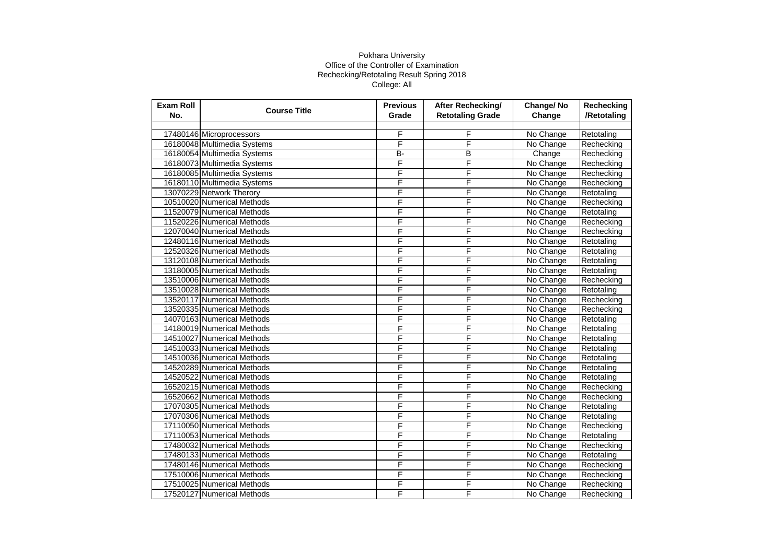| <b>Exam Roll</b><br>No. | <b>Course Title</b>         | <b>Previous</b><br>Grade | After Rechecking/<br><b>Retotaling Grade</b> | Change/No<br>Change | Rechecking<br>/Retotaling |
|-------------------------|-----------------------------|--------------------------|----------------------------------------------|---------------------|---------------------------|
|                         |                             |                          |                                              |                     |                           |
|                         | 17480146 Microprocessors    | F                        | F                                            | No Change           | Retotaling                |
|                         | 16180048 Multimedia Systems | F                        | F                                            | No Change           | Rechecking                |
|                         | 16180054 Multimedia Systems | B-                       | B                                            | Change              | Rechecking                |
|                         | 16180073 Multimedia Systems | F                        | F                                            | No Change           | Rechecking                |
|                         | 16180085 Multimedia Systems | F                        | F                                            | No Change           | Rechecking                |
|                         | 16180110 Multimedia Systems | F                        | F                                            | No Change           | Rechecking                |
|                         | 13070229 Network Therory    | F                        | F                                            | No Change           | Retotaling                |
|                         | 10510020 Numerical Methods  | F                        | F                                            | No Change           | Rechecking                |
|                         | 11520079 Numerical Methods  | F                        | F                                            | No Change           | Retotaling                |
|                         | 11520226 Numerical Methods  | F                        | F                                            | No Change           | Rechecking                |
|                         | 12070040 Numerical Methods  | F                        | F                                            | No Change           | Rechecking                |
|                         | 12480116 Numerical Methods  | F                        | F                                            | No Change           | Retotaling                |
|                         | 12520326 Numerical Methods  | F                        | F                                            | No Change           | Retotaling                |
|                         | 13120108 Numerical Methods  | F                        | F                                            | No Change           | Retotaling                |
|                         | 13180005 Numerical Methods  | F                        | F                                            | No Change           | Retotaling                |
|                         | 13510006 Numerical Methods  | F                        | F                                            | No Change           | Rechecking                |
|                         | 13510028 Numerical Methods  | F                        | F                                            | No Change           | Retotaling                |
|                         | 13520117 Numerical Methods  | F                        | F                                            | No Change           | Rechecking                |
|                         | 13520335 Numerical Methods  | F                        | F                                            | No Change           | Rechecking                |
|                         | 14070163 Numerical Methods  | F                        | F                                            | No Change           | Retotaling                |
|                         | 14180019 Numerical Methods  | F                        | F                                            | No Change           | Retotaling                |
|                         | 14510027 Numerical Methods  | F                        | F                                            | No Change           | Retotaling                |
|                         | 14510033 Numerical Methods  | F                        | F                                            | No Change           | Retotaling                |
|                         | 14510036 Numerical Methods  | F                        | F                                            | No Change           | Retotaling                |
|                         | 14520289 Numerical Methods  | F                        | F                                            | No Change           | Retotaling                |
|                         | 14520522 Numerical Methods  | F                        | F                                            | No Change           | Retotaling                |
|                         | 16520215 Numerical Methods  | F                        | F                                            | No Change           | Rechecking                |
|                         | 16520662 Numerical Methods  | F                        | F                                            | No Change           | Rechecking                |
|                         | 17070305 Numerical Methods  | F                        | F                                            | No Change           | Retotaling                |
|                         | 17070306 Numerical Methods  | F                        | F                                            | No Change           | Retotaling                |
|                         | 17110050 Numerical Methods  | F                        | F                                            | No Change           | Rechecking                |
|                         | 17110053 Numerical Methods  | F                        | F                                            | No Change           | Retotaling                |
|                         | 17480032 Numerical Methods  | F                        | F                                            | No Change           | Rechecking                |
|                         | 17480133 Numerical Methods  | F                        | F                                            | No Change           | Retotaling                |
|                         | 17480146 Numerical Methods  | F                        | F                                            | No Change           | Rechecking                |
|                         | 17510006 Numerical Methods  | F                        | F                                            | No Change           | Rechecking                |
|                         | 17510025 Numerical Methods  | F                        | F                                            | No Change           | Rechecking                |
|                         | 17520127 Numerical Methods  | F                        | F                                            | No Change           | Rechecking                |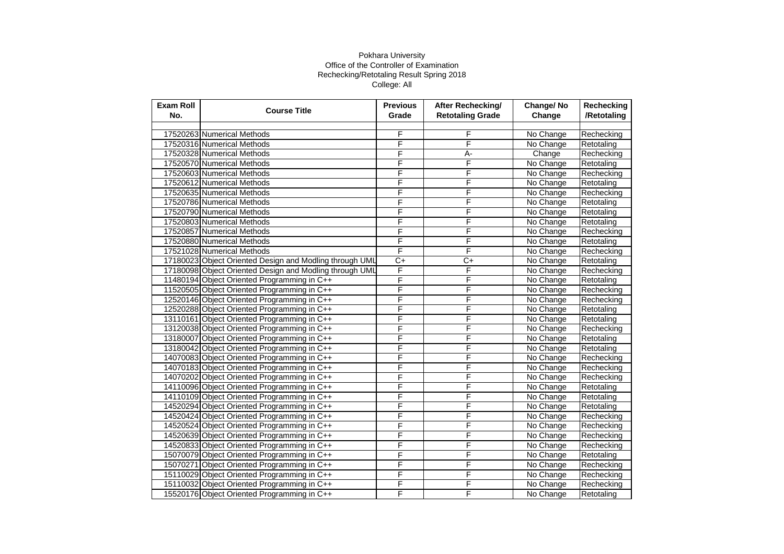| <b>Exam Roll</b><br>No. | <b>Course Title</b>                                     | <b>Previous</b><br>Grade | After Rechecking/<br><b>Retotaling Grade</b> | Change/No<br>Change | Rechecking<br>/Retotaling |
|-------------------------|---------------------------------------------------------|--------------------------|----------------------------------------------|---------------------|---------------------------|
|                         |                                                         |                          |                                              |                     |                           |
|                         | 17520263 Numerical Methods                              | F                        | F                                            | No Change           | Rechecking                |
|                         | 17520316 Numerical Methods                              | F                        | F                                            | No Change           | Retotaling                |
|                         | 17520328 Numerical Methods                              | F                        | А-                                           | Change              | Rechecking                |
|                         | 17520570 Numerical Methods                              | F                        | F                                            | No Change           | Retotaling                |
|                         | 17520603 Numerical Methods                              | F                        | F                                            | No Change           | Rechecking                |
|                         | 17520612 Numerical Methods                              | F                        | F                                            | No Change           | Retotaling                |
|                         | 17520635 Numerical Methods                              | F                        | F                                            | No Change           | Rechecking                |
|                         | 17520786 Numerical Methods                              | F                        | F                                            | No Change           | Retotaling                |
|                         | 17520790 Numerical Methods                              | F                        | F                                            | No Change           | Retotaling                |
|                         | 17520803 Numerical Methods                              | F                        | F                                            | No Change           | Retotaling                |
|                         | 17520857 Numerical Methods                              | F                        | F                                            | No Change           | Rechecking                |
|                         | 17520880 Numerical Methods                              | F                        | F                                            | No Change           | Retotaling                |
|                         | 17521028 Numerical Methods                              | F                        | F                                            | No Change           | Rechecking                |
|                         | 17180023 Object Oriented Design and Modling through UML | $\overline{C+}$          | $\overline{C+}$                              | No Change           | Retotaling                |
|                         | 17180098 Object Oriented Design and Modling through UML | F                        | F                                            | No Change           | Rechecking                |
|                         | 11480194 Object Oriented Programming in C++             | F                        | F                                            | No Change           | Retotaling                |
|                         | 11520505 Object Oriented Programming in C++             | F                        | F                                            | No Change           | Rechecking                |
|                         | 12520146 Object Oriented Programming in C++             | F                        | F                                            | No Change           | Rechecking                |
|                         | 12520288 Object Oriented Programming in C++             | F                        | F                                            | No Change           | Retotaling                |
|                         | 13110161 Object Oriented Programming in C++             | F                        | F                                            | No Change           | Retotaling                |
|                         | 13120038 Object Oriented Programming in C++             | F                        | F                                            | No Change           | Rechecking                |
|                         | 13180007 Object Oriented Programming in C++             | F                        | F                                            | No Change           | Retotaling                |
|                         | 13180042 Object Oriented Programming in C++             | F                        | F                                            | No Change           | Retotaling                |
|                         | 14070083 Object Oriented Programming in C++             | F                        | F                                            | No Change           | Rechecking                |
|                         | 14070183 Object Oriented Programming in C++             | F                        | F                                            | No Change           | Rechecking                |
|                         | 14070202 Object Oriented Programming in C++             | F                        | F                                            | No Change           | Rechecking                |
|                         | 14110096 Object Oriented Programming in C++             | F                        | F                                            | No Change           | Retotaling                |
|                         | 14110109 Object Oriented Programming in C++             | F                        | F                                            | No Change           | Retotaling                |
|                         | 14520294 Object Oriented Programming in C++             | F                        | F                                            | No Change           | Retotaling                |
|                         | 14520424 Object Oriented Programming in C++             | F                        | F                                            | No Change           | Rechecking                |
|                         | 14520524 Object Oriented Programming in C++             | F                        | F                                            | No Change           | Rechecking                |
|                         | 14520639 Object Oriented Programming in C++             | F                        | F                                            | No Change           | Rechecking                |
|                         | 14520833 Object Oriented Programming in C++             | F                        | F                                            | No Change           | Rechecking                |
|                         | 15070079 Object Oriented Programming in C++             | F                        | F                                            | No Change           | Retotaling                |
|                         | 15070271 Object Oriented Programming in C++             | F                        | F                                            | No Change           | Rechecking                |
|                         | 15110029 Object Oriented Programming in C++             | F                        | F                                            | No Change           | Rechecking                |
|                         | 15110032 Object Oriented Programming in C++             | F                        | F                                            | No Change           | Rechecking                |
|                         | 15520176 Object Oriented Programming in C++             | F                        | F                                            | No Change           | Retotaling                |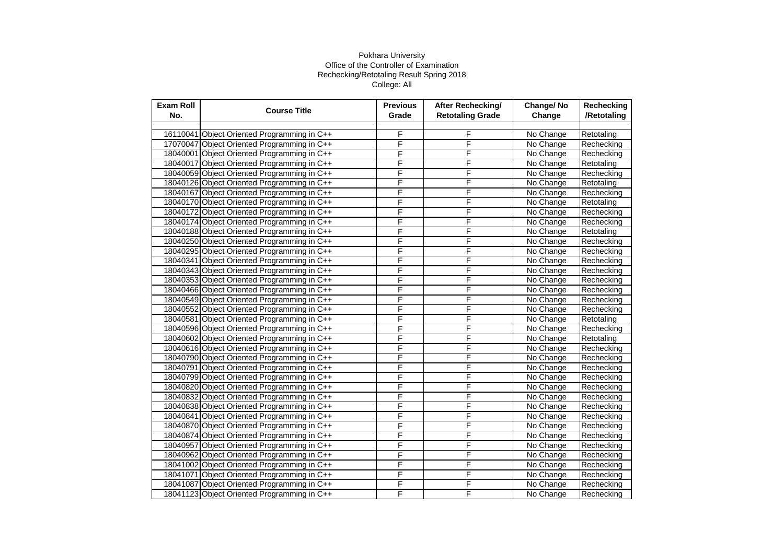| <b>Exam Roll</b><br>No. | <b>Course Title</b>                         | <b>Previous</b><br>Grade | After Rechecking/<br><b>Retotaling Grade</b> | Change/No<br>Change | Rechecking<br>/Retotaling |
|-------------------------|---------------------------------------------|--------------------------|----------------------------------------------|---------------------|---------------------------|
|                         |                                             |                          |                                              |                     |                           |
|                         | 16110041 Object Oriented Programming in C++ | F                        | F                                            | No Change           | Retotaling                |
|                         | 17070047 Object Oriented Programming in C++ | F                        | F                                            | No Change           | Rechecking                |
|                         | 18040001 Object Oriented Programming in C++ | F                        | F                                            | No Change           | Rechecking                |
|                         | 18040017 Object Oriented Programming in C++ | F                        | F                                            | No Change           | Retotaling                |
|                         | 18040059 Object Oriented Programming in C++ | F                        | F                                            | No Change           | Rechecking                |
|                         | 18040126 Object Oriented Programming in C++ | F                        | F                                            | No Change           | Retotaling                |
|                         | 18040167 Object Oriented Programming in C++ | F                        | F                                            | No Change           | Rechecking                |
|                         | 18040170 Object Oriented Programming in C++ | F                        | F                                            | No Change           | Retotaling                |
|                         | 18040172 Object Oriented Programming in C++ | F                        | F                                            | No Change           | Rechecking                |
|                         | 18040174 Object Oriented Programming in C++ | F                        | F                                            | No Change           | Rechecking                |
|                         | 18040188 Object Oriented Programming in C++ | F                        | F                                            | No Change           | Retotaling                |
|                         | 18040250 Object Oriented Programming in C++ | F                        | F                                            | No Change           | Rechecking                |
|                         | 18040295 Object Oriented Programming in C++ | F                        | F                                            | No Change           | Rechecking                |
|                         | 18040341 Object Oriented Programming in C++ | F                        | F                                            | No Change           | Rechecking                |
|                         | 18040343 Object Oriented Programming in C++ | F                        | F                                            | No Change           | Rechecking                |
|                         | 18040353 Object Oriented Programming in C++ | F                        | F                                            | No Change           | Rechecking                |
|                         | 18040466 Object Oriented Programming in C++ | F                        | F                                            | No Change           | Rechecking                |
|                         | 18040549 Object Oriented Programming in C++ | F                        | F                                            | No Change           | Rechecking                |
|                         | 18040552 Object Oriented Programming in C++ | F                        | F                                            | No Change           | Rechecking                |
|                         | 18040581 Object Oriented Programming in C++ | F                        | F                                            | No Change           | Retotaling                |
|                         | 18040596 Object Oriented Programming in C++ | F                        | F                                            | No Change           | Rechecking                |
|                         | 18040602 Object Oriented Programming in C++ | F                        | F                                            | No Change           | Retotaling                |
|                         | 18040616 Object Oriented Programming in C++ | F                        | F                                            | No Change           | Rechecking                |
|                         | 18040790 Object Oriented Programming in C++ | F                        | F                                            | No Change           | Rechecking                |
|                         | 18040791 Object Oriented Programming in C++ | F                        | F                                            | No Change           | Rechecking                |
|                         | 18040799 Object Oriented Programming in C++ | F                        | F                                            | No Change           | Rechecking                |
|                         | 18040820 Object Oriented Programming in C++ | F                        | F                                            | No Change           | Rechecking                |
|                         | 18040832 Object Oriented Programming in C++ | F                        | F                                            | No Change           | Rechecking                |
|                         | 18040838 Object Oriented Programming in C++ | F                        | F                                            | No Change           | Rechecking                |
|                         | 18040841 Object Oriented Programming in C++ | F                        | F                                            | No Change           | Rechecking                |
|                         | 18040870 Object Oriented Programming in C++ | F                        | F                                            | No Change           | Rechecking                |
|                         | 18040874 Object Oriented Programming in C++ | F                        | F                                            | No Change           | Rechecking                |
|                         | 18040957 Object Oriented Programming in C++ | F                        | F                                            | No Change           | Rechecking                |
|                         | 18040962 Object Oriented Programming in C++ | F                        | F                                            | No Change           | Rechecking                |
|                         | 18041002 Object Oriented Programming in C++ | F                        | F                                            | No Change           | Rechecking                |
|                         | 18041071 Object Oriented Programming in C++ | F                        | F                                            | No Change           | Rechecking                |
|                         | 18041087 Object Oriented Programming in C++ | F                        | F                                            | No Change           | Rechecking                |
|                         | 18041123 Object Oriented Programming in C++ | F                        | F                                            | No Change           | Rechecking                |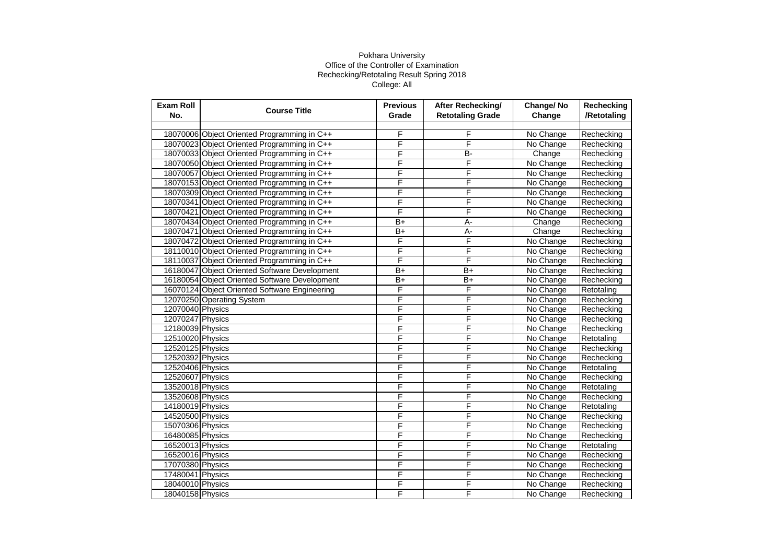| <b>Exam Roll</b><br>No. | <b>Course Title</b>                           | <b>Previous</b><br>Grade | After Rechecking/<br><b>Retotaling Grade</b> | Change/No<br>Change | Rechecking<br>/Retotaling |
|-------------------------|-----------------------------------------------|--------------------------|----------------------------------------------|---------------------|---------------------------|
|                         |                                               |                          |                                              |                     |                           |
|                         | 18070006 Object Oriented Programming in C++   | F                        | F                                            | No Change           | Rechecking                |
|                         | 18070023 Object Oriented Programming in C++   | F                        | F                                            | No Change           | Rechecking                |
|                         | 18070033 Object Oriented Programming in C++   | F                        | <b>B-</b>                                    | Change              | Rechecking                |
|                         | 18070050 Object Oriented Programming in C++   | F                        | F                                            | No Change           | Rechecking                |
|                         | 18070057 Object Oriented Programming in C++   | F                        | F                                            | No Change           | Rechecking                |
|                         | 18070153 Object Oriented Programming in C++   | F                        | F                                            | No Change           | Rechecking                |
|                         | 18070309 Object Oriented Programming in C++   | F                        | F                                            | No Change           | Rechecking                |
|                         | 18070341 Object Oriented Programming in C++   | F                        | F                                            | No Change           | Rechecking                |
|                         | 18070421 Object Oriented Programming in C++   | F                        | F                                            | No Change           | Rechecking                |
|                         | 18070434 Object Oriented Programming in C++   | $B+$                     | A-                                           | Change              | Rechecking                |
|                         | 18070471 Object Oriented Programming in C++   | $B+$                     | A-                                           | Change              | Rechecking                |
|                         | 18070472 Object Oriented Programming in C++   | F                        | F                                            | No Change           | Rechecking                |
|                         | 18110010 Object Oriented Programming in C++   | F                        | F                                            | No Change           | Rechecking                |
|                         | 18110037 Object Oriented Programming in C++   | F                        | F                                            | No Change           | Rechecking                |
|                         | 16180047 Object Oriented Software Development | $\overline{B+}$          | $\overline{B+}$                              | No Change           | Rechecking                |
|                         | 16180054 Object Oriented Software Development | $B+$                     | $B+$                                         | No Change           | Rechecking                |
|                         | 16070124 Object Oriented Software Engineering | F                        | F                                            | No Change           | Retotaling                |
|                         | 12070250 Operating System                     | F                        | F                                            | No Change           | Rechecking                |
| 12070040 Physics        |                                               | F                        | F                                            | No Change           | Rechecking                |
| 12070247 Physics        |                                               | F                        | F                                            | No Change           | Rechecking                |
| 12180039 Physics        |                                               | F                        | F                                            | No Change           | Rechecking                |
| 12510020 Physics        |                                               | F                        | F                                            | No Change           | Retotaling                |
| 12520125 Physics        |                                               | F                        | F                                            | No Change           | Rechecking                |
| 12520392 Physics        |                                               | F                        | F                                            | No Change           | Rechecking                |
| 12520406 Physics        |                                               | F                        | F                                            | No Change           | Retotaling                |
| 12520607 Physics        |                                               | F                        | F                                            | No Change           | Rechecking                |
| 13520018 Physics        |                                               | F                        | F                                            | No Change           | Retotaling                |
| 13520608 Physics        |                                               | F                        | F                                            | No Change           | Rechecking                |
| 14180019 Physics        |                                               | F                        | F                                            | No Change           | Retotaling                |
| 14520500 Physics        |                                               | F                        | F                                            | No Change           | Rechecking                |
| 15070306 Physics        |                                               | F                        | F                                            | No Change           | Rechecking                |
| 16480085 Physics        |                                               | F                        | F                                            | No Change           | Rechecking                |
| 16520013 Physics        |                                               | F                        | F                                            | No Change           | Retotaling                |
| 16520016 Physics        |                                               | F                        | F                                            | No Change           | Rechecking                |
| 17070380 Physics        |                                               | F                        | F                                            | No Change           | Rechecking                |
| 17480041 Physics        |                                               | F                        | F                                            | No Change           | Rechecking                |
| 18040010 Physics        |                                               | F                        | F                                            | No Change           | Rechecking                |
| 18040158 Physics        |                                               | F                        | F                                            | No Change           | Rechecking                |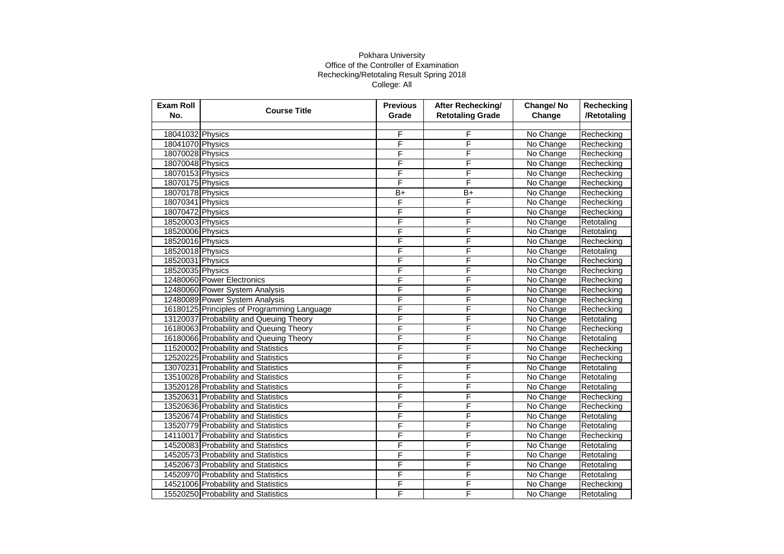| Exam Roll<br>No. | <b>Course Title</b>                         | <b>Previous</b><br>Grade | <b>After Rechecking/</b><br><b>Retotaling Grade</b> | Change/No<br>Change | Rechecking<br>/Retotaling |
|------------------|---------------------------------------------|--------------------------|-----------------------------------------------------|---------------------|---------------------------|
|                  |                                             |                          |                                                     |                     |                           |
| 18041032 Physics |                                             | F                        | F                                                   | No Change           | Rechecking                |
| 18041070 Physics |                                             | F                        | F                                                   | No Change           | Rechecking                |
| 18070028 Physics |                                             | F                        | F                                                   | No Change           | Rechecking                |
| 18070048 Physics |                                             | F                        | F                                                   | No Change           | Rechecking                |
| 18070153 Physics |                                             | F                        | F                                                   | No Change           | Rechecking                |
| 18070175 Physics |                                             | F                        | F                                                   | No Change           | Rechecking                |
| 18070178 Physics |                                             | $B+$                     | $\overline{B+}$                                     | No Change           | Rechecking                |
| 18070341 Physics |                                             | F                        | F                                                   | No Change           | Rechecking                |
| 18070472 Physics |                                             | F                        | F                                                   | No Change           | Rechecking                |
| 18520003 Physics |                                             | F                        | F                                                   | No Change           | Retotaling                |
| 18520006 Physics |                                             | F                        | F                                                   | No Change           | Retotaling                |
| 18520016 Physics |                                             | F                        | F                                                   | No Change           | Rechecking                |
| 18520018 Physics |                                             | F                        | F                                                   | No Change           | Retotaling                |
| 18520031 Physics |                                             | F                        | F                                                   | No Change           | Rechecking                |
| 18520035 Physics |                                             | F                        | F                                                   | No Change           | Rechecking                |
|                  | 12480060 Power Electronics                  | F                        | F                                                   | No Change           | Rechecking                |
|                  | 12480060 Power System Analysis              | F                        | F                                                   | No Change           | Rechecking                |
|                  | 12480089 Power System Analysis              | F                        | F                                                   | No Change           | Rechecking                |
|                  | 16180125 Principles of Programming Language | F                        | F                                                   | No Change           | Rechecking                |
|                  | 13120037 Probability and Queuing Theory     | F                        | F                                                   | No Change           | Retotaling                |
|                  | 16180063 Probability and Queuing Theory     | F                        | F                                                   | No Change           | Rechecking                |
|                  | 16180066 Probability and Queuing Theory     | F                        | F                                                   | No Change           | Retotaling                |
|                  | 11520002 Probability and Statistics         | F                        | F                                                   | No Change           | Rechecking                |
|                  | 12520225 Probability and Statistics         | F                        | F                                                   | No Change           | Rechecking                |
|                  | 13070231 Probability and Statistics         | F                        | F                                                   | No Change           | Retotaling                |
|                  | 13510028 Probability and Statistics         | F                        | F                                                   | No Change           | Retotaling                |
|                  | 13520128 Probability and Statistics         | F                        | F                                                   | No Change           | Retotaling                |
|                  | 13520631 Probability and Statistics         | F                        | F                                                   | No Change           | Rechecking                |
|                  | 13520636 Probability and Statistics         | F                        | F                                                   | No Change           | Rechecking                |
|                  | 13520674 Probability and Statistics         | F                        | F                                                   | No Change           | Retotaling                |
|                  | 13520779 Probability and Statistics         | F                        | F                                                   | No Change           | Retotaling                |
|                  | 14110017 Probability and Statistics         | F                        | F                                                   | No Change           | Rechecking                |
|                  | 14520083 Probability and Statistics         | F                        | F                                                   | No Change           | Retotaling                |
|                  | 14520573 Probability and Statistics         | F                        | F                                                   | No Change           | Retotaling                |
|                  | 14520673 Probability and Statistics         | F                        | F                                                   | No Change           | Retotaling                |
|                  | 14520970 Probability and Statistics         | F                        | F                                                   | No Change           | Retotaling                |
|                  | 14521006 Probability and Statistics         | F                        | F                                                   | No Change           | Rechecking                |
|                  | 15520250 Probability and Statistics         | F                        | F                                                   | No Change           | Retotaling                |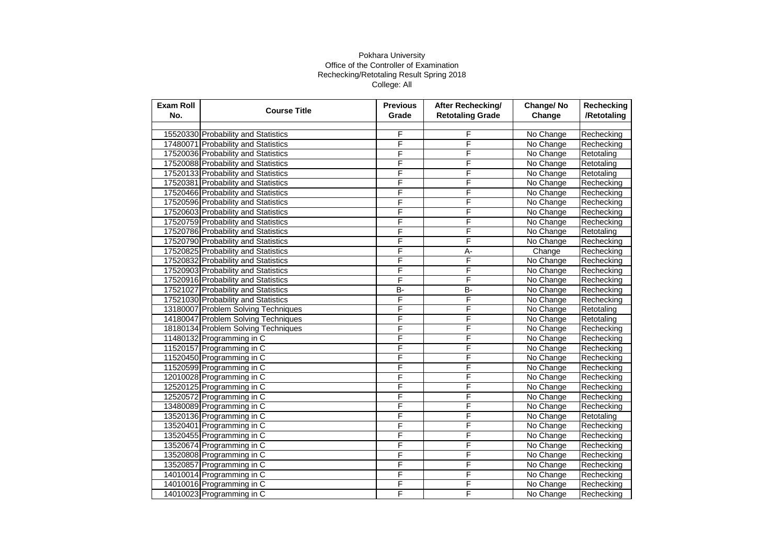| <b>Exam Roll</b><br>No. | <b>Course Title</b>                 | <b>Previous</b><br>Grade | After Rechecking/<br><b>Retotaling Grade</b> | Change/No<br>Change | Rechecking<br>/Retotaling |
|-------------------------|-------------------------------------|--------------------------|----------------------------------------------|---------------------|---------------------------|
|                         |                                     |                          |                                              |                     |                           |
|                         | 15520330 Probability and Statistics | F                        | F                                            | No Change           | Rechecking                |
|                         | 17480071 Probability and Statistics | F                        | F                                            | No Change           | Rechecking                |
|                         | 17520036 Probability and Statistics | F                        | F                                            | No Change           | Retotaling                |
|                         | 17520088 Probability and Statistics | F                        | F                                            | No Change           | Retotaling                |
|                         | 17520133 Probability and Statistics | F                        | F                                            | No Change           | Retotaling                |
|                         | 17520381 Probability and Statistics | F                        | F                                            | No Change           | Rechecking                |
|                         | 17520466 Probability and Statistics | F                        | F                                            | No Change           | Rechecking                |
|                         | 17520596 Probability and Statistics | F                        | F                                            | No Change           | Rechecking                |
|                         | 17520603 Probability and Statistics | F                        | F                                            | No Change           | Rechecking                |
|                         | 17520759 Probability and Statistics | F                        | F                                            | No Change           | Rechecking                |
|                         | 17520786 Probability and Statistics | F                        | F                                            | No Change           | Retotaling                |
|                         | 17520790 Probability and Statistics | F                        | F                                            | No Change           | Rechecking                |
|                         | 17520825 Probability and Statistics | F                        | A-                                           | Change              | Rechecking                |
|                         | 17520832 Probability and Statistics | F                        | F                                            | No Change           | Rechecking                |
|                         | 17520903 Probability and Statistics | F                        | F                                            | No Change           | Rechecking                |
|                         | 17520916 Probability and Statistics | F                        | F                                            | No Change           | Rechecking                |
|                         | 17521027 Probability and Statistics | $\overline{B}$           | B-                                           | No Change           | Rechecking                |
|                         | 17521030 Probability and Statistics | F                        | F                                            | No Change           | Rechecking                |
|                         | 13180007 Problem Solving Techniques | F                        | F                                            | No Change           | Retotaling                |
|                         | 14180047 Problem Solving Techniques | F                        | F                                            | No Change           | Retotaling                |
|                         | 18180134 Problem Solving Techniques | F                        | F                                            | No Change           | Rechecking                |
|                         | 11480132 Programming in C           | F                        | F                                            | No Change           | Rechecking                |
|                         | 11520157 Programming in C           | F                        | F                                            | No Change           | Rechecking                |
|                         | 11520450 Programming in C           | F                        | F                                            | No Change           | Rechecking                |
|                         | 11520599 Programming in C           | F                        | F                                            | No Change           | Rechecking                |
|                         | 12010028 Programming in C           | F                        | F                                            | No Change           | Rechecking                |
|                         | 12520125 Programming in C           | F                        | F                                            | No Change           | Rechecking                |
|                         | 12520572 Programming in C           | F                        | F                                            | No Change           | Rechecking                |
|                         | 13480089 Programming in C           | F                        | F                                            | No Change           | Rechecking                |
|                         | 13520136 Programming in C           | F                        | F                                            | No Change           | Retotaling                |
|                         | 13520401 Programming in C           | F                        | F                                            | No Change           | Rechecking                |
|                         | 13520455 Programming in C           | F                        | F                                            | No Change           | Rechecking                |
|                         | 13520674 Programming in C           | F                        | F                                            | No Change           | Rechecking                |
|                         | 13520808 Programming in C           | F                        | F                                            | No Change           | Rechecking                |
|                         | 13520857 Programming in C           | F                        | F                                            | No Change           | Rechecking                |
|                         | 14010014 Programming in C           | F                        | F                                            | No Change           | Rechecking                |
|                         | 14010016 Programming in C           | F                        | F                                            | No Change           | Rechecking                |
|                         | 14010023 Programming in C           | F                        | F                                            | No Change           | Rechecking                |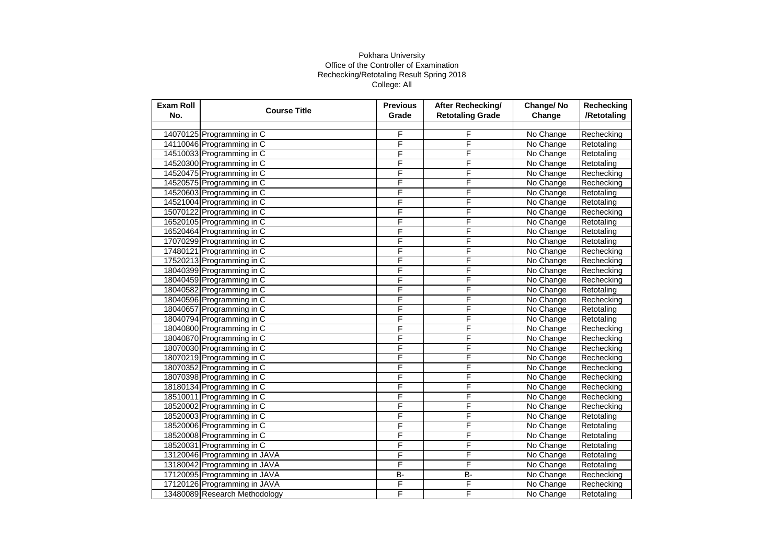| <b>Exam Roll</b><br>No. | <b>Course Title</b>           | <b>Previous</b><br>Grade | After Rechecking/<br><b>Retotaling Grade</b> | Change/No<br>Change | Rechecking<br>/Retotaling |
|-------------------------|-------------------------------|--------------------------|----------------------------------------------|---------------------|---------------------------|
|                         |                               |                          |                                              |                     |                           |
|                         | 14070125 Programming in C     | F                        | F                                            | No Change           | Rechecking                |
|                         | 14110046 Programming in C     | F                        | F                                            | No Change           | Retotaling                |
|                         | 14510033 Programming in C     | F                        | F                                            | No Change           | Retotaling                |
|                         | 14520300 Programming in C     | F                        | F                                            | No Change           | Retotaling                |
|                         | 14520475 Programming in C     | F                        | F                                            | No Change           | Rechecking                |
|                         | 14520575 Programming in C     | F                        | F                                            | No Change           | Rechecking                |
|                         | 14520603 Programming in C     | F                        | F                                            | No Change           | Retotaling                |
|                         | 14521004 Programming in C     | F                        | F                                            | No Change           | Retotaling                |
|                         | 15070122 Programming in C     | F                        | F                                            | No Change           | Rechecking                |
|                         | 16520105 Programming in C     | F                        | F                                            | No Change           | Retotaling                |
|                         | 16520464 Programming in C     | F                        | F                                            | No Change           | Retotaling                |
|                         | 17070299 Programming in C     | F                        | F                                            | No Change           | Retotaling                |
|                         | 17480121 Programming in C     | F                        | F                                            | No Change           | Rechecking                |
|                         | 17520213 Programming in C     | F                        | F                                            | No Change           | Rechecking                |
|                         | 18040399 Programming in C     | F                        | F                                            | No Change           | Rechecking                |
|                         | 18040459 Programming in C     | F                        | F                                            | No Change           | Rechecking                |
|                         | 18040582 Programming in C     | F                        | F                                            | No Change           | Retotaling                |
|                         | 18040596 Programming in C     | F                        | F                                            | No Change           | Rechecking                |
|                         | 18040657 Programming in C     | F                        | F                                            | No Change           | Retotaling                |
|                         | 18040794 Programming in C     | F                        | F                                            | No Change           | Retotaling                |
|                         | 18040800 Programming in C     | F                        | F                                            | No Change           | Rechecking                |
|                         | 18040870 Programming in C     | F                        | F                                            | No Change           | Rechecking                |
|                         | 18070030 Programming in C     | F                        | F                                            | No Change           | Rechecking                |
|                         | 18070219 Programming in C     | F                        | F                                            | No Change           | Rechecking                |
|                         | 18070352 Programming in C     | F                        | F                                            | No Change           | Rechecking                |
|                         | 18070398 Programming in C     | F                        | F                                            | No Change           | Rechecking                |
|                         | 18180134 Programming in C     | F                        | F                                            | No Change           | Rechecking                |
|                         | 18510011 Programming in C     | F                        | F                                            | No Change           | Rechecking                |
|                         | 18520002 Programming in C     | F                        | F                                            | No Change           | Rechecking                |
|                         | 18520003 Programming in C     | F                        | F                                            | No Change           | Retotaling                |
|                         | 18520006 Programming in C     | F                        | F                                            | No Change           | Retotaling                |
|                         | 18520008 Programming in C     | F                        | F                                            | No Change           | Retotaling                |
|                         | 18520031 Programming in C     | F                        | F                                            | No Change           | Retotaling                |
|                         | 13120046 Programming in JAVA  | F                        | F                                            | No Change           | Retotaling                |
|                         | 13180042 Programming in JAVA  | F                        | F                                            | No Change           | Retotaling                |
|                         | 17120095 Programming in JAVA  | B-                       | B-                                           | No Change           | Rechecking                |
|                         | 17120126 Programming in JAVA  | F                        | F                                            | No Change           | Rechecking                |
|                         | 13480089 Research Methodology | F                        | F                                            | No Change           | Retotaling                |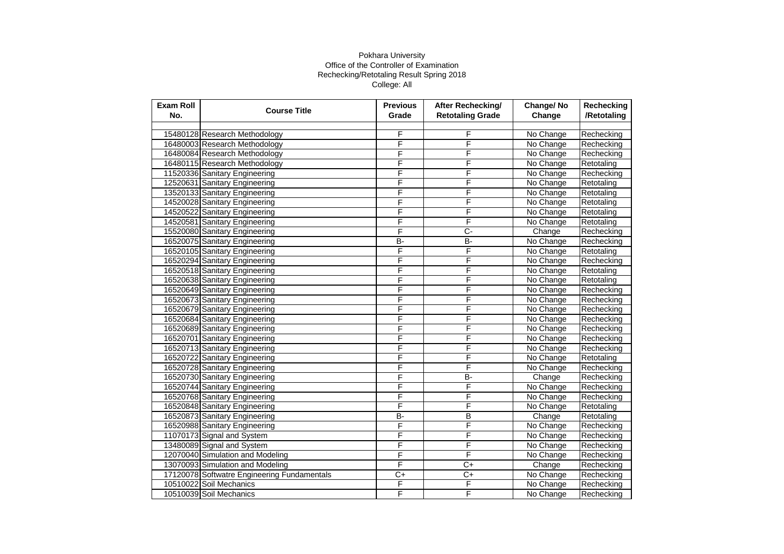| <b>Exam Roll</b><br>No. | <b>Course Title</b>                         | <b>Previous</b><br>Grade | After Rechecking/<br><b>Retotaling Grade</b> | Change/No<br>Change | Rechecking<br>/Retotaling |
|-------------------------|---------------------------------------------|--------------------------|----------------------------------------------|---------------------|---------------------------|
|                         |                                             |                          |                                              |                     |                           |
|                         | 15480128 Research Methodology               | F                        | F                                            | No Change           | Rechecking                |
|                         | 16480003 Research Methodology               | F                        | F                                            | No Change           | Rechecking                |
|                         | 16480084 Research Methodology               | F                        | F                                            | No Change           | Rechecking                |
|                         | 16480115 Research Methodology               | F                        | F                                            | No Change           | Retotaling                |
|                         | 11520336 Sanitary Engineering               | F                        | F                                            | No Change           | Rechecking                |
|                         | 12520631 Sanitary Engineering               | F                        | F                                            | No Change           | Retotaling                |
|                         | 13520133 Sanitary Engineering               | F                        | F                                            | No Change           | Retotaling                |
|                         | 14520028 Sanitary Engineering               | F                        | F                                            | No Change           | Retotaling                |
|                         | 14520522 Sanitary Engineering               | F                        | F                                            | No Change           | Retotaling                |
|                         | 14520581 Sanitary Engineering               | F                        | F                                            | No Change           | Retotaling                |
|                         | 15520080 Sanitary Engineering               | F                        | $\overline{C}$ -                             | Change              | Rechecking                |
|                         | 16520075 Sanitary Engineering               | B-                       | <b>B-</b>                                    | No Change           | Rechecking                |
|                         | 16520105 Sanitary Engineering               | F                        | F                                            | No Change           | Retotaling                |
|                         | 16520294 Sanitary Engineering               | F                        | F                                            | No Change           | Rechecking                |
|                         | 16520518 Sanitary Engineering               | F                        | F                                            | No Change           | Retotaling                |
|                         | 16520638 Sanitary Engineering               | F                        | F                                            | No Change           | Retotaling                |
|                         | 16520649 Sanitary Engineering               | F                        | F                                            | No Change           | Rechecking                |
|                         | 16520673 Sanitary Engineering               | F                        | F                                            | No Change           | Rechecking                |
|                         | 16520679 Sanitary Engineering               | F                        | F                                            | No Change           | Rechecking                |
|                         | 16520684 Sanitary Engineering               | F                        | F                                            | No Change           | Rechecking                |
|                         | 16520689 Sanitary Engineering               | F                        | F                                            | No Change           | Rechecking                |
|                         | 16520701 Sanitary Engineering               | F                        | F                                            | No Change           | Rechecking                |
|                         | 16520713 Sanitary Engineering               | F                        | F                                            | No Change           | Rechecking                |
|                         | 16520722 Sanitary Engineering               | F                        | F                                            | No Change           | Retotaling                |
|                         | 16520728 Sanitary Engineering               | F                        | F                                            | No Change           | Rechecking                |
|                         | 16520730 Sanitary Engineering               | F                        | B-                                           | Change              | Rechecking                |
|                         | 16520744 Sanitary Engineering               | F                        | F                                            | No Change           | Rechecking                |
|                         | 16520768 Sanitary Engineering               | F                        | F                                            | No Change           | Rechecking                |
|                         | 16520848 Sanitary Engineering               | F                        | F                                            | No Change           | Retotaling                |
|                         | 16520873 Sanitary Engineering               | B-                       | $\overline{B}$                               | Change              | Retotaling                |
|                         | 16520988 Sanitary Engineering               | F                        | F                                            | No Change           | Rechecking                |
|                         | 11070173 Signal and System                  | F                        | F                                            | No Change           | Rechecking                |
|                         | 13480089 Signal and System                  | F                        | F                                            | No Change           | Rechecking                |
|                         | 12070040 Simulation and Modeling            | F                        | F                                            | No Change           | Rechecking                |
|                         | 13070093 Simulation and Modeling            | F                        | C+                                           | Change              | Rechecking                |
|                         | 17120078 Softwatre Engineering Fundamentals | $\overline{C}$           | $\overline{C}$                               | No Change           | Rechecking                |
|                         | 10510022 Soil Mechanics                     | F                        | F                                            | No Change           | Rechecking                |
|                         | 10510039 Soil Mechanics                     | F                        | F                                            | No Change           | Rechecking                |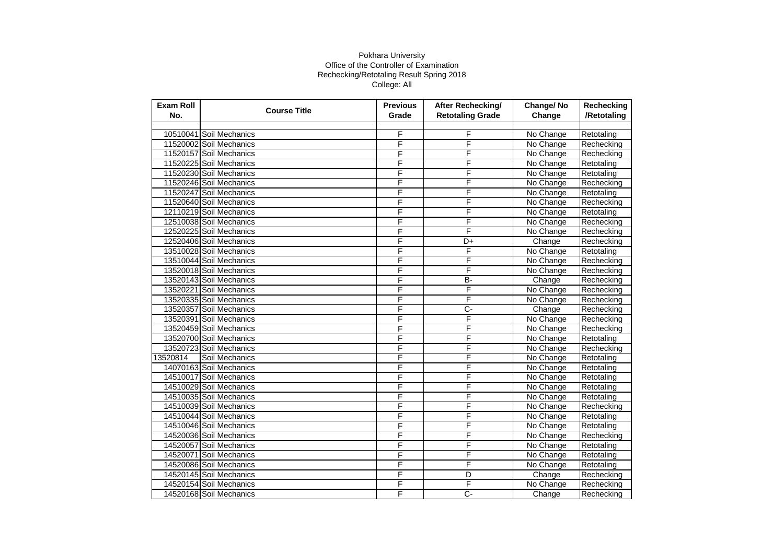| <b>Exam Roll</b><br>No. | <b>Course Title</b>     | <b>Previous</b><br>Grade | After Rechecking/<br><b>Retotaling Grade</b> | Change/No<br>Change | Rechecking<br>/Retotaling |
|-------------------------|-------------------------|--------------------------|----------------------------------------------|---------------------|---------------------------|
|                         |                         |                          |                                              |                     |                           |
|                         | 10510041 Soil Mechanics | F                        | F                                            | No Change           | Retotaling                |
|                         | 11520002 Soil Mechanics | F                        | F                                            | No Change           | Rechecking                |
|                         | 11520157 Soil Mechanics | F                        | F                                            | No Change           | Rechecking                |
|                         | 11520225 Soil Mechanics | F                        | F                                            | No Change           | Retotaling                |
|                         | 11520230 Soil Mechanics | F                        | F                                            | No Change           | Retotaling                |
|                         | 11520246 Soil Mechanics | F                        | F                                            | No Change           | Rechecking                |
|                         | 11520247 Soil Mechanics | F                        | F                                            | No Change           | Retotaling                |
|                         | 11520640 Soil Mechanics | F                        | F                                            | No Change           | Rechecking                |
|                         | 12110219 Soil Mechanics | F                        | F                                            | No Change           | Retotaling                |
|                         | 12510038 Soil Mechanics | F                        | F                                            | No Change           | Rechecking                |
|                         | 12520225 Soil Mechanics | F                        | F                                            | No Change           | Rechecking                |
|                         | 12520406 Soil Mechanics | F                        | D+                                           | Change              | Rechecking                |
|                         | 13510028 Soil Mechanics | F                        | F                                            | No Change           | Retotaling                |
|                         | 13510044 Soil Mechanics | F                        | F                                            | No Change           | Rechecking                |
|                         | 13520018 Soil Mechanics | F                        | F                                            | No Change           | Rechecking                |
|                         | 13520143 Soil Mechanics | F                        | B-                                           | Change              | Rechecking                |
|                         | 13520221 Soil Mechanics | F                        | F                                            | No Change           | Rechecking                |
|                         | 13520335 Soil Mechanics | F                        | F                                            | No Change           | Rechecking                |
|                         | 13520357 Soil Mechanics | F                        | Ç-                                           | Change              | Rechecking                |
|                         | 13520391 Soil Mechanics | F                        | F                                            | No Change           | Rechecking                |
|                         | 13520459 Soil Mechanics | F                        | F                                            | No Change           | Rechecking                |
|                         | 13520700 Soil Mechanics | F                        | F                                            | No Change           | Retotaling                |
|                         | 13520723 Soil Mechanics | F                        | F                                            | No Change           | Rechecking                |
| 13520814                | Soil Mechanics          | F                        | F                                            | No Change           | Retotaling                |
|                         | 14070163 Soil Mechanics | F                        | F                                            | No Change           | Retotaling                |
|                         | 14510017 Soil Mechanics | F                        | F                                            | No Change           | Retotaling                |
|                         | 14510029 Soil Mechanics | F                        | F                                            | No Change           | Retotaling                |
|                         | 14510035 Soil Mechanics | F                        | F                                            | No Change           | Retotaling                |
|                         | 14510039 Soil Mechanics | F                        | F                                            | No Change           | Rechecking                |
|                         | 14510044 Soil Mechanics | F                        | F                                            | No Change           | Retotaling                |
|                         | 14510046 Soil Mechanics | F                        | F                                            | No Change           | Retotaling                |
|                         | 14520036 Soil Mechanics | F                        | F                                            | No Change           | Rechecking                |
|                         | 14520057 Soil Mechanics | F                        | F                                            | No Change           | Retotaling                |
|                         | 14520071 Soil Mechanics | F                        | F                                            | No Change           | Retotaling                |
|                         | 14520086 Soil Mechanics | F                        | F                                            | No Change           | Retotaling                |
|                         | 14520145 Soil Mechanics | F                        | D                                            | Change              | Rechecking                |
|                         | 14520154 Soil Mechanics | F                        | F                                            | No Change           | Rechecking                |
|                         | 14520168 Soil Mechanics | F                        | C-                                           | Change              | Rechecking                |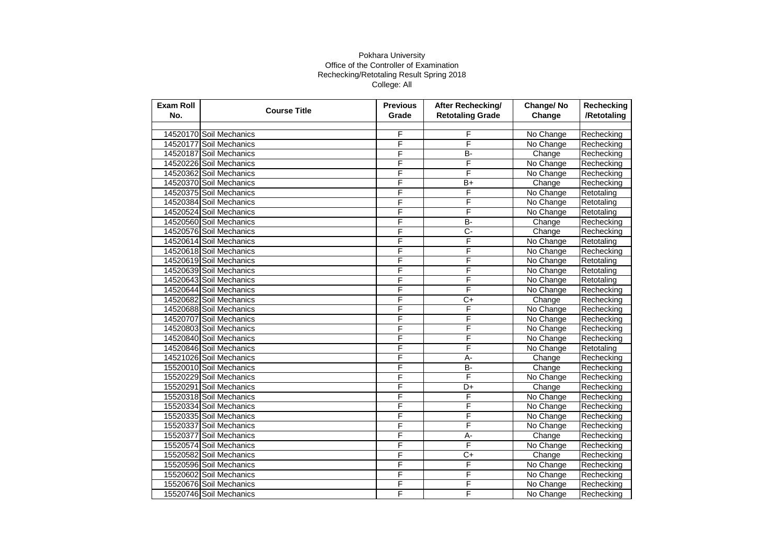| <b>Exam Roll</b><br>No. | <b>Course Title</b>     | <b>Previous</b><br>Grade | <b>After Rechecking/</b><br><b>Retotaling Grade</b> | Change/No<br>Change | Rechecking<br>/Retotaling |
|-------------------------|-------------------------|--------------------------|-----------------------------------------------------|---------------------|---------------------------|
|                         |                         |                          |                                                     |                     |                           |
|                         | 14520170 Soil Mechanics | F                        | F                                                   | No Change           | Rechecking                |
|                         | 14520177 Soil Mechanics | F                        | F                                                   | No Change           | Rechecking                |
|                         | 14520187 Soil Mechanics | F                        | B-                                                  | Change              | Rechecking                |
|                         | 14520226 Soil Mechanics | F                        | F                                                   | No Change           | Rechecking                |
|                         | 14520362 Soil Mechanics | F                        | F                                                   | No Change           | Rechecking                |
|                         | 14520370 Soil Mechanics | F                        | $B+$                                                | Change              | Rechecking                |
|                         | 14520375 Soil Mechanics | F                        | F                                                   | No Change           | Retotaling                |
|                         | 14520384 Soil Mechanics | F                        | F                                                   | No Change           | Retotaling                |
|                         | 14520524 Soil Mechanics | F                        | F                                                   | No Change           | Retotaling                |
|                         | 14520560 Soil Mechanics | F                        | B-                                                  | Change              | Rechecking                |
|                         | 14520576 Soil Mechanics | F                        | Ç-                                                  | Change              | Rechecking                |
|                         | 14520614 Soil Mechanics | F                        | F                                                   | No Change           | Retotaling                |
|                         | 14520618 Soil Mechanics | F                        | F                                                   | No Change           | Rechecking                |
|                         | 14520619 Soil Mechanics | F                        | F                                                   | No Change           | Retotaling                |
|                         | 14520639 Soil Mechanics | F                        | F                                                   | No Change           | Retotaling                |
|                         | 14520643 Soil Mechanics | F                        | F                                                   | No Change           | Retotaling                |
|                         | 14520644 Soil Mechanics | F                        | F                                                   | No Change           | Rechecking                |
|                         | 14520682 Soil Mechanics | F                        | $C+$                                                | Change              | Rechecking                |
|                         | 14520688 Soil Mechanics | F                        | F                                                   | No Change           | Rechecking                |
|                         | 14520707 Soil Mechanics | F                        | F                                                   | No Change           | Rechecking                |
|                         | 14520803 Soil Mechanics | F                        | F                                                   | No Change           | Rechecking                |
|                         | 14520840 Soil Mechanics | F                        | F                                                   | No Change           | Rechecking                |
|                         | 14520846 Soil Mechanics | F                        | F                                                   | No Change           | Retotaling                |
|                         | 14521026 Soil Mechanics | F                        | A-                                                  | Change              | Rechecking                |
|                         | 15520010 Soil Mechanics | F                        | B-                                                  | Change              | Rechecking                |
|                         | 15520229 Soil Mechanics | F                        | F                                                   | No Change           | Rechecking                |
|                         | 15520291 Soil Mechanics | F                        | D+                                                  | Change              | Rechecking                |
|                         | 15520318 Soil Mechanics | F                        | F                                                   | No Change           | Rechecking                |
|                         | 15520334 Soil Mechanics | F                        | F                                                   | No Change           | Rechecking                |
|                         | 15520335 Soil Mechanics | F                        | F                                                   | No Change           | Rechecking                |
|                         | 15520337 Soil Mechanics | F                        | F                                                   | No Change           | Rechecking                |
|                         | 15520377 Soil Mechanics | F                        | $\overline{A}$ -                                    | Change              | Rechecking                |
|                         | 15520574 Soil Mechanics | F                        | F                                                   | No Change           | Rechecking                |
|                         | 15520582 Soil Mechanics | F                        | $C+$                                                | Change              | Rechecking                |
|                         | 15520596 Soil Mechanics | F                        | F                                                   | No Change           | Rechecking                |
|                         | 15520602 Soil Mechanics | F                        | F                                                   | No Change           | Rechecking                |
|                         | 15520676 Soil Mechanics | F                        | F                                                   | No Change           | Rechecking                |
|                         | 15520746 Soil Mechanics | F                        | F                                                   | No Change           | Rechecking                |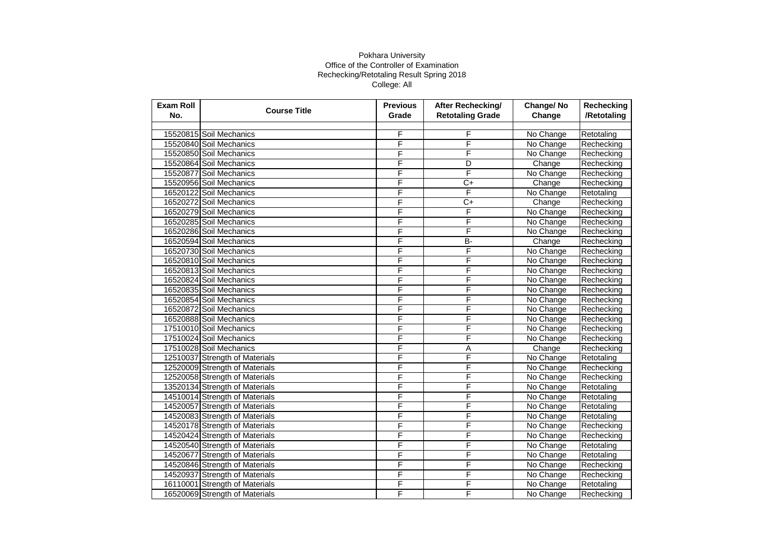| <b>Exam Roll</b><br>No. | <b>Course Title</b>            | <b>Previous</b><br>Grade | After Rechecking/<br><b>Retotaling Grade</b> | Change/No<br>Change | Rechecking<br>/Retotaling |
|-------------------------|--------------------------------|--------------------------|----------------------------------------------|---------------------|---------------------------|
|                         |                                |                          |                                              |                     |                           |
|                         | 15520815 Soil Mechanics        | F                        | F                                            | No Change           | Retotaling                |
|                         | 15520840 Soil Mechanics        | F                        | F                                            | No Change           | Rechecking                |
|                         | 15520850 Soil Mechanics        | F                        | F                                            | No Change           | Rechecking                |
|                         | 15520864 Soil Mechanics        | F                        | D                                            | Change              | Rechecking                |
|                         | 15520877 Soil Mechanics        | F                        | F                                            | No Change           | Rechecking                |
|                         | 15520956 Soil Mechanics        | F                        | $C+$                                         | Change              | Rechecking                |
|                         | 16520122 Soil Mechanics        | F                        | F                                            | No Change           | Retotaling                |
|                         | 16520272 Soil Mechanics        | F                        | $C+$                                         | Change              | Rechecking                |
|                         | 16520279 Soil Mechanics        | F                        | F                                            | No Change           | Rechecking                |
|                         | 16520285 Soil Mechanics        | F                        | F                                            | No Change           | Rechecking                |
|                         | 16520286 Soil Mechanics        | F                        | F                                            | No Change           | Rechecking                |
|                         | 16520594 Soil Mechanics        | F                        | B-                                           | Change              | Rechecking                |
|                         | 16520730 Soil Mechanics        | F                        | F                                            | No Change           | Rechecking                |
|                         | 16520810 Soil Mechanics        | F                        | F                                            | No Change           | Rechecking                |
|                         | 16520813 Soil Mechanics        | F                        | F                                            | No Change           | Rechecking                |
|                         | 16520824 Soil Mechanics        | F                        | F                                            | No Change           | Rechecking                |
|                         | 16520835 Soil Mechanics        | F                        | F                                            | No Change           | Rechecking                |
|                         | 16520854 Soil Mechanics        | F                        | F                                            | No Change           | Rechecking                |
|                         | 16520872 Soil Mechanics        | F                        | F                                            | No Change           | Rechecking                |
|                         | 16520888 Soil Mechanics        | F                        | F                                            | No Change           | Rechecking                |
|                         | 17510010 Soil Mechanics        | F                        | F                                            | No Change           | Rechecking                |
|                         | 17510024 Soil Mechanics        | F                        | F                                            | No Change           | Rechecking                |
|                         | 17510028 Soil Mechanics        | F                        | Α                                            | Change              | Rechecking                |
|                         | 12510037 Strength of Materials | F                        | F                                            | No Change           | Retotaling                |
|                         | 12520009 Strength of Materials | F                        | F                                            | No Change           | Rechecking                |
|                         | 12520058 Strength of Materials | F                        | F                                            | No Change           | Rechecking                |
|                         | 13520134 Strength of Materials | F                        | F                                            | No Change           | Retotaling                |
|                         | 14510014 Strength of Materials | F                        | F                                            | No Change           | Retotaling                |
|                         | 14520057 Strength of Materials | F                        | F                                            | No Change           | Retotaling                |
|                         | 14520083 Strength of Materials | F                        | F                                            | No Change           | Retotaling                |
|                         | 14520178 Strength of Materials | F                        | F                                            | No Change           | Rechecking                |
|                         | 14520424 Strength of Materials | F                        | F                                            | No Change           | Rechecking                |
|                         | 14520540 Strength of Materials | F                        | F                                            | No Change           | Retotaling                |
|                         | 14520677 Strength of Materials | F                        | F                                            | No Change           | Retotaling                |
|                         | 14520846 Strength of Materials | F                        | F                                            | No Change           | Rechecking                |
|                         | 14520937 Strength of Materials | F                        | F                                            | No Change           | Rechecking                |
|                         | 16110001 Strength of Materials | F                        | F                                            | No Change           | Retotaling                |
|                         | 16520069 Strength of Materials | F                        | F                                            | No Change           | Rechecking                |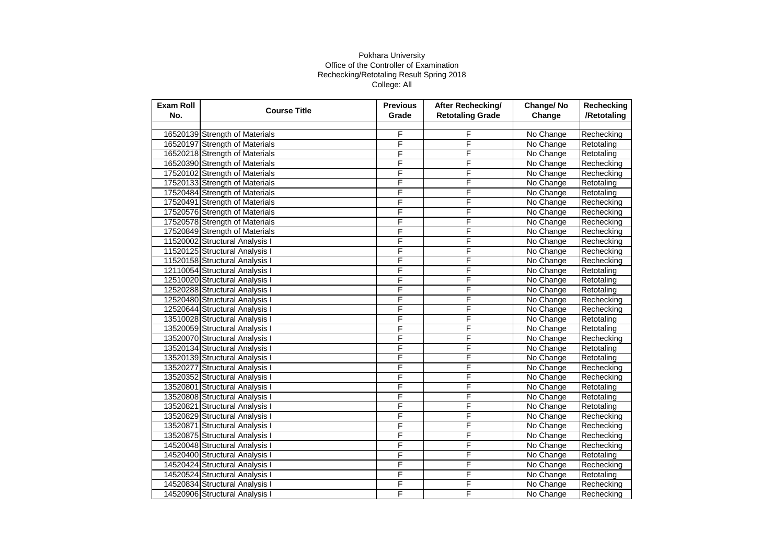| Exam Roll<br>No. | <b>Course Title</b>            | <b>Previous</b><br>Grade | After Rechecking/<br><b>Retotaling Grade</b> | Change/No<br>Change | Rechecking<br>/Retotaling |
|------------------|--------------------------------|--------------------------|----------------------------------------------|---------------------|---------------------------|
|                  |                                |                          |                                              |                     |                           |
|                  | 16520139 Strength of Materials | F                        | F                                            | No Change           | Rechecking                |
|                  | 16520197 Strength of Materials | F                        | F                                            | No Change           | Retotaling                |
|                  | 16520218 Strength of Materials | F                        | F                                            | No Change           | Retotaling                |
|                  | 16520390 Strength of Materials | F                        | F                                            | No Change           | Rechecking                |
|                  | 17520102 Strength of Materials | F                        | F                                            | No Change           | Rechecking                |
|                  | 17520133 Strength of Materials | F                        | F                                            | No Change           | Retotaling                |
|                  | 17520484 Strength of Materials | F                        | F                                            | No Change           | Retotaling                |
|                  | 17520491 Strength of Materials | F                        | F                                            | No Change           | Rechecking                |
|                  | 17520576 Strength of Materials | F                        | F                                            | No Change           | Rechecking                |
|                  | 17520578 Strength of Materials | F                        | F                                            | No Change           | Rechecking                |
|                  | 17520849 Strength of Materials | F                        | F                                            | No Change           | Rechecking                |
|                  | 11520002 Structural Analysis I | F                        | F                                            | No Change           | Rechecking                |
|                  | 11520125 Structural Analysis I | F                        | F                                            | No Change           | Rechecking                |
|                  | 11520158 Structural Analysis I | F                        | F                                            | No Change           | Rechecking                |
|                  | 12110054 Structural Analysis I | F                        | F                                            | No Change           | Retotaling                |
|                  | 12510020 Structural Analysis I | F                        | F                                            | No Change           | Retotaling                |
|                  | 12520288 Structural Analysis I | F                        | F                                            | No Change           | Retotaling                |
|                  | 12520480 Structural Analysis I | F                        | F                                            | No Change           | Rechecking                |
|                  | 12520644 Structural Analysis I | F                        | F                                            | No Change           | Rechecking                |
|                  | 13510028 Structural Analysis I | F                        | F                                            | No Change           | Retotaling                |
|                  | 13520059 Structural Analysis I | F                        | F                                            | No Change           | Retotaling                |
|                  | 13520070 Structural Analysis I | F                        | F                                            | No Change           | Rechecking                |
|                  | 13520134 Structural Analysis I | F                        | F                                            | No Change           | Retotaling                |
|                  | 13520139 Structural Analysis I | F                        | F                                            | No Change           | Retotaling                |
|                  | 13520277 Structural Analysis I | F                        | F                                            | No Change           | Rechecking                |
|                  | 13520352 Structural Analysis I | F                        | F                                            | No Change           | Rechecking                |
|                  | 13520801 Structural Analysis I | F                        | F                                            | No Change           | Retotaling                |
|                  | 13520808 Structural Analysis I | F                        | F                                            | No Change           | Retotaling                |
|                  | 13520821 Structural Analysis I | F                        | F                                            | No Change           | Retotaling                |
|                  | 13520829 Structural Analysis I | F                        | F                                            | No Change           | Rechecking                |
|                  | 13520871 Structural Analysis I | F                        | F                                            | No Change           | Rechecking                |
|                  | 13520875 Structural Analysis I | F                        | F                                            | No Change           | Rechecking                |
|                  | 14520048 Structural Analysis I | F                        | F                                            | No Change           | Rechecking                |
|                  | 14520400 Structural Analysis I | F                        | F                                            | No Change           | Retotaling                |
|                  | 14520424 Structural Analysis I | F                        | F                                            | No Change           | Rechecking                |
|                  | 14520524 Structural Analysis I | F                        | F                                            | No Change           | Retotaling                |
|                  | 14520834 Structural Analysis I | F                        | F                                            | No Change           | Rechecking                |
|                  | 14520906 Structural Analysis I | F                        | F                                            | No Change           | Rechecking                |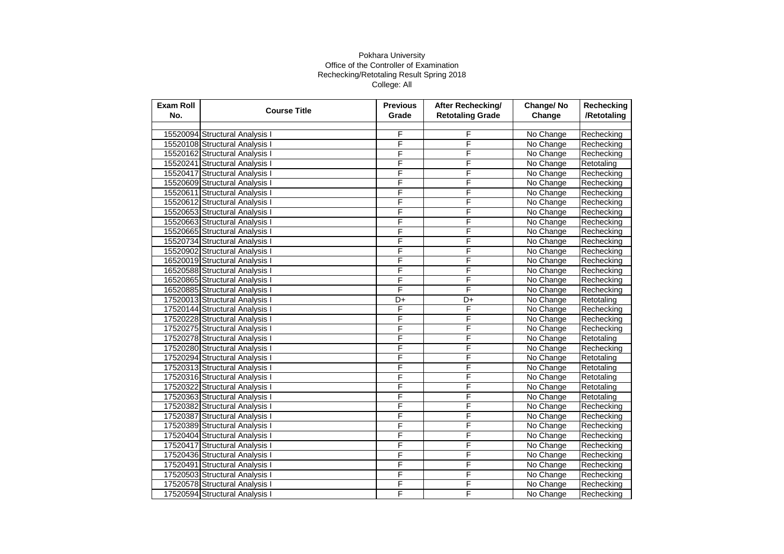| Exam Roll<br>No. | <b>Course Title</b>            | <b>Previous</b><br>Grade | After Rechecking/<br><b>Retotaling Grade</b> | Change/No<br>Change | Rechecking<br>/Retotaling |
|------------------|--------------------------------|--------------------------|----------------------------------------------|---------------------|---------------------------|
|                  |                                |                          |                                              |                     |                           |
|                  | 15520094 Structural Analysis I | F                        | F                                            | No Change           | Rechecking                |
|                  | 15520108 Structural Analysis I | F                        | F                                            | No Change           | Rechecking                |
|                  | 15520162 Structural Analysis I | F                        | F                                            | No Change           | Rechecking                |
|                  | 15520241 Structural Analysis I | F                        | F                                            | No Change           | Retotaling                |
|                  | 15520417 Structural Analysis I | F                        | F                                            | No Change           | Rechecking                |
|                  | 15520609 Structural Analysis I | F                        | F                                            | No Change           | Rechecking                |
|                  | 15520611 Structural Analysis I | F                        | F                                            | No Change           | Rechecking                |
|                  | 15520612 Structural Analysis I | F                        | F                                            | No Change           | Rechecking                |
|                  | 15520653 Structural Analysis I | F                        | F                                            | No Change           | Rechecking                |
|                  | 15520663 Structural Analysis I | F                        | F                                            | No Change           | Rechecking                |
|                  | 15520665 Structural Analysis I | F                        | F                                            | No Change           | Rechecking                |
|                  | 15520734 Structural Analysis I | F                        | F                                            | No Change           | Rechecking                |
|                  | 15520902 Structural Analysis I | F                        | F                                            | No Change           | Rechecking                |
|                  | 16520019 Structural Analysis I | F                        | F                                            | No Change           | Rechecking                |
|                  | 16520588 Structural Analysis I | F                        | F                                            | No Change           | Rechecking                |
|                  | 16520865 Structural Analysis I | F                        | F                                            | No Change           | Rechecking                |
|                  | 16520885 Structural Analysis I | F                        | F                                            | No Change           | Rechecking                |
|                  | 17520013 Structural Analysis I | D+                       | D+                                           | No Change           | Retotaling                |
|                  | 17520144 Structural Analysis I | F                        | F                                            | No Change           | Rechecking                |
|                  | 17520228 Structural Analysis I | F                        | F                                            | No Change           | Rechecking                |
|                  | 17520275 Structural Analysis I | F                        | F                                            | No Change           | Rechecking                |
|                  | 17520278 Structural Analysis I | F                        | F                                            | No Change           | Retotaling                |
|                  | 17520280 Structural Analysis I | F                        | F                                            | No Change           | Rechecking                |
|                  | 17520294 Structural Analysis I | F                        | F                                            | No Change           | Retotaling                |
|                  | 17520313 Structural Analysis I | F                        | F                                            | No Change           | Retotaling                |
|                  | 17520316 Structural Analysis I | F                        | F                                            | No Change           | Retotaling                |
|                  | 17520322 Structural Analysis I | F                        | F                                            | No Change           | Retotaling                |
|                  | 17520363 Structural Analysis I | F                        | F                                            | No Change           | Retotaling                |
|                  | 17520382 Structural Analysis I | F                        | F                                            | No Change           | Rechecking                |
|                  | 17520387 Structural Analysis I | F                        | F                                            | No Change           | Rechecking                |
|                  | 17520389 Structural Analysis I | F                        | F                                            | No Change           | Rechecking                |
|                  | 17520404 Structural Analysis I | F                        | F                                            | No Change           | Rechecking                |
|                  | 17520417 Structural Analysis I | F                        | F                                            | No Change           | Rechecking                |
|                  | 17520436 Structural Analysis I | F                        | F                                            | No Change           | Rechecking                |
|                  | 17520491 Structural Analysis I | F                        | F                                            | No Change           | Rechecking                |
|                  | 17520503 Structural Analysis I | F                        | F                                            | No Change           | Rechecking                |
|                  | 17520578 Structural Analysis I | F                        | F                                            | No Change           | Rechecking                |
|                  | 17520594 Structural Analysis I | F                        | F                                            | No Change           | Rechecking                |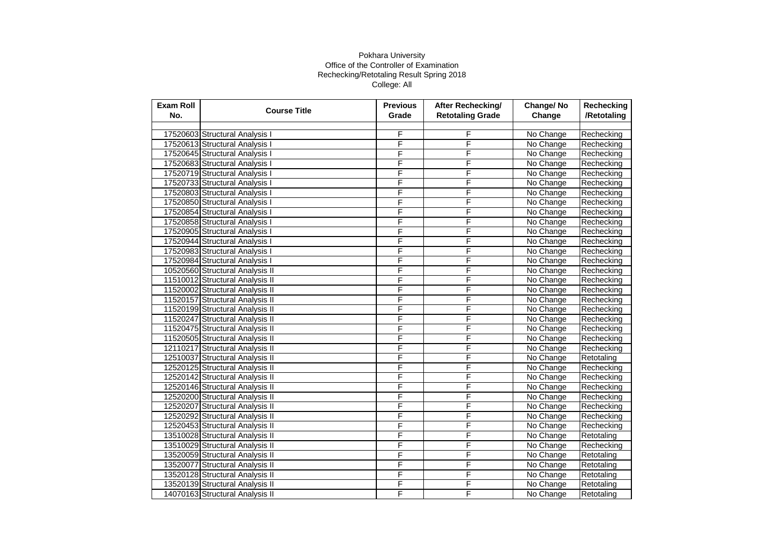| <b>Exam Roll</b><br>No. | <b>Course Title</b>             | <b>Previous</b><br>Grade | After Rechecking/<br><b>Retotaling Grade</b> | Change/No<br>Change | Rechecking<br>/Retotaling |
|-------------------------|---------------------------------|--------------------------|----------------------------------------------|---------------------|---------------------------|
|                         |                                 |                          |                                              |                     |                           |
|                         | 17520603 Structural Analysis I  | F                        | F                                            | No Change           | Rechecking                |
|                         | 17520613 Structural Analysis I  | F                        | F                                            | No Change           | Rechecking                |
|                         | 17520645 Structural Analysis I  | F                        | F                                            | No Change           | Rechecking                |
|                         | 17520683 Structural Analysis I  | F                        | F                                            | No Change           | Rechecking                |
|                         | 17520719 Structural Analysis I  | F                        | F                                            | No Change           | Rechecking                |
|                         | 17520733 Structural Analysis I  | F                        | F                                            | No Change           | Rechecking                |
|                         | 17520803 Structural Analysis I  | F                        | F                                            | No Change           | Rechecking                |
|                         | 17520850 Structural Analysis I  | F                        | F                                            | No Change           | Rechecking                |
|                         | 17520854 Structural Analysis I  | F                        | F                                            | No Change           | Rechecking                |
|                         | 17520858 Structural Analysis I  | F                        | F                                            | No Change           | Rechecking                |
|                         | 17520905 Structural Analysis I  | F                        | F                                            | No Change           | Rechecking                |
|                         | 17520944 Structural Analysis I  | F                        | F                                            | No Change           | Rechecking                |
|                         | 17520983 Structural Analysis I  | F                        | F                                            | No Change           | Rechecking                |
|                         | 17520984 Structural Analysis I  | F                        | F                                            | No Change           | Rechecking                |
|                         | 10520560 Structural Analysis II | F                        | F                                            | No Change           | Rechecking                |
|                         | 11510012 Structural Analysis II | F                        | F                                            | No Change           | Rechecking                |
|                         | 11520002 Structural Analysis II | F                        | F                                            | No Change           | Rechecking                |
|                         | 11520157 Structural Analysis II | F                        | F                                            | No Change           | Rechecking                |
|                         | 11520199 Structural Analysis II | F                        | F                                            | No Change           | Rechecking                |
|                         | 11520247 Structural Analysis II | F                        | F                                            | No Change           | Rechecking                |
|                         | 11520475 Structural Analysis II | F                        | F                                            | No Change           | Rechecking                |
|                         | 11520505 Structural Analysis II | F                        | F                                            | No Change           | Rechecking                |
|                         | 12110217 Structural Analysis II | F                        | F                                            | No Change           | Rechecking                |
|                         | 12510037 Structural Analysis II | F                        | F                                            | No Change           | Retotaling                |
|                         | 12520125 Structural Analysis II | F                        | F                                            | No Change           | Rechecking                |
|                         | 12520142 Structural Analysis II | F                        | F                                            | No Change           | Rechecking                |
|                         | 12520146 Structural Analysis II | F                        | F                                            | No Change           | Rechecking                |
|                         | 12520200 Structural Analysis II | F                        | F                                            | No Change           | Rechecking                |
|                         | 12520207 Structural Analysis II | F                        | F                                            | No Change           | Rechecking                |
|                         | 12520292 Structural Analysis II | F                        | F                                            | No Change           | Rechecking                |
|                         | 12520453 Structural Analysis II | F                        | F                                            | No Change           | Rechecking                |
|                         | 13510028 Structural Analysis II | F                        | F                                            | No Change           | Retotaling                |
|                         | 13510029 Structural Analysis II | F                        | F                                            | No Change           | Rechecking                |
|                         | 13520059 Structural Analysis II | F                        | F                                            | No Change           | Retotaling                |
|                         | 13520077 Structural Analysis II | F                        | F                                            | No Change           | Retotaling                |
|                         | 13520128 Structural Analysis II | F                        | F                                            | No Change           | Retotaling                |
|                         | 13520139 Structural Analysis II | F                        | F                                            | No Change           | Retotaling                |
|                         | 14070163 Structural Analysis II | F                        | F                                            | No Change           | Retotaling                |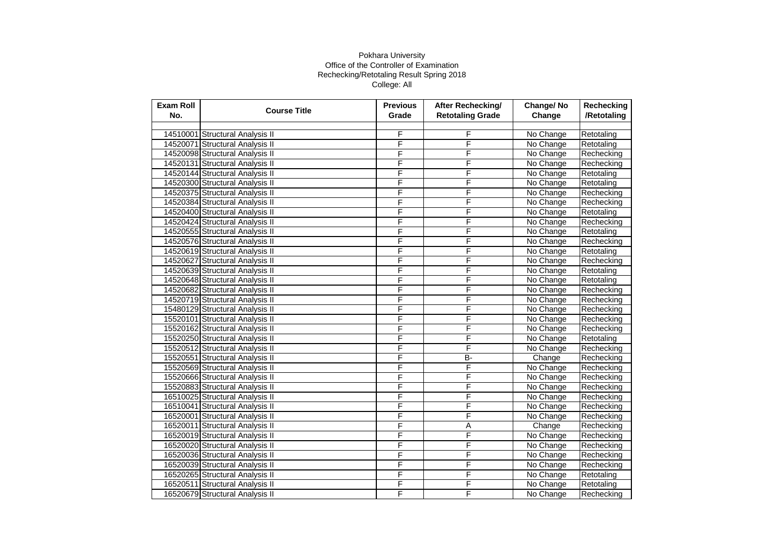| <b>Exam Roll</b><br>No. | <b>Course Title</b>             | <b>Previous</b><br>Grade | <b>After Rechecking/</b><br><b>Retotaling Grade</b> | Change/No<br>Change | Rechecking<br>/Retotaling |
|-------------------------|---------------------------------|--------------------------|-----------------------------------------------------|---------------------|---------------------------|
|                         |                                 |                          |                                                     |                     |                           |
|                         | 14510001 Structural Analysis II | F                        | F                                                   | No Change           | Retotaling                |
|                         | 14520071 Structural Analysis II | F                        | F                                                   | No Change           | Retotaling                |
|                         | 14520098 Structural Analysis II | F                        | F                                                   | No Change           | Rechecking                |
|                         | 14520131 Structural Analysis II | F                        | F                                                   | No Change           | Rechecking                |
|                         | 14520144 Structural Analysis II | F                        | F                                                   | No Change           | Retotaling                |
|                         | 14520300 Structural Analysis II | F                        | F                                                   | No Change           | Retotaling                |
|                         | 14520375 Structural Analysis II | F                        | F                                                   | No Change           | Rechecking                |
|                         | 14520384 Structural Analysis II | F                        | F                                                   | No Change           | Rechecking                |
|                         | 14520400 Structural Analysis II | F                        | F                                                   | No Change           | Retotaling                |
|                         | 14520424 Structural Analysis II | F                        | F                                                   | No Change           | Rechecking                |
|                         | 14520555 Structural Analysis II | F                        | F                                                   | No Change           | Retotaling                |
|                         | 14520576 Structural Analysis II | F                        | F                                                   | No Change           | Rechecking                |
|                         | 14520619 Structural Analysis II | F                        | F                                                   | No Change           | Retotaling                |
|                         | 14520627 Structural Analysis II | F                        | F                                                   | No Change           | Rechecking                |
|                         | 14520639 Structural Analysis II | F                        | F                                                   | No Change           | Retotaling                |
|                         | 14520648 Structural Analysis II | F                        | F                                                   | No Change           | Retotaling                |
|                         | 14520682 Structural Analysis II | F                        | F                                                   | No Change           | Rechecking                |
|                         | 14520719 Structural Analysis II | F                        | F                                                   | No Change           | Rechecking                |
|                         | 15480129 Structural Analysis II | F                        | F                                                   | No Change           | Rechecking                |
|                         | 15520101 Structural Analysis II | F                        | F                                                   | No Change           | Rechecking                |
|                         | 15520162 Structural Analysis II | F                        | F                                                   | No Change           | Rechecking                |
|                         | 15520250 Structural Analysis II | F                        | F                                                   | No Change           | Retotaling                |
|                         | 15520512 Structural Analysis II | F                        | F                                                   | No Change           | Rechecking                |
|                         | 15520551 Structural Analysis II | F                        | <b>B-</b>                                           | Change              | Rechecking                |
|                         | 15520569 Structural Analysis II | F                        | F                                                   | No Change           | Rechecking                |
|                         | 15520666 Structural Analysis II | F                        | F                                                   | No Change           | Rechecking                |
|                         | 15520883 Structural Analysis II | F                        | F                                                   | No Change           | Rechecking                |
|                         | 16510025 Structural Analysis II | F                        | F                                                   | No Change           | Rechecking                |
|                         | 16510041 Structural Analysis II | F                        | F                                                   | No Change           | Rechecking                |
|                         | 16520001 Structural Analysis II | F                        | F                                                   | No Change           | Rechecking                |
|                         | 16520011 Structural Analysis II | F                        | Ā                                                   | Change              | Rechecking                |
|                         | 16520019 Structural Analysis II | F                        | F                                                   | No Change           | Rechecking                |
|                         | 16520020 Structural Analysis II | F                        | F                                                   | No Change           | Rechecking                |
|                         | 16520036 Structural Analysis II | F                        | F                                                   | No Change           | Rechecking                |
|                         | 16520039 Structural Analysis II | F                        | F                                                   | No Change           | Rechecking                |
|                         | 16520265 Structural Analysis II | F                        | F                                                   | No Change           | Retotaling                |
|                         | 16520511 Structural Analysis II | F                        | F                                                   | No Change           | Retotaling                |
|                         | 16520679 Structural Analysis II | F                        | F                                                   | No Change           | Rechecking                |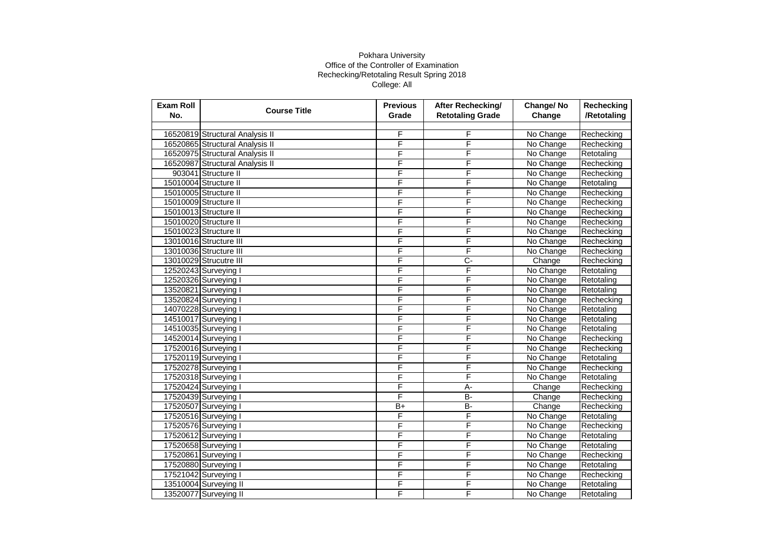| <b>Exam Roll</b><br>No. | <b>Course Title</b>             | <b>Previous</b><br>Grade | After Rechecking/<br><b>Retotaling Grade</b> | Change/No<br>Change | Rechecking<br>/Retotaling |
|-------------------------|---------------------------------|--------------------------|----------------------------------------------|---------------------|---------------------------|
|                         |                                 |                          |                                              |                     |                           |
|                         | 16520819 Structural Analysis II | F                        | F                                            | No Change           | Rechecking                |
|                         | 16520865 Structural Analysis II | F                        | F                                            | No Change           | Rechecking                |
|                         | 16520975 Structural Analysis II | F                        | F                                            | No Change           | Retotaling                |
|                         | 16520987 Structural Analysis II | F                        | F                                            | No Change           | Rechecking                |
|                         | 903041 Structure II             | F                        | F                                            | No Change           | Rechecking                |
|                         | 15010004 Structure II           | F                        | F                                            | No Change           | Retotaling                |
|                         | 15010005 Structure II           | F                        | F                                            | No Change           | Rechecking                |
|                         | 15010009 Structure II           | F                        | F                                            | No Change           | Rechecking                |
|                         | 15010013 Structure II           | F                        | F                                            | No Change           | Rechecking                |
|                         | 15010020 Structure II           | F                        | F                                            | No Change           | Rechecking                |
|                         | 15010023 Structure II           | F                        | F                                            | No Change           | Rechecking                |
|                         | 13010016 Structure III          | F                        | F                                            | No Change           | Rechecking                |
|                         | 13010036 Structure III          | F                        | F                                            | No Change           | Rechecking                |
|                         | 13010029 Strucutre III          | F                        | C-                                           | Change              | Rechecking                |
|                         | 12520243 Surveying I            | F                        | F                                            | No Change           | Retotaling                |
|                         | 12520326 Surveying I            | F                        | F                                            | No Change           | Retotaling                |
|                         | 13520821 Surveying I            | F                        | F                                            | No Change           | Retotaling                |
|                         | 13520824 Surveying I            | F                        | F                                            | No Change           | Rechecking                |
|                         | 14070228 Surveying I            | F                        | F                                            | No Change           | Retotaling                |
|                         | 14510017 Surveying I            | F                        | F                                            | No Change           | Retotaling                |
|                         | 14510035 Surveying I            | F                        | F                                            | No Change           | Retotaling                |
|                         | 14520014 Surveying I            | F                        | F                                            | No Change           | Rechecking                |
|                         | 17520016 Surveying I            | F                        | F                                            | No Change           | Rechecking                |
|                         | 17520119 Surveying I            | F                        | F                                            | No Change           | Retotaling                |
|                         | 17520278 Surveying I            | F                        | F                                            | No Change           | Rechecking                |
|                         | 17520318 Surveying I            | F                        | F                                            | No Change           | Retotaling                |
|                         | 17520424 Surveying I            | F                        | A-                                           | Change              | Rechecking                |
|                         | 17520439 Surveying I            | F                        | B-                                           | Change              | Rechecking                |
|                         | 17520507 Surveying I            | $B+$                     | B-                                           | Change              | Rechecking                |
|                         | 17520516 Surveying I            | F                        | F                                            | No Change           | Retotaling                |
|                         | 17520576 Surveying I            | F                        | F                                            | No Change           | Rechecking                |
|                         | 17520612 Surveying I            | F                        | F                                            | No Change           | Retotaling                |
|                         | 17520658 Surveying I            | F                        | F                                            | No Change           | Retotaling                |
|                         | 17520861 Surveying I            | F                        | F                                            | No Change           | Rechecking                |
|                         | 17520880 Surveying I            | F                        | F                                            | No Change           | Retotaling                |
|                         | 17521042 Surveying I            | F                        | F                                            | No Change           | Rechecking                |
|                         | 13510004 Surveying II           | F                        | F                                            | No Change           | Retotaling                |
|                         | 13520077 Surveying II           | F                        | F                                            | No Change           | Retotaling                |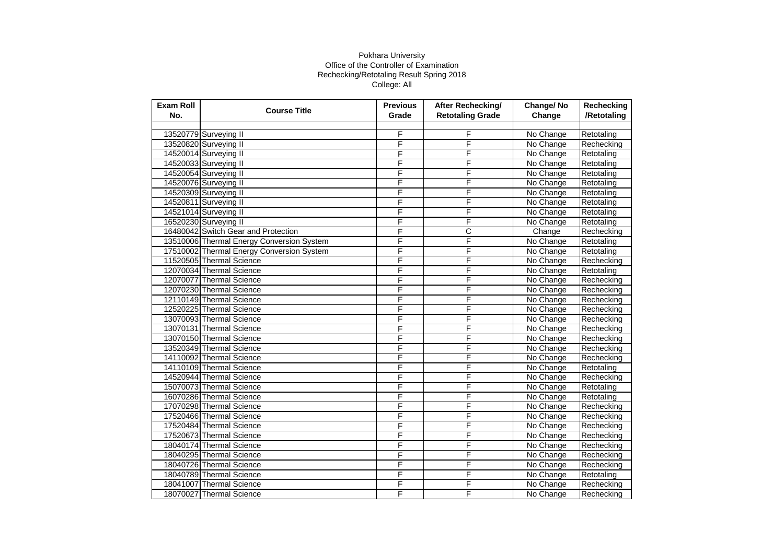| <b>Exam Roll</b><br>No. | <b>Course Title</b>                       | <b>Previous</b><br>Grade | After Rechecking/<br><b>Retotaling Grade</b> | Change/No<br>Change | Rechecking<br>/Retotaling |
|-------------------------|-------------------------------------------|--------------------------|----------------------------------------------|---------------------|---------------------------|
|                         |                                           |                          |                                              |                     |                           |
|                         | 13520779 Surveying II                     | F                        | F                                            | No Change           | Retotaling                |
|                         | 13520820 Surveying II                     | F                        | F                                            | No Change           | Rechecking                |
|                         | 14520014 Surveying II                     | F                        | F                                            | No Change           | Retotaling                |
|                         | 14520033 Surveying II                     | F                        | F                                            | No Change           | Retotaling                |
|                         | 14520054 Surveying II                     | F                        | F                                            | No Change           | Retotaling                |
|                         | 14520076 Surveying II                     | F                        | F                                            | No Change           | Retotaling                |
|                         | 14520309 Surveying II                     | F                        | F                                            | No Change           | Retotaling                |
|                         | 14520811 Surveying II                     | F                        | F                                            | No Change           | Retotaling                |
|                         | 14521014 Surveying II                     | F                        | F                                            | No Change           | Retotaling                |
|                         | 16520230 Surveying II                     | F                        | F                                            | No Change           | Retotaling                |
|                         | 16480042 Switch Gear and Protection       | F                        | С                                            | Change              | Rechecking                |
|                         | 13510006 Thermal Energy Conversion System | F                        | F                                            | No Change           | Retotaling                |
|                         | 17510002 Thermal Energy Conversion System | F                        | F                                            | No Change           | Retotaling                |
|                         | 11520505 Thermal Science                  | F                        | F                                            | No Change           | Rechecking                |
|                         | 12070034 Thermal Science                  | F                        | F                                            | No Change           | Retotaling                |
|                         | 12070077 Thermal Science                  | F                        | F                                            | No Change           | Rechecking                |
|                         | 12070230 Thermal Science                  | F                        | F                                            | No Change           | Rechecking                |
|                         | 12110149 Thermal Science                  | F                        | F                                            | No Change           | Rechecking                |
|                         | 12520225 Thermal Science                  | F                        | F                                            | No Change           | Rechecking                |
|                         | 13070093 Thermal Science                  | F                        | F                                            | No Change           | Rechecking                |
|                         | 13070131 Thermal Science                  | F                        | F                                            | No Change           | Rechecking                |
|                         | 13070150 Thermal Science                  | F                        | F                                            | No Change           | Rechecking                |
|                         | 13520349 Thermal Science                  | F                        | F                                            | No Change           | Rechecking                |
|                         | 14110092 Thermal Science                  | F                        | F                                            | No Change           | Rechecking                |
|                         | 14110109 Thermal Science                  | F                        | F                                            | No Change           | Retotaling                |
|                         | 14520944 Thermal Science                  | F                        | F                                            | No Change           | Rechecking                |
|                         | 15070073 Thermal Science                  | F                        | F                                            | No Change           | Retotaling                |
|                         | 16070286 Thermal Science                  | F                        | F                                            | No Change           | Retotaling                |
|                         | 17070298 Thermal Science                  | F                        | F                                            | No Change           | Rechecking                |
|                         | 17520466 Thermal Science                  | F                        | F                                            | No Change           | Rechecking                |
|                         | 17520484 Thermal Science                  | F                        | F                                            | No Change           | Rechecking                |
|                         | 17520673 Thermal Science                  | F                        | F                                            | No Change           | Rechecking                |
|                         | 18040174 Thermal Science                  | F                        | F                                            | No Change           | Rechecking                |
|                         | 18040295 Thermal Science                  | F                        | F                                            | No Change           | Rechecking                |
|                         | 18040726 Thermal Science                  | F                        | F                                            | No Change           | Rechecking                |
|                         | 18040789 Thermal Science                  | F                        | F                                            | No Change           | Retotaling                |
|                         | 18041007 Thermal Science                  | F                        | F                                            | No Change           | Rechecking                |
|                         | 18070027 Thermal Science                  | F                        | F                                            | No Change           | Rechecking                |